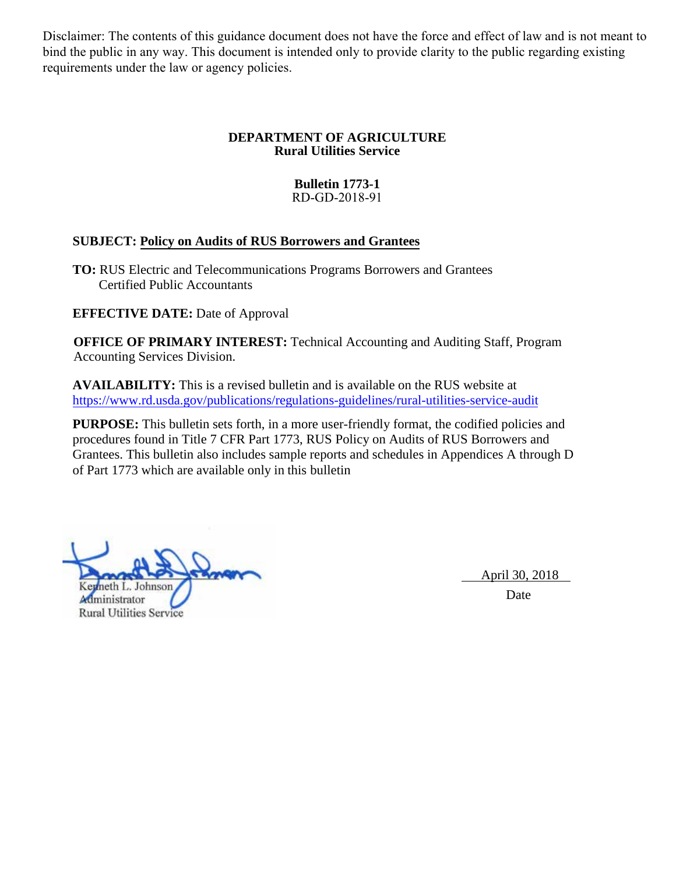Disclaimer: The contents of this guidance document does not have the force and effect of law and is not meant to bind the public in any way. This document is intended only to provide clarity to the public regarding existing requirements under the law or agency policies.

### **DEPARTMENT OF AGRICULTURE Rural Utilities Service**

**Bulletin 1773-1** RD-GD-2018-91

## **SUBJECT: Policy on Audits of RUS Borrowers and Grantees**

**TO:** RUS Electric and Telecommunications Programs Borrowers and Grantees Certified Public Accountants

**EFFECTIVE DATE:** Date of Approval

**OFFICE OF PRIMARY INTEREST:** [Technical Accounting and Auditing Staff, Progr](https://www.rd.usda.gov/publications/regulations-guidelines/rural-utilities-service-audit)am Accounting Services Division.

**AVAILABILITY:** This is a revised bulletin and is available on the RUS website at https://www.rd.usda.gov/publications/regulations-guidelines/rural-utilities-service-audit

**PURPOSE:** This bulletin sets forth, in a more user-friendly format, the codified policies and procedures found in Title 7 CFR Part 1773, RUS Policy on Audits of RUS Borrowers and Grantees. This bulletin also includes sample reports and schedules in Appendices A through D of Part 1773 which are available only in this bulletin

meth L. Johnson Administrator **Rural Utilities Service** 

April 30, 2018

Date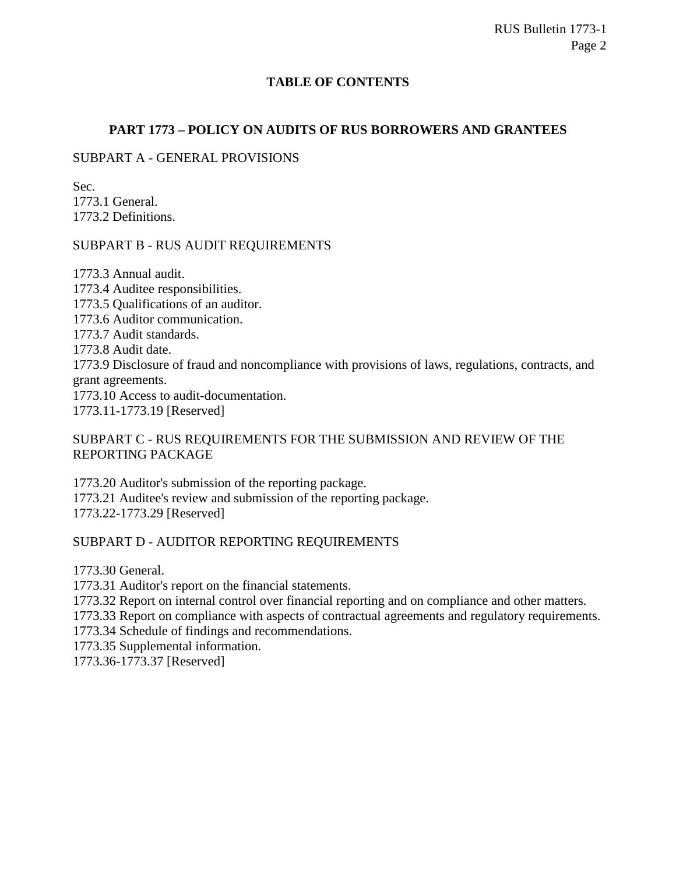### **TABLE OF CONTENTS**

## **PART 1773 – POLICY ON AUDITS OF RUS BORROWERS AND GRANTEES**

#### SUBPART A - GENERAL PROVISIONS

Sec. 1773.1 General. 1773.2 Definitions.

#### SUBPART B - RUS AUDIT REQUIREMENTS

1773.3 Annual audit. 1773.4 Auditee responsibilities. 1773.5 Qualifications of an auditor. 1773.6 Auditor communication. 1773.7 Audit standards. 1773.8 Audit date. 1773.9 Disclosure of fraud and noncompliance with provisions of laws, regulations, contracts, and grant agreements. 1773.10 Access to audit-documentation. 1773.11-1773.19 [Reserved]

### SUBPART C - RUS REQUIREMENTS FOR THE SUBMISSION AND REVIEW OF THE REPORTING PACKAGE

1773.20 Auditor's submission of the reporting package. 1773.21 Auditee's review and submission of the reporting package. 1773.22-1773.29 [Reserved]

#### SUBPART D - AUDITOR REPORTING REQUIREMENTS

1773.30 General.

1773.31 Auditor's report on the financial statements.

1773.32 Report on internal control over financial reporting and on compliance and other matters.

1773.33 Report on compliance with aspects of contractual agreements and regulatory requirements.

1773.34 Schedule of findings and recommendations.

1773.35 Supplemental information.

1773.36-1773.37 [Reserved]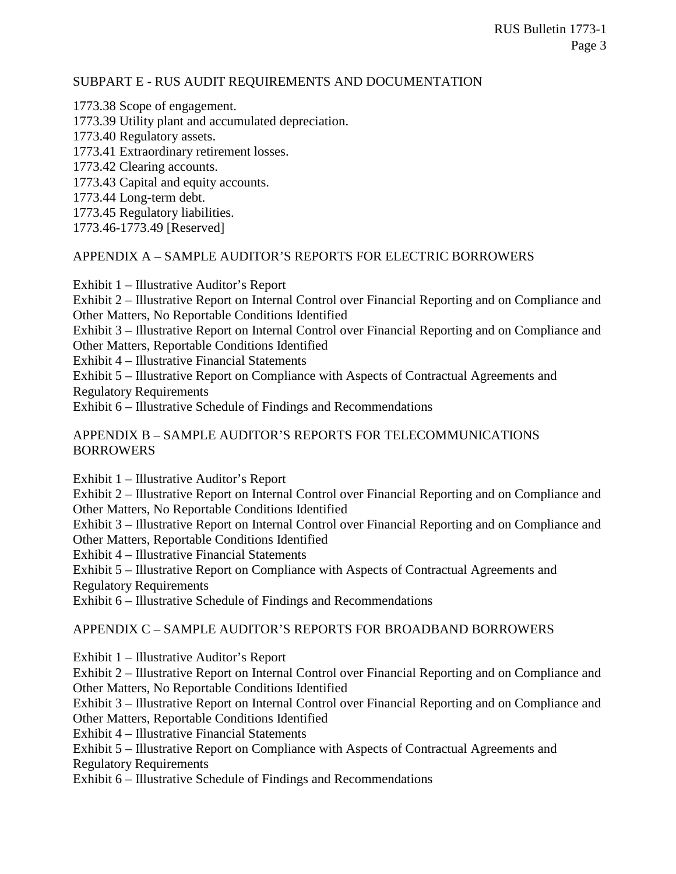### SUBPART E - RUS AUDIT REQUIREMENTS AND DOCUMENTATION

1773.38 Scope of engagement. 1773.39 Utility plant and accumulated depreciation. 1773.40 Regulatory assets. 1773.41 Extraordinary retirement losses. 1773.42 Clearing accounts. 1773.43 Capital and equity accounts. 1773.44 Long-term debt. 1773.45 Regulatory liabilities.

1773.46-1773.49 [Reserved]

#### APPENDIX A – SAMPLE AUDITOR'S REPORTS FOR ELECTRIC BORROWERS

Exhibit 1 – Illustrative Auditor's Report

Exhibit 2 – Illustrative Report on Internal Control over Financial Reporting and on Compliance and Other Matters, No Reportable Conditions Identified

Exhibit 3 – Illustrative Report on Internal Control over Financial Reporting and on Compliance and Other Matters, Reportable Conditions Identified

Exhibit 4 – Illustrative Financial Statements

Exhibit 5 – Illustrative Report on Compliance with Aspects of Contractual Agreements and Regulatory Requirements

Exhibit 6 – Illustrative Schedule of Findings and Recommendations

#### APPENDIX B – SAMPLE AUDITOR'S REPORTS FOR TELECOMMUNICATIONS BORROWERS

Exhibit 1 – Illustrative Auditor's Report

Exhibit 2 – Illustrative Report on Internal Control over Financial Reporting and on Compliance and Other Matters, No Reportable Conditions Identified

Exhibit 3 – Illustrative Report on Internal Control over Financial Reporting and on Compliance and Other Matters, Reportable Conditions Identified

Exhibit 4 – Illustrative Financial Statements

Exhibit 5 – Illustrative Report on Compliance with Aspects of Contractual Agreements and Regulatory Requirements

Exhibit 6 – Illustrative Schedule of Findings and Recommendations

#### APPENDIX C – SAMPLE AUDITOR'S REPORTS FOR BROADBAND BORROWERS

Exhibit 1 – Illustrative Auditor's Report

Exhibit 2 – Illustrative Report on Internal Control over Financial Reporting and on Compliance and Other Matters, No Reportable Conditions Identified

Exhibit 3 – Illustrative Report on Internal Control over Financial Reporting and on Compliance and Other Matters, Reportable Conditions Identified

Exhibit 4 – Illustrative Financial Statements

Exhibit 5 – Illustrative Report on Compliance with Aspects of Contractual Agreements and

Regulatory Requirements

Exhibit 6 – Illustrative Schedule of Findings and Recommendations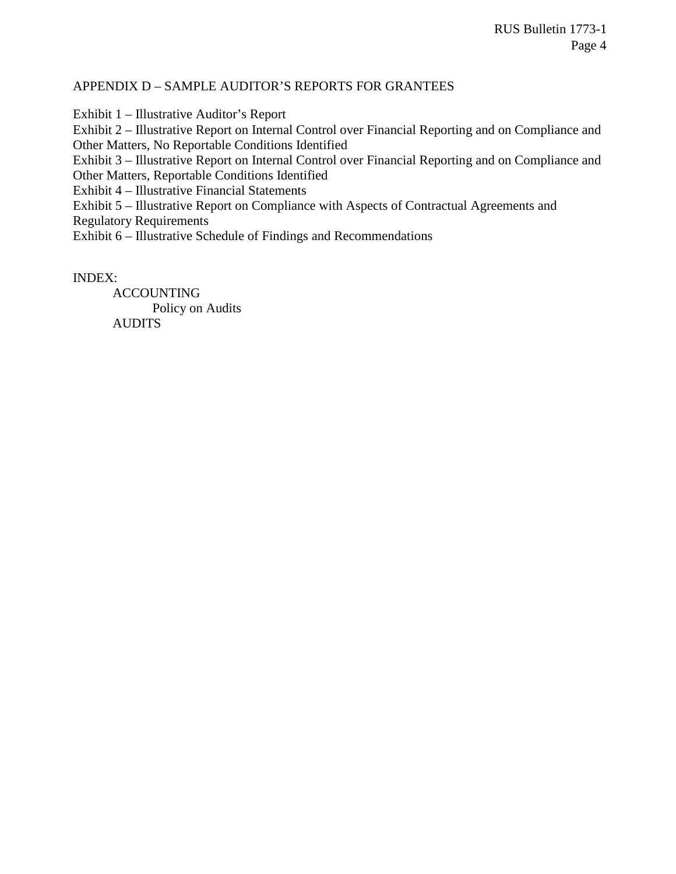### APPENDIX D – SAMPLE AUDITOR'S REPORTS FOR GRANTEES

Exhibit 1 – Illustrative Auditor's Report Exhibit 2 – Illustrative Report on Internal Control over Financial Reporting and on Compliance and Other Matters, No Reportable Conditions Identified

Exhibit 3 – Illustrative Report on Internal Control over Financial Reporting and on Compliance and Other Matters, Reportable Conditions Identified

Exhibit 4 – Illustrative Financial Statements

Exhibit 5 – Illustrative Report on Compliance with Aspects of Contractual Agreements and Regulatory Requirements

Exhibit 6 – Illustrative Schedule of Findings and Recommendations

INDEX:

ACCOUNTING Policy on Audits AUDITS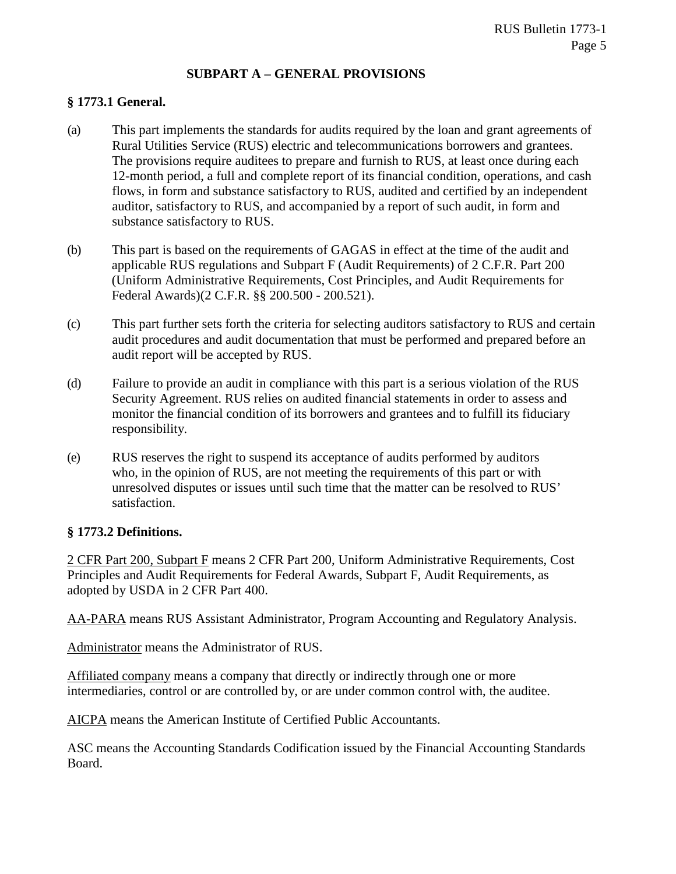### **SUBPART A – GENERAL PROVISIONS**

#### **§ 1773.1 General.**

- (a) This part implements the standards for audits required by the loan and grant agreements of Rural Utilities Service (RUS) electric and telecommunications borrowers and grantees. The provisions require auditees to prepare and furnish to RUS, at least once during each 12-month period, a full and complete report of its financial condition, operations, and cash flows, in form and substance satisfactory to RUS, audited and certified by an independent auditor, satisfactory to RUS, and accompanied by a report of such audit, in form and substance satisfactory to RUS.
- (b) This part is based on the requirements of GAGAS in effect at the time of the audit and applicable RUS regulations and Subpart F (Audit Requirements) of 2 C.F.R. Part 200 (Uniform Administrative Requirements, Cost Principles, and Audit Requirements for Federal Awards)(2 C.F.R. §§ 200.500 - 200.521).
- (c) This part further sets forth the criteria for selecting auditors satisfactory to RUS and certain audit procedures and audit documentation that must be performed and prepared before an audit report will be accepted by RUS.
- (d) Failure to provide an audit in compliance with this part is a serious violation of the RUS Security Agreement. RUS relies on audited financial statements in order to assess and monitor the financial condition of its borrowers and grantees and to fulfill its fiduciary responsibility.
- (e) RUS reserves the right to suspend its acceptance of audits performed by auditors who, in the opinion of RUS, are not meeting the requirements of this part or with unresolved disputes or issues until such time that the matter can be resolved to RUS' satisfaction.

#### **§ 1773.2 Definitions.**

2 CFR Part 200, Subpart F means 2 CFR Part 200, Uniform Administrative Requirements, Cost Principles and Audit Requirements for Federal Awards, Subpart F, Audit Requirements, as adopted by USDA in 2 CFR Part 400.

AA-PARA means RUS Assistant Administrator, Program Accounting and Regulatory Analysis.

Administrator means the Administrator of RUS.

Affiliated company means a company that directly or indirectly through one or more intermediaries, control or are controlled by, or are under common control with, the auditee.

AICPA means the American Institute of Certified Public Accountants.

ASC means the Accounting Standards Codification issued by the Financial Accounting Standards Board.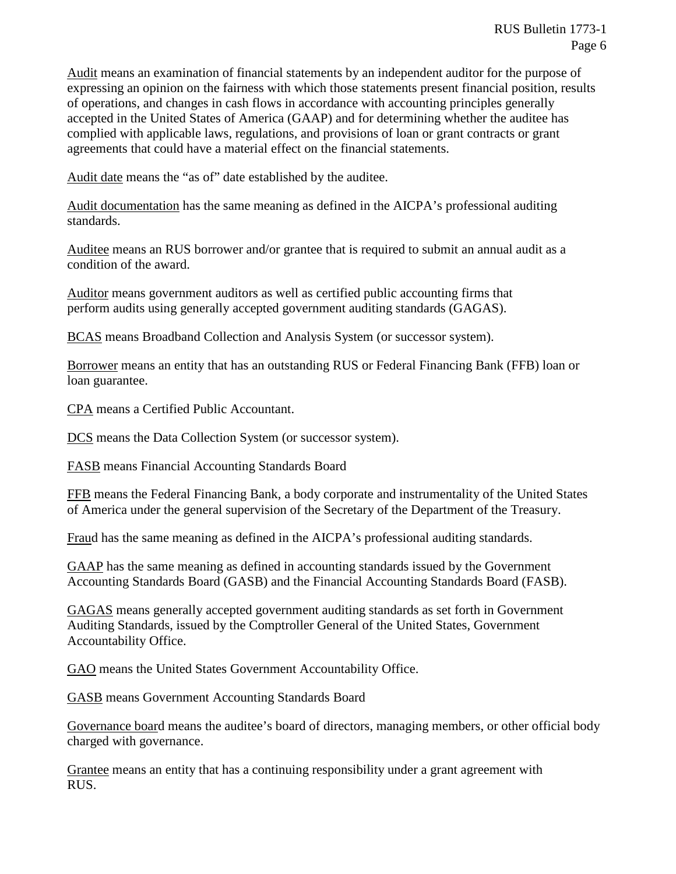Audit means an examination of financial statements by an independent auditor for the purpose of expressing an opinion on the fairness with which those statements present financial position, results of operations, and changes in cash flows in accordance with accounting principles generally accepted in the United States of America (GAAP) and for determining whether the auditee has complied with applicable laws, regulations, and provisions of loan or grant contracts or grant agreements that could have a material effect on the financial statements.

Audit date means the "as of" date established by the auditee.

Audit documentation has the same meaning as defined in the AICPA's professional auditing standards.

Auditee means an RUS borrower and/or grantee that is required to submit an annual audit as a condition of the award.

Auditor means government auditors as well as certified public accounting firms that perform audits using generally accepted government auditing standards (GAGAS).

BCAS means Broadband Collection and Analysis System (or successor system).

Borrower means an entity that has an outstanding RUS or Federal Financing Bank (FFB) loan or loan guarantee.

CPA means a Certified Public Accountant.

DCS means the Data Collection System (or successor system).

FASB means Financial Accounting Standards Board

FFB means the Federal Financing Bank, a body corporate and instrumentality of the United States of America under the general supervision of the Secretary of the Department of the Treasury.

Fraud has the same meaning as defined in the AICPA's professional auditing standards.

GAAP has the same meaning as defined in accounting standards issued by the Government Accounting Standards Board (GASB) and the Financial Accounting Standards Board (FASB).

GAGAS means generally accepted government auditing standards as set forth in Government Auditing Standards, issued by the Comptroller General of the United States, Government Accountability Office.

GAO means the United States Government Accountability Office.

GASB means Government Accounting Standards Board

Governance board means the auditee's board of directors, managing members, or other official body charged with governance.

Grantee means an entity that has a continuing responsibility under a grant agreement with RUS.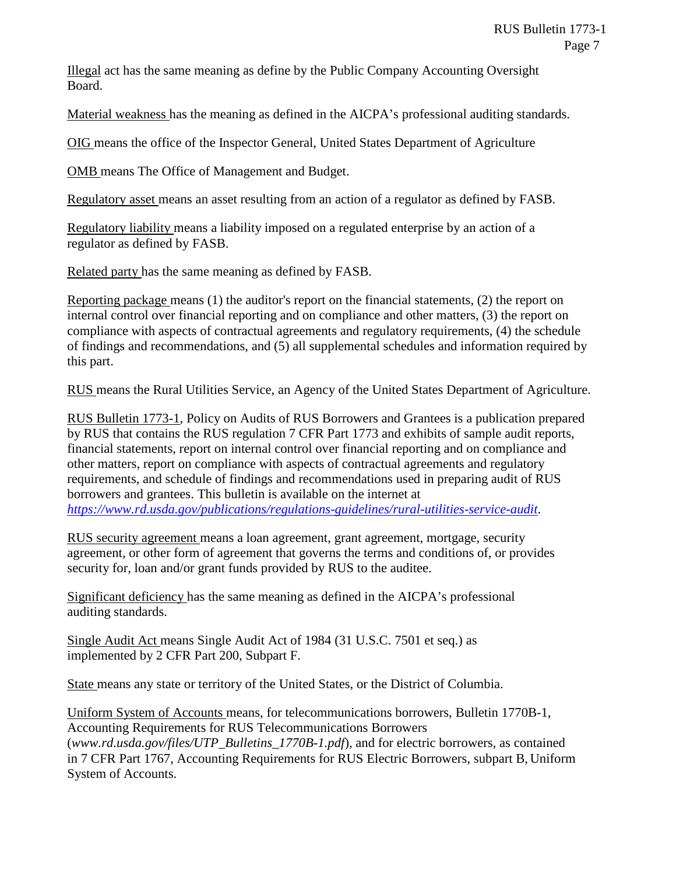Illegal act has the same meaning as define by the Public Company Accounting Oversight Board.

Material weakness has the meaning as defined in the AICPA's professional auditing standards.

OIG means the office of the Inspector General, United States Department of Agriculture

OMB means The Office of Management and Budget.

Regulatory asset means an asset resulting from an action of a regulator as defined by FASB.

Regulatory liability means a liability imposed on a regulated enterprise by an action of a regulator as defined by FASB.

Related party has the same meaning as defined by FASB.

Reporting package means (1) the auditor's report on the financial statements, (2) the report on internal control over financial reporting and on compliance and other matters, (3) the report on compliance with aspects of contractual agreements and regulatory requirements, (4) the schedule of findings and recommendations, and (5) all supplemental schedules and information required by this part.

RUS means the Rural Utilities Service, an Agency of the United States Department of Agriculture.

RUS Bulletin 1773-1, Policy on Audits of RUS Borrowers and Grantees is a publication prepared by RUS that contains the RUS regulation 7 CFR Part 1773 and exhibits of sample audit reports, financial statements, report on internal control over financial reporting and on compliance and other matters, report on compliance with aspects of contractual agreements and regulatory requirements, and schedule of findings and recommendations used in preparing audit of RUS borrowers and grantees. This bulletin is available on the internet at *<https://www.rd.usda.gov/publications/regulations-guidelines/rural-utilities-service-audit>*.

RUS security agreement means a loan agreement, grant agreement, mortgage, security agreement, or other form of agreement that governs the terms and conditions of, or provides security for, loan and/or grant funds provided by RUS to the auditee.

Significant deficiency has the same meaning as defined in the AICPA's professional auditing standards.

Single Audit Act means Single Audit Act of 1984 (31 U.S.C. 7501 et seq.) as implemented by 2 CFR Part 200, Subpart F.

State means any state or territory of the United States, or the District of Columbia.

Uniform System of Accounts means, for telecommunications borrowers, Bulletin 1770B-1, Accounting Requirements for RUS Telecommunications Borrowers (*[www.rd.usda.gov/files/UTP\\_Bulletins\\_1770B-1.pdf](http://www.rd.usda.gov/files/UTP_Bulletins_1770B-1.pdf))*), and for electric borrowers, as contained in 7 CFR Part 1767, Accounting Requirements for RUS Electric Borrowers, subpart B, Uniform System of Accounts.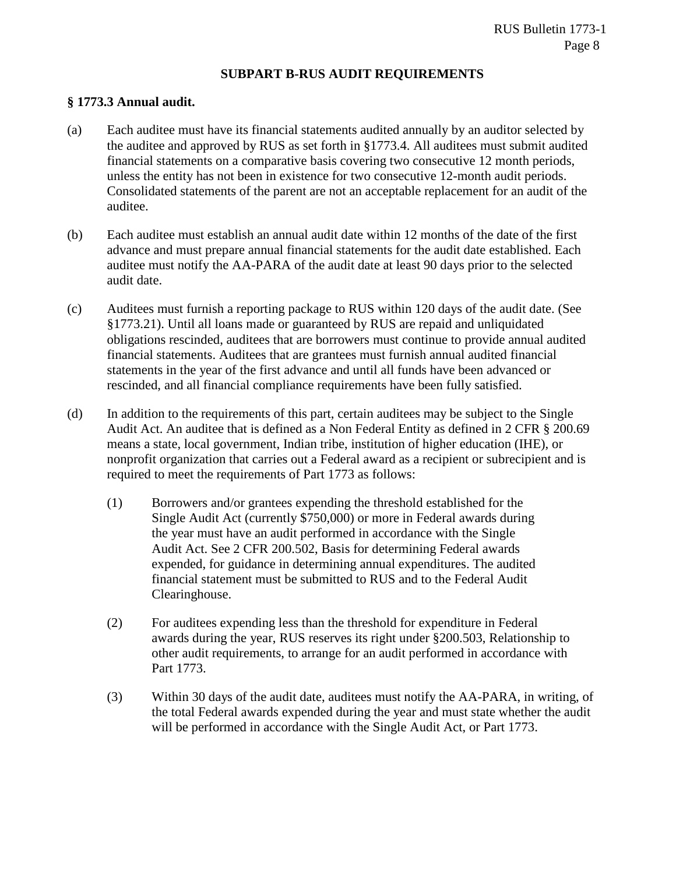#### **SUBPART B-RUS AUDIT REQUIREMENTS**

#### **§ 1773.3 Annual audit.**

- (a) Each auditee must have its financial statements audited annually by an auditor selected by the auditee and approved by RUS as set forth in §1773.4. All auditees must submit audited financial statements on a comparative basis covering two consecutive 12 month periods, unless the entity has not been in existence for two consecutive 12-month audit periods. Consolidated statements of the parent are not an acceptable replacement for an audit of the auditee.
- (b) Each auditee must establish an annual audit date within 12 months of the date of the first advance and must prepare annual financial statements for the audit date established. Each auditee must notify the AA-PARA of the audit date at least 90 days prior to the selected audit date.
- (c) Auditees must furnish a reporting package to RUS within 120 days of the audit date. (See §1773.21). Until all loans made or guaranteed by RUS are repaid and unliquidated obligations rescinded, auditees that are borrowers must continue to provide annual audited financial statements. Auditees that are grantees must furnish annual audited financial statements in the year of the first advance and until all funds have been advanced or rescinded, and all financial compliance requirements have been fully satisfied.
- (d) In addition to the requirements of this part, certain auditees may be subject to the Single Audit Act. An auditee that is defined as a Non Federal Entity as defined in 2 CFR § 200.69 means a state, local government, Indian tribe, institution of higher education (IHE), or nonprofit organization that carries out a Federal award as a recipient or subrecipient and is required to meet the requirements of Part 1773 as follows:
	- (1) Borrowers and/or grantees expending the threshold established for the Single Audit Act (currently \$750,000) or more in Federal awards during the year must have an audit performed in accordance with the Single Audit Act. See 2 CFR 200.502, Basis for determining Federal awards expended, for guidance in determining annual expenditures. The audited financial statement must be submitted to RUS and to the Federal Audit Clearinghouse.
	- (2) For auditees expending less than the threshold for expenditure in Federal awards during the year, RUS reserves its right under §200.503, Relationship to other audit requirements, to arrange for an audit performed in accordance with Part 1773.
	- (3) Within 30 days of the audit date, auditees must notify the AA-PARA, in writing, of the total Federal awards expended during the year and must state whether the audit will be performed in accordance with the Single Audit Act, or Part 1773.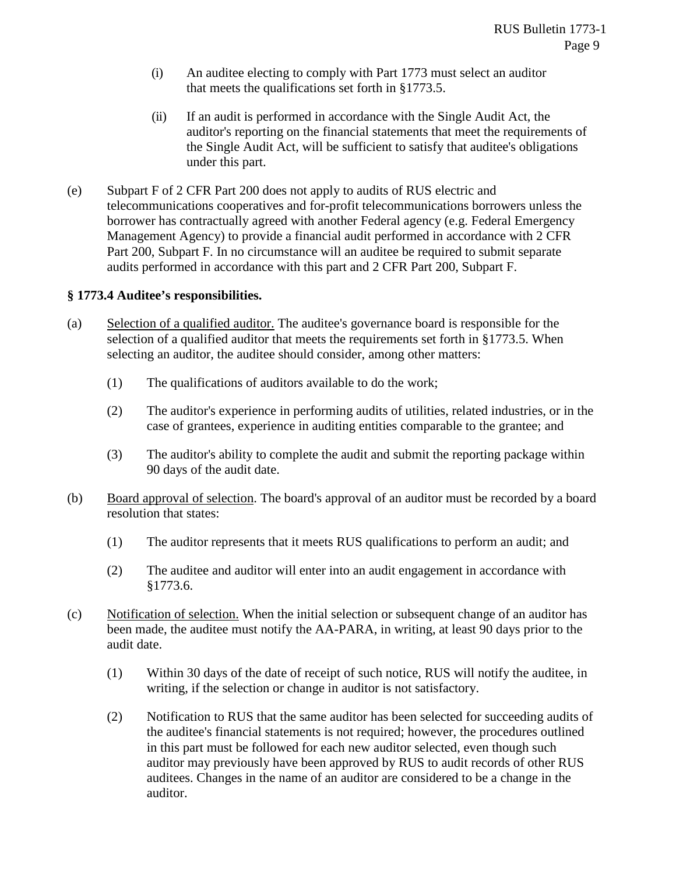- (i) An auditee electing to comply with Part 1773 must select an auditor that meets the qualifications set forth in §1773.5.
- (ii) If an audit is performed in accordance with the Single Audit Act, the auditor's reporting on the financial statements that meet the requirements of the Single Audit Act, will be sufficient to satisfy that auditee's obligations under this part.
- (e) Subpart F of 2 CFR Part 200 does not apply to audits of RUS electric and telecommunications cooperatives and for-profit telecommunications borrowers unless the borrower has contractually agreed with another Federal agency (e.g. Federal Emergency Management Agency) to provide a financial audit performed in accordance with 2 CFR Part 200, Subpart F. In no circumstance will an auditee be required to submit separate audits performed in accordance with this part and 2 CFR Part 200, Subpart F.

#### **§ 1773.4 Auditee's responsibilities.**

- (a) Selection of a qualified auditor. The auditee's governance board is responsible for the selection of a qualified auditor that meets the requirements set forth in §1773.5. When selecting an auditor, the auditee should consider, among other matters:
	- (1) The qualifications of auditors available to do the work;
	- (2) The auditor's experience in performing audits of utilities, related industries, or in the case of grantees, experience in auditing entities comparable to the grantee; and
	- (3) The auditor's ability to complete the audit and submit the reporting package within 90 days of the audit date.
- (b) Board approval of selection. The board's approval of an auditor must be recorded by a board resolution that states:
	- (1) The auditor represents that it meets RUS qualifications to perform an audit; and
	- (2) The auditee and auditor will enter into an audit engagement in accordance with §1773.6.
- (c) Notification of selection. When the initial selection or subsequent change of an auditor has been made, the auditee must notify the AA-PARA, in writing, at least 90 days prior to the audit date.
	- (1) Within 30 days of the date of receipt of such notice, RUS will notify the auditee, in writing, if the selection or change in auditor is not satisfactory.
	- (2) Notification to RUS that the same auditor has been selected for succeeding audits of the auditee's financial statements is not required; however, the procedures outlined in this part must be followed for each new auditor selected, even though such auditor may previously have been approved by RUS to audit records of other RUS auditees. Changes in the name of an auditor are considered to be a change in the auditor.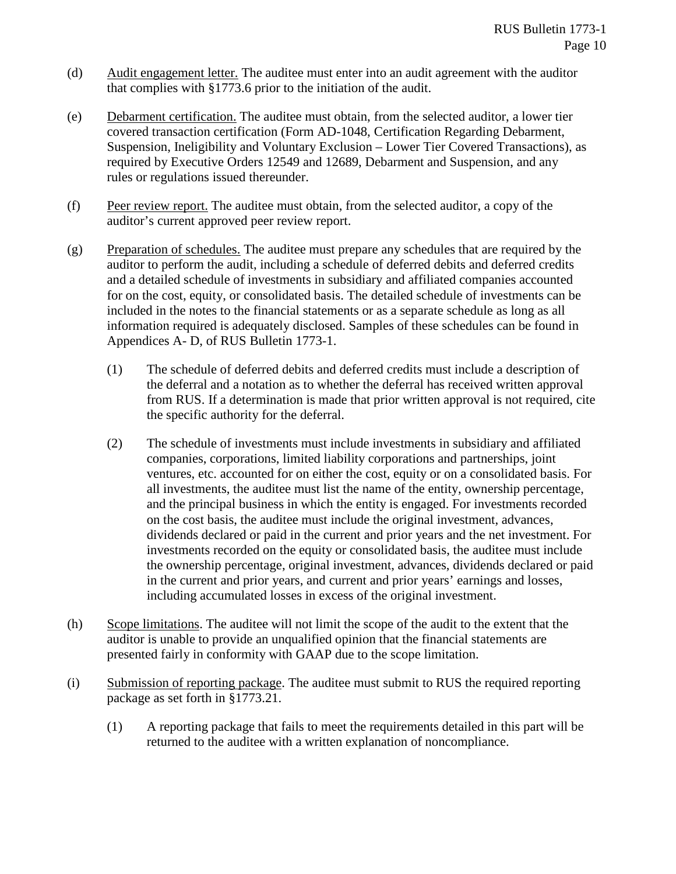- (d) Audit engagement letter. The auditee must enter into an audit agreement with the auditor that complies with §1773.6 prior to the initiation of the audit.
- (e) Debarment certification. The auditee must obtain, from the selected auditor, a lower tier covered transaction certification (Form AD-1048, Certification Regarding Debarment, Suspension, Ineligibility and Voluntary Exclusion – Lower Tier Covered Transactions), as required by Executive Orders 12549 and 12689, Debarment and Suspension, and any rules or regulations issued thereunder.
- (f) Peer review report. The auditee must obtain, from the selected auditor, a copy of the auditor's current approved peer review report.
- (g) Preparation of schedules. The auditee must prepare any schedules that are required by the auditor to perform the audit, including a schedule of deferred debits and deferred credits and a detailed schedule of investments in subsidiary and affiliated companies accounted for on the cost, equity, or consolidated basis. The detailed schedule of investments can be included in the notes to the financial statements or as a separate schedule as long as all information required is adequately disclosed. Samples of these schedules can be found in Appendices A- D, of RUS Bulletin 1773-1.
	- (1) The schedule of deferred debits and deferred credits must include a description of the deferral and a notation as to whether the deferral has received written approval from RUS. If a determination is made that prior written approval is not required, cite the specific authority for the deferral.
	- (2) The schedule of investments must include investments in subsidiary and affiliated companies, corporations, limited liability corporations and partnerships, joint ventures, etc. accounted for on either the cost, equity or on a consolidated basis. For all investments, the auditee must list the name of the entity, ownership percentage, and the principal business in which the entity is engaged. For investments recorded on the cost basis, the auditee must include the original investment, advances, dividends declared or paid in the current and prior years and the net investment. For investments recorded on the equity or consolidated basis, the auditee must include the ownership percentage, original investment, advances, dividends declared or paid in the current and prior years, and current and prior years' earnings and losses, including accumulated losses in excess of the original investment.
- (h) Scope limitations. The auditee will not limit the scope of the audit to the extent that the auditor is unable to provide an unqualified opinion that the financial statements are presented fairly in conformity with GAAP due to the scope limitation.
- (i) Submission of reporting package. The auditee must submit to RUS the required reporting package as set forth in §1773.21.
	- (1) A reporting package that fails to meet the requirements detailed in this part will be returned to the auditee with a written explanation of noncompliance.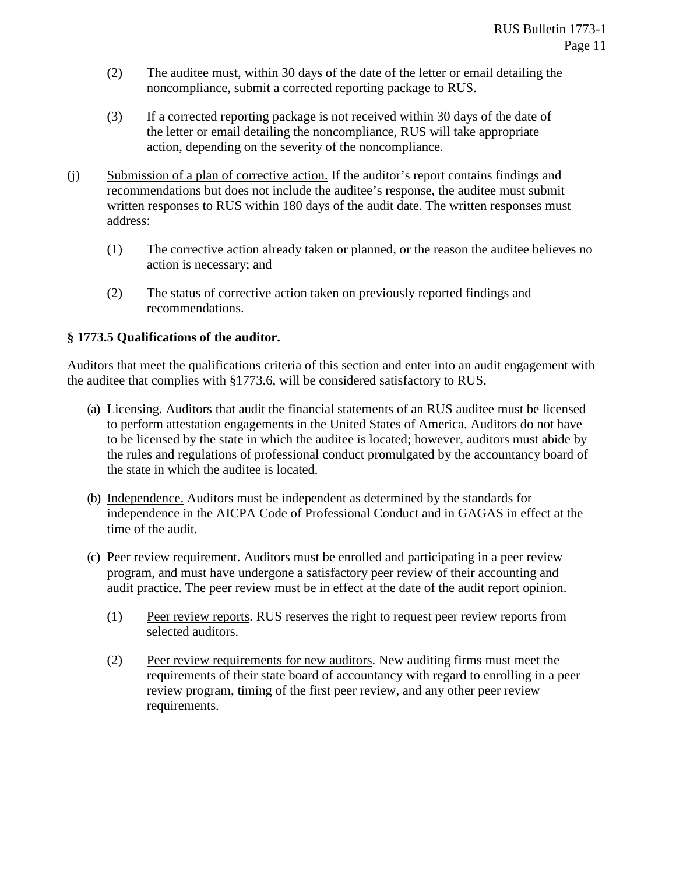- (2) The auditee must, within 30 days of the date of the letter or email detailing the noncompliance, submit a corrected reporting package to RUS.
- (3) If a corrected reporting package is not received within 30 days of the date of the letter or email detailing the noncompliance, RUS will take appropriate action, depending on the severity of the noncompliance.
- (j) Submission of a plan of corrective action. If the auditor's report contains findings and recommendations but does not include the auditee's response, the auditee must submit written responses to RUS within 180 days of the audit date. The written responses must address:
	- (1) The corrective action already taken or planned, or the reason the auditee believes no action is necessary; and
	- (2) The status of corrective action taken on previously reported findings and recommendations.

## **§ 1773.5 Qualifications of the auditor.**

Auditors that meet the qualifications criteria of this section and enter into an audit engagement with the auditee that complies with §1773.6, will be considered satisfactory to RUS.

- (a) Licensing. Auditors that audit the financial statements of an RUS auditee must be licensed to perform attestation engagements in the United States of America. Auditors do not have to be licensed by the state in which the auditee is located; however, auditors must abide by the rules and regulations of professional conduct promulgated by the accountancy board of the state in which the auditee is located.
- (b) Independence. Auditors must be independent as determined by the standards for independence in the AICPA Code of Professional Conduct and in GAGAS in effect at the time of the audit.
- (c) Peer review requirement. Auditors must be enrolled and participating in a peer review program, and must have undergone a satisfactory peer review of their accounting and audit practice. The peer review must be in effect at the date of the audit report opinion.
	- (1) Peer review reports. RUS reserves the right to request peer review reports from selected auditors.
	- (2) Peer review requirements for new auditors. New auditing firms must meet the requirements of their state board of accountancy with regard to enrolling in a peer review program, timing of the first peer review, and any other peer review requirements.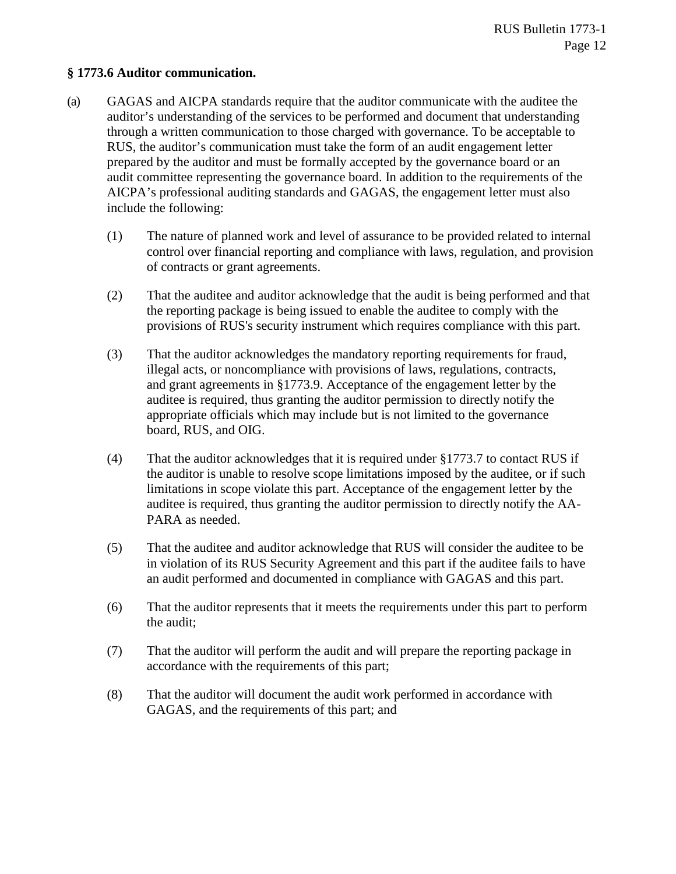#### **§ 1773.6 Auditor communication.**

- (a) GAGAS and AICPA standards require that the auditor communicate with the auditee the auditor's understanding of the services to be performed and document that understanding through a written communication to those charged with governance. To be acceptable to RUS, the auditor's communication must take the form of an audit engagement letter prepared by the auditor and must be formally accepted by the governance board or an audit committee representing the governance board. In addition to the requirements of the AICPA's professional auditing standards and GAGAS, the engagement letter must also include the following:
	- (1) The nature of planned work and level of assurance to be provided related to internal control over financial reporting and compliance with laws, regulation, and provision of contracts or grant agreements.
	- (2) That the auditee and auditor acknowledge that the audit is being performed and that the reporting package is being issued to enable the auditee to comply with the provisions of RUS's security instrument which requires compliance with this part.
	- (3) That the auditor acknowledges the mandatory reporting requirements for fraud, illegal acts, or noncompliance with provisions of laws, regulations, contracts, and grant agreements in §1773.9. Acceptance of the engagement letter by the auditee is required, thus granting the auditor permission to directly notify the appropriate officials which may include but is not limited to the governance board, RUS, and OIG.
	- (4) That the auditor acknowledges that it is required under §1773.7 to contact RUS if the auditor is unable to resolve scope limitations imposed by the auditee, or if such limitations in scope violate this part. Acceptance of the engagement letter by the auditee is required, thus granting the auditor permission to directly notify the AA-PARA as needed.
	- (5) That the auditee and auditor acknowledge that RUS will consider the auditee to be in violation of its RUS Security Agreement and this part if the auditee fails to have an audit performed and documented in compliance with GAGAS and this part.
	- (6) That the auditor represents that it meets the requirements under this part to perform the audit;
	- (7) That the auditor will perform the audit and will prepare the reporting package in accordance with the requirements of this part;
	- (8) That the auditor will document the audit work performed in accordance with GAGAS, and the requirements of this part; and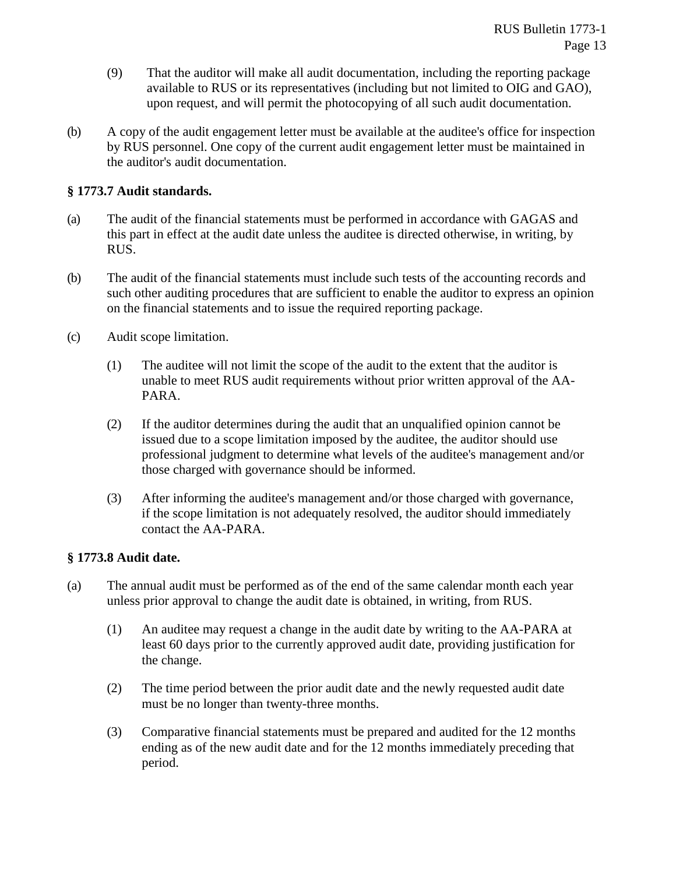- (9) That the auditor will make all audit documentation, including the reporting package available to RUS or its representatives (including but not limited to OIG and GAO), upon request, and will permit the photocopying of all such audit documentation.
- (b) A copy of the audit engagement letter must be available at the auditee's office for inspection by RUS personnel. One copy of the current audit engagement letter must be maintained in the auditor's audit documentation.

## **§ 1773.7 Audit standards.**

- (a) The audit of the financial statements must be performed in accordance with GAGAS and this part in effect at the audit date unless the auditee is directed otherwise, in writing, by RUS.
- (b) The audit of the financial statements must include such tests of the accounting records and such other auditing procedures that are sufficient to enable the auditor to express an opinion on the financial statements and to issue the required reporting package.
- (c) Audit scope limitation.
	- (1) The auditee will not limit the scope of the audit to the extent that the auditor is unable to meet RUS audit requirements without prior written approval of the AA-PARA.
	- (2) If the auditor determines during the audit that an unqualified opinion cannot be issued due to a scope limitation imposed by the auditee, the auditor should use professional judgment to determine what levels of the auditee's management and/or those charged with governance should be informed.
	- (3) After informing the auditee's management and/or those charged with governance, if the scope limitation is not adequately resolved, the auditor should immediately contact the AA-PARA.

## **§ 1773.8 Audit date.**

- (a) The annual audit must be performed as of the end of the same calendar month each year unless prior approval to change the audit date is obtained, in writing, from RUS.
	- (1) An auditee may request a change in the audit date by writing to the AA-PARA at least 60 days prior to the currently approved audit date, providing justification for the change.
	- (2) The time period between the prior audit date and the newly requested audit date must be no longer than twenty-three months.
	- (3) Comparative financial statements must be prepared and audited for the 12 months ending as of the new audit date and for the 12 months immediately preceding that period.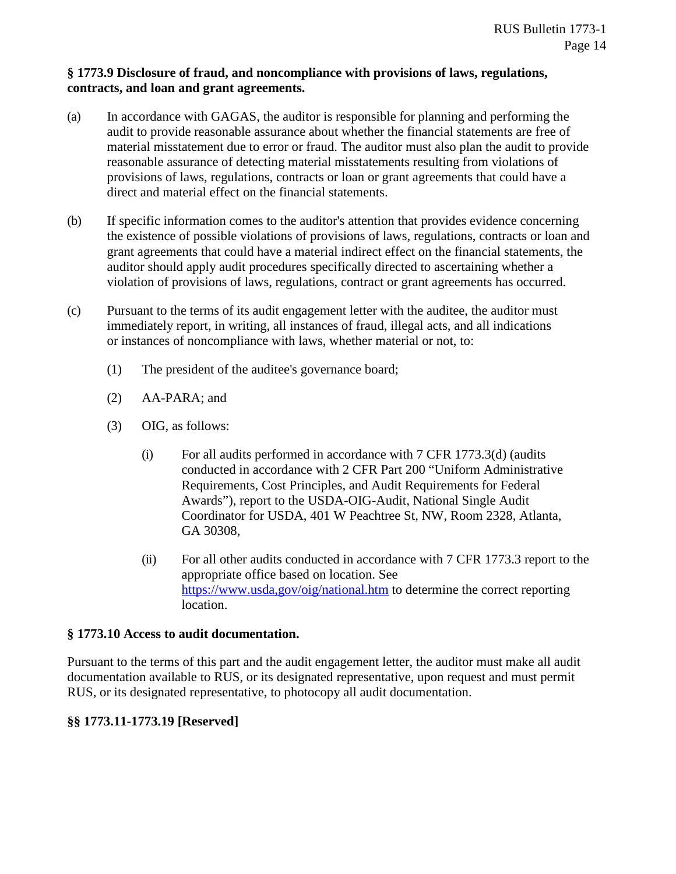### **§ 1773.9 Disclosure of fraud, and noncompliance with provisions of laws, regulations, contracts, and loan and grant agreements.**

- (a) In accordance with GAGAS, the auditor is responsible for planning and performing the audit to provide reasonable assurance about whether the financial statements are free of material misstatement due to error or fraud. The auditor must also plan the audit to provide reasonable assurance of detecting material misstatements resulting from violations of provisions of laws, regulations, contracts or loan or grant agreements that could have a direct and material effect on the financial statements.
- (b) If specific information comes to the auditor's attention that provides evidence concerning the existence of possible violations of provisions of laws, regulations, contracts or loan and grant agreements that could have a material indirect effect on the financial statements, the auditor should apply audit procedures specifically directed to ascertaining whether a violation of provisions of laws, regulations, contract or grant agreements has occurred.
- (c) Pursuant to the terms of its audit engagement letter with the auditee, the auditor must immediately report, in writing, all instances of fraud, illegal acts, and all indications or instances of noncompliance with laws, whether material or not, to:
	- (1) The president of the auditee's governance board;
	- (2) AA-PARA; and
	- (3) OIG, as follows:
		- (i) For all audits performed in accordance with 7 CFR 1773.3(d) (audits conducted in accordance with 2 CFR Part 200 "Uniform Administrative Requirements, Cost Principles, and Audit Requirements for Federal Awards"), report to the USDA-OIG-Audit, National Single Audit Coordinator for USDA, 401 W Peachtree St, NW, Room 2328, Atlanta, GA 30308,
		- (ii) For all other audits conducted in accordance with 7 CFR 1773.3 report to the appropriate office based on location. See <https://www.usda,gov/oig/national.htm> to determine the correct reporting location.

## **§ 1773.10 Access to audit documentation.**

Pursuant to the terms of this part and the audit engagement letter, the auditor must make all audit documentation available to RUS, or its designated representative, upon request and must permit RUS, or its designated representative, to photocopy all audit documentation.

## **§§ 1773.11-1773.19 [Reserved]**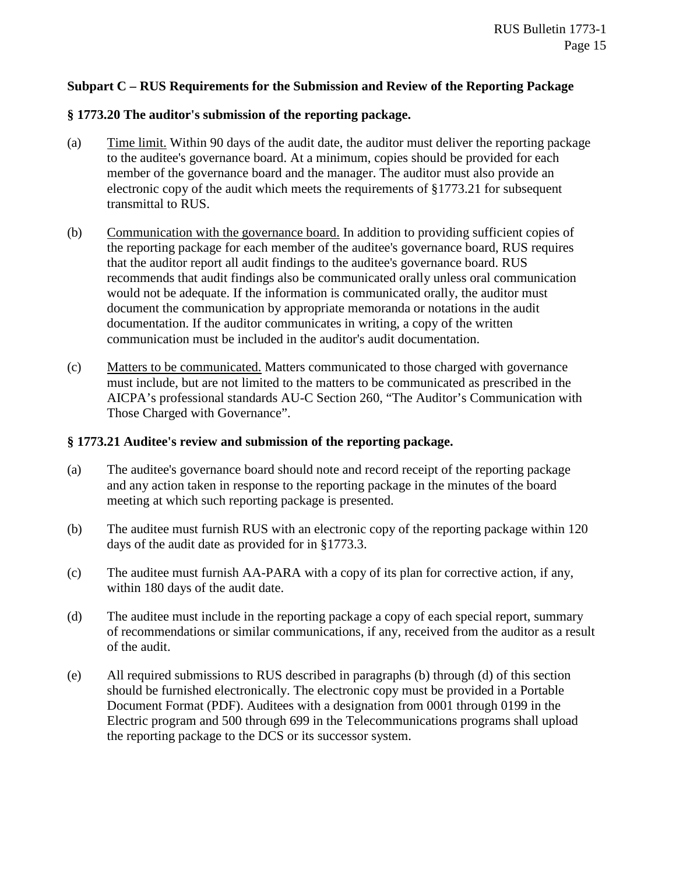### **Subpart C – RUS Requirements for the Submission and Review of the Reporting Package**

### **§ 1773.20 The auditor's submission of the reporting package.**

- (a) Time limit. Within 90 days of the audit date, the auditor must deliver the reporting package to the auditee's governance board. At a minimum, copies should be provided for each member of the governance board and the manager. The auditor must also provide an electronic copy of the audit which meets the requirements of §1773.21 for subsequent transmittal to RUS.
- (b) Communication with the governance board. In addition to providing sufficient copies of the reporting package for each member of the auditee's governance board, RUS requires that the auditor report all audit findings to the auditee's governance board. RUS recommends that audit findings also be communicated orally unless oral communication would not be adequate. If the information is communicated orally, the auditor must document the communication by appropriate memoranda or notations in the audit documentation. If the auditor communicates in writing, a copy of the written communication must be included in the auditor's audit documentation.
- (c) Matters to be communicated. Matters communicated to those charged with governance must include, but are not limited to the matters to be communicated as prescribed in the AICPA's professional standards AU-C Section 260, "The Auditor's Communication with Those Charged with Governance".

#### **§ 1773.21 Auditee's review and submission of the reporting package.**

- (a) The auditee's governance board should note and record receipt of the reporting package and any action taken in response to the reporting package in the minutes of the board meeting at which such reporting package is presented.
- (b) The auditee must furnish RUS with an electronic copy of the reporting package within 120 days of the audit date as provided for in §1773.3.
- (c) The auditee must furnish AA-PARA with a copy of its plan for corrective action, if any, within 180 days of the audit date.
- (d) The auditee must include in the reporting package a copy of each special report, summary of recommendations or similar communications, if any, received from the auditor as a result of the audit.
- (e) All required submissions to RUS described in paragraphs (b) through (d) of this section should be furnished electronically. The electronic copy must be provided in a Portable Document Format (PDF). Auditees with a designation from 0001 through 0199 in the Electric program and 500 through 699 in the Telecommunications programs shall upload the reporting package to the DCS or its successor system.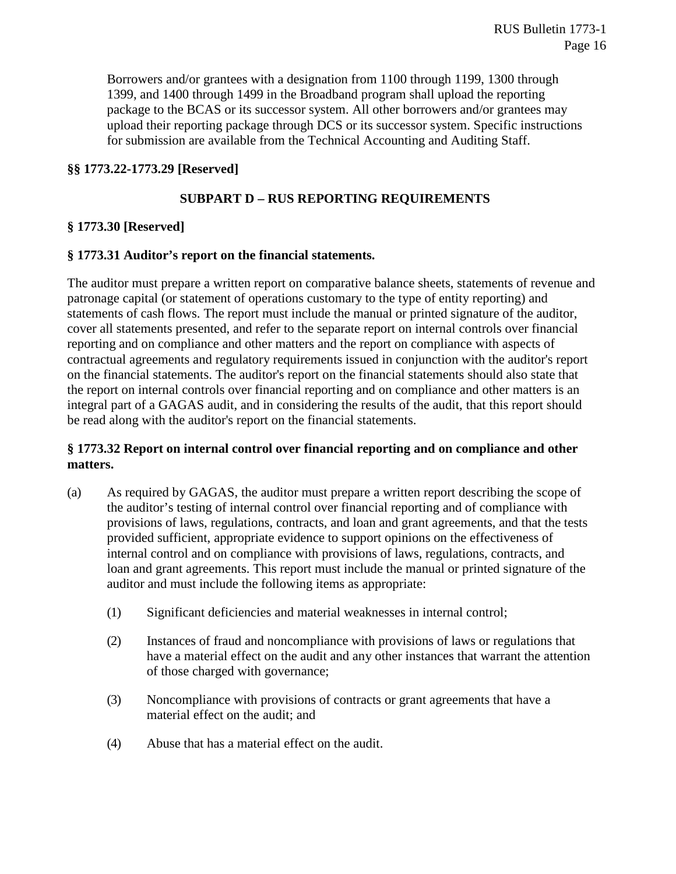Borrowers and/or grantees with a designation from 1100 through 1199, 1300 through 1399, and 1400 through 1499 in the Broadband program shall upload the reporting package to the BCAS or its successor system. All other borrowers and/or grantees may upload their reporting package through DCS or its successor system. Specific instructions for submission are available from the Technical Accounting and Auditing Staff.

## **§§ 1773.22-1773.29 [Reserved]**

## **SUBPART D – RUS REPORTING REQUIREMENTS**

## **§ 1773.30 [Reserved]**

### **§ 1773.31 Auditor's report on the financial statements.**

The auditor must prepare a written report on comparative balance sheets, statements of revenue and patronage capital (or statement of operations customary to the type of entity reporting) and statements of cash flows. The report must include the manual or printed signature of the auditor, cover all statements presented, and refer to the separate report on internal controls over financial reporting and on compliance and other matters and the report on compliance with aspects of contractual agreements and regulatory requirements issued in conjunction with the auditor's report on the financial statements. The auditor's report on the financial statements should also state that the report on internal controls over financial reporting and on compliance and other matters is an integral part of a GAGAS audit, and in considering the results of the audit, that this report should be read along with the auditor's report on the financial statements.

### **§ 1773.32 Report on internal control over financial reporting and on compliance and other matters.**

- (a) As required by GAGAS, the auditor must prepare a written report describing the scope of the auditor's testing of internal control over financial reporting and of compliance with provisions of laws, regulations, contracts, and loan and grant agreements, and that the tests provided sufficient, appropriate evidence to support opinions on the effectiveness of internal control and on compliance with provisions of laws, regulations, contracts, and loan and grant agreements. This report must include the manual or printed signature of the auditor and must include the following items as appropriate:
	- (1) Significant deficiencies and material weaknesses in internal control;
	- (2) Instances of fraud and noncompliance with provisions of laws or regulations that have a material effect on the audit and any other instances that warrant the attention of those charged with governance;
	- (3) Noncompliance with provisions of contracts or grant agreements that have a material effect on the audit; and
	- (4) Abuse that has a material effect on the audit.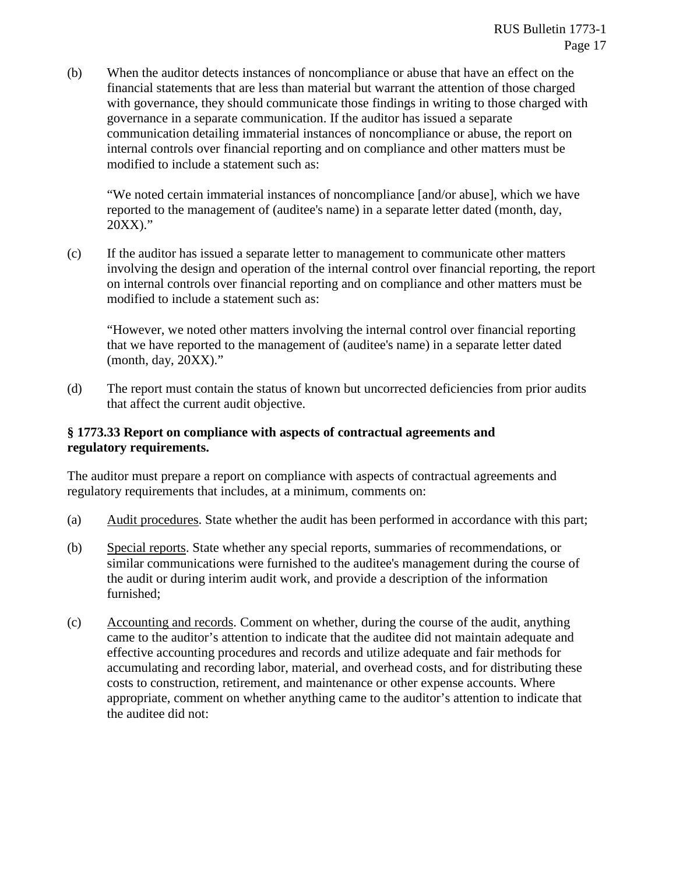(b) When the auditor detects instances of noncompliance or abuse that have an effect on the financial statements that are less than material but warrant the attention of those charged with governance, they should communicate those findings in writing to those charged with governance in a separate communication. If the auditor has issued a separate communication detailing immaterial instances of noncompliance or abuse, the report on internal controls over financial reporting and on compliance and other matters must be modified to include a statement such as:

"We noted certain immaterial instances of noncompliance [and/or abuse], which we have reported to the management of (auditee's name) in a separate letter dated (month, day, 20XX)."

(c) If the auditor has issued a separate letter to management to communicate other matters involving the design and operation of the internal control over financial reporting, the report on internal controls over financial reporting and on compliance and other matters must be modified to include a statement such as:

"However, we noted other matters involving the internal control over financial reporting that we have reported to the management of (auditee's name) in a separate letter dated (month, day, 20XX)."

(d) The report must contain the status of known but uncorrected deficiencies from prior audits that affect the current audit objective.

#### **§ 1773.33 Report on compliance with aspects of contractual agreements and regulatory requirements.**

The auditor must prepare a report on compliance with aspects of contractual agreements and regulatory requirements that includes, at a minimum, comments on:

- (a) Audit procedures. State whether the audit has been performed in accordance with this part;
- (b) Special reports. State whether any special reports, summaries of recommendations, or similar communications were furnished to the auditee's management during the course of the audit or during interim audit work, and provide a description of the information furnished;
- (c) Accounting and records. Comment on whether, during the course of the audit, anything came to the auditor's attention to indicate that the auditee did not maintain adequate and effective accounting procedures and records and utilize adequate and fair methods for accumulating and recording labor, material, and overhead costs, and for distributing these costs to construction, retirement, and maintenance or other expense accounts. Where appropriate, comment on whether anything came to the auditor's attention to indicate that the auditee did not: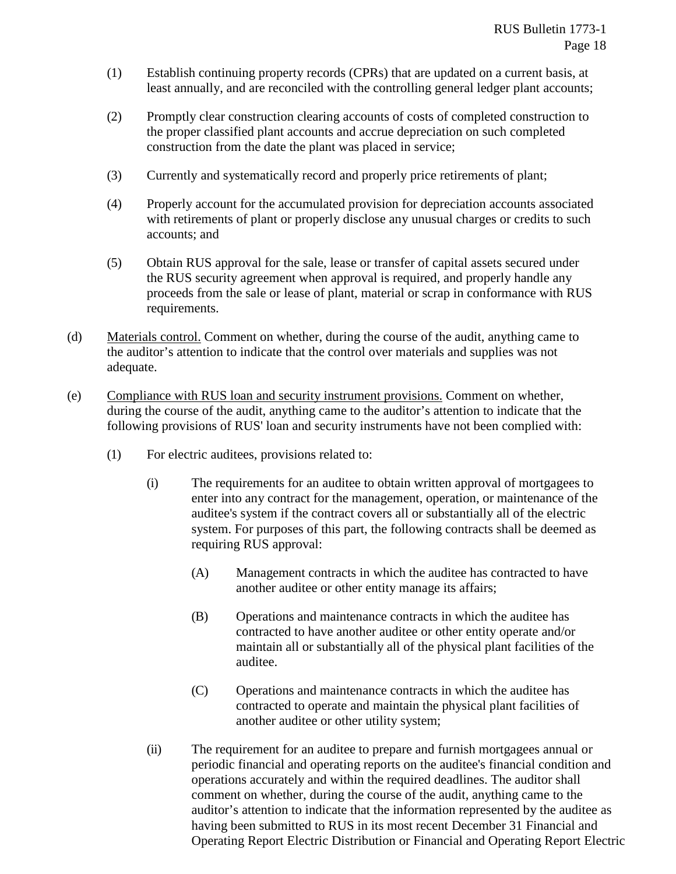- (1) Establish continuing property records (CPRs) that are updated on a current basis, at least annually, and are reconciled with the controlling general ledger plant accounts;
- (2) Promptly clear construction clearing accounts of costs of completed construction to the proper classified plant accounts and accrue depreciation on such completed construction from the date the plant was placed in service;
- (3) Currently and systematically record and properly price retirements of plant;
- (4) Properly account for the accumulated provision for depreciation accounts associated with retirements of plant or properly disclose any unusual charges or credits to such accounts; and
- (5) Obtain RUS approval for the sale, lease or transfer of capital assets secured under the RUS security agreement when approval is required, and properly handle any proceeds from the sale or lease of plant, material or scrap in conformance with RUS requirements.
- (d) Materials control. Comment on whether, during the course of the audit, anything came to the auditor's attention to indicate that the control over materials and supplies was not adequate.
- (e) Compliance with RUS loan and security instrument provisions. Comment on whether, during the course of the audit, anything came to the auditor's attention to indicate that the following provisions of RUS' loan and security instruments have not been complied with:
	- (1) For electric auditees, provisions related to:
		- (i) The requirements for an auditee to obtain written approval of mortgagees to enter into any contract for the management, operation, or maintenance of the auditee's system if the contract covers all or substantially all of the electric system. For purposes of this part, the following contracts shall be deemed as requiring RUS approval:
			- (A) Management contracts in which the auditee has contracted to have another auditee or other entity manage its affairs;
			- (B) Operations and maintenance contracts in which the auditee has contracted to have another auditee or other entity operate and/or maintain all or substantially all of the physical plant facilities of the auditee.
			- (C) Operations and maintenance contracts in which the auditee has contracted to operate and maintain the physical plant facilities of another auditee or other utility system;
		- (ii) The requirement for an auditee to prepare and furnish mortgagees annual or periodic financial and operating reports on the auditee's financial condition and operations accurately and within the required deadlines. The auditor shall comment on whether, during the course of the audit, anything came to the auditor's attention to indicate that the information represented by the auditee as having been submitted to RUS in its most recent December 31 Financial and Operating Report Electric Distribution or Financial and Operating Report Electric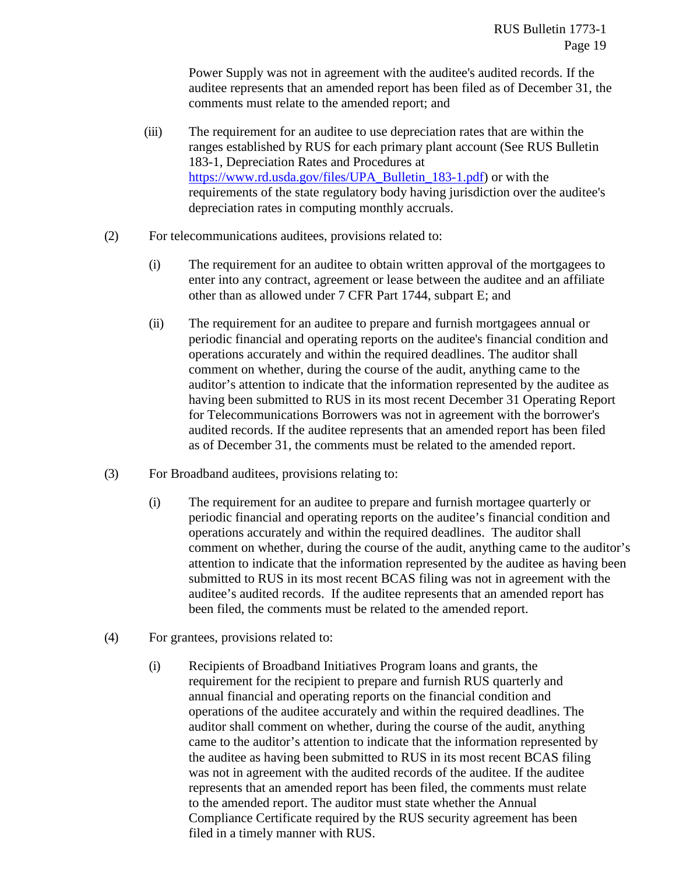Power Supply was not in agreement with the auditee's audited records. If the auditee represents that an amended report has been filed as of December 31, the comments must relate to the amended report; and

- (iii) The requirement for an auditee to use depreciation rates that are within the ranges established by RUS for each primary plant account (See RUS Bulletin 183-1, Depreciation Rates and Procedures at [https://www.rd.usda.gov/files/UPA\\_Bulletin\\_183-1.pdf\)](https://www.rd.usda.gov/files/UPA_Bulletin_183-1.pdf) or with the requirements of the state regulatory body having jurisdiction over the auditee's depreciation rates in computing monthly accruals.
- (2) For telecommunications auditees, provisions related to:
	- (i) The requirement for an auditee to obtain written approval of the mortgagees to enter into any contract, agreement or lease between the auditee and an affiliate other than as allowed under 7 CFR Part 1744, subpart E; and
	- (ii) The requirement for an auditee to prepare and furnish mortgagees annual or periodic financial and operating reports on the auditee's financial condition and operations accurately and within the required deadlines. The auditor shall comment on whether, during the course of the audit, anything came to the auditor's attention to indicate that the information represented by the auditee as having been submitted to RUS in its most recent December 31 Operating Report for Telecommunications Borrowers was not in agreement with the borrower's audited records. If the auditee represents that an amended report has been filed as of December 31, the comments must be related to the amended report.
- (3) For Broadband auditees, provisions relating to:
	- (i) The requirement for an auditee to prepare and furnish mortagee quarterly or periodic financial and operating reports on the auditee's financial condition and operations accurately and within the required deadlines. The auditor shall comment on whether, during the course of the audit, anything came to the auditor's attention to indicate that the information represented by the auditee as having been submitted to RUS in its most recent BCAS filing was not in agreement with the auditee's audited records. If the auditee represents that an amended report has been filed, the comments must be related to the amended report.
- (4) For grantees, provisions related to:
	- (i) Recipients of Broadband Initiatives Program loans and grants, the requirement for the recipient to prepare and furnish RUS quarterly and annual financial and operating reports on the financial condition and operations of the auditee accurately and within the required deadlines. The auditor shall comment on whether, during the course of the audit, anything came to the auditor's attention to indicate that the information represented by the auditee as having been submitted to RUS in its most recent BCAS filing was not in agreement with the audited records of the auditee. If the auditee represents that an amended report has been filed, the comments must relate to the amended report. The auditor must state whether the Annual Compliance Certificate required by the RUS security agreement has been filed in a timely manner with RUS.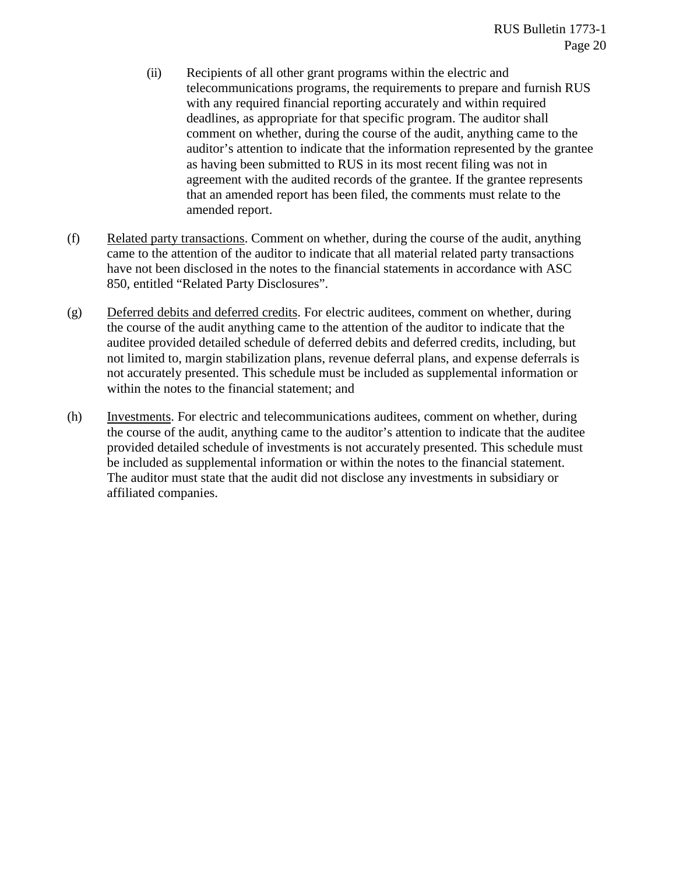- (ii) Recipients of all other grant programs within the electric and telecommunications programs, the requirements to prepare and furnish RUS with any required financial reporting accurately and within required deadlines, as appropriate for that specific program. The auditor shall comment on whether, during the course of the audit, anything came to the auditor's attention to indicate that the information represented by the grantee as having been submitted to RUS in its most recent filing was not in agreement with the audited records of the grantee. If the grantee represents that an amended report has been filed, the comments must relate to the amended report.
- (f) Related party transactions. Comment on whether, during the course of the audit, anything came to the attention of the auditor to indicate that all material related party transactions have not been disclosed in the notes to the financial statements in accordance with ASC 850, entitled "Related Party Disclosures".
- (g) Deferred debits and deferred credits. For electric auditees, comment on whether, during the course of the audit anything came to the attention of the auditor to indicate that the auditee provided detailed schedule of deferred debits and deferred credits, including, but not limited to, margin stabilization plans, revenue deferral plans, and expense deferrals is not accurately presented. This schedule must be included as supplemental information or within the notes to the financial statement; and
- (h) Investments. For electric and telecommunications auditees, comment on whether, during the course of the audit, anything came to the auditor's attention to indicate that the auditee provided detailed schedule of investments is not accurately presented. This schedule must be included as supplemental information or within the notes to the financial statement. The auditor must state that the audit did not disclose any investments in subsidiary or affiliated companies.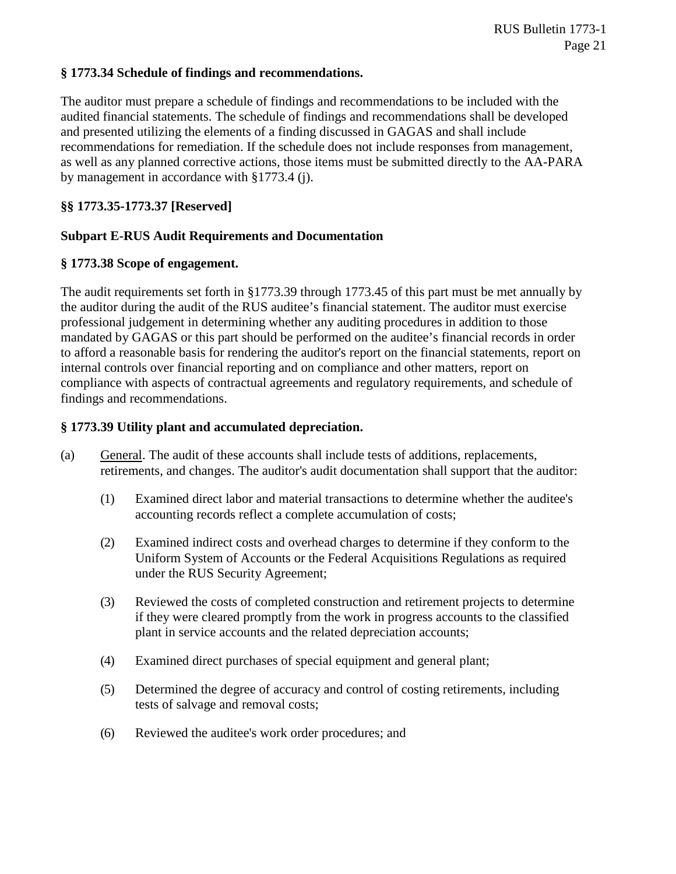### **§ 1773.34 Schedule of findings and recommendations.**

The auditor must prepare a schedule of findings and recommendations to be included with the audited financial statements. The schedule of findings and recommendations shall be developed and presented utilizing the elements of a finding discussed in GAGAS and shall include recommendations for remediation. If the schedule does not include responses from management, as well as any planned corrective actions, those items must be submitted directly to the AA-PARA by management in accordance with §1773.4 (j).

### **§§ 1773.35-1773.37 [Reserved]**

### **Subpart E-RUS Audit Requirements and Documentation**

### **§ 1773.38 Scope of engagement.**

The audit requirements set forth in §1773.39 through 1773.45 of this part must be met annually by the auditor during the audit of the RUS auditee's financial statement. The auditor must exercise professional judgement in determining whether any auditing procedures in addition to those mandated by GAGAS or this part should be performed on the auditee's financial records in order to afford a reasonable basis for rendering the auditor's report on the financial statements, report on internal controls over financial reporting and on compliance and other matters, report on compliance with aspects of contractual agreements and regulatory requirements, and schedule of findings and recommendations.

#### **§ 1773.39 Utility plant and accumulated depreciation.**

- (a) General. The audit of these accounts shall include tests of additions, replacements, retirements, and changes. The auditor's audit documentation shall support that the auditor:
	- (1) Examined direct labor and material transactions to determine whether the auditee's accounting records reflect a complete accumulation of costs;
	- (2) Examined indirect costs and overhead charges to determine if they conform to the Uniform System of Accounts or the Federal Acquisitions Regulations as required under the RUS Security Agreement;
	- (3) Reviewed the costs of completed construction and retirement projects to determine if they were cleared promptly from the work in progress accounts to the classified plant in service accounts and the related depreciation accounts;
	- (4) Examined direct purchases of special equipment and general plant;
	- (5) Determined the degree of accuracy and control of costing retirements, including tests of salvage and removal costs;
	- (6) Reviewed the auditee's work order procedures; and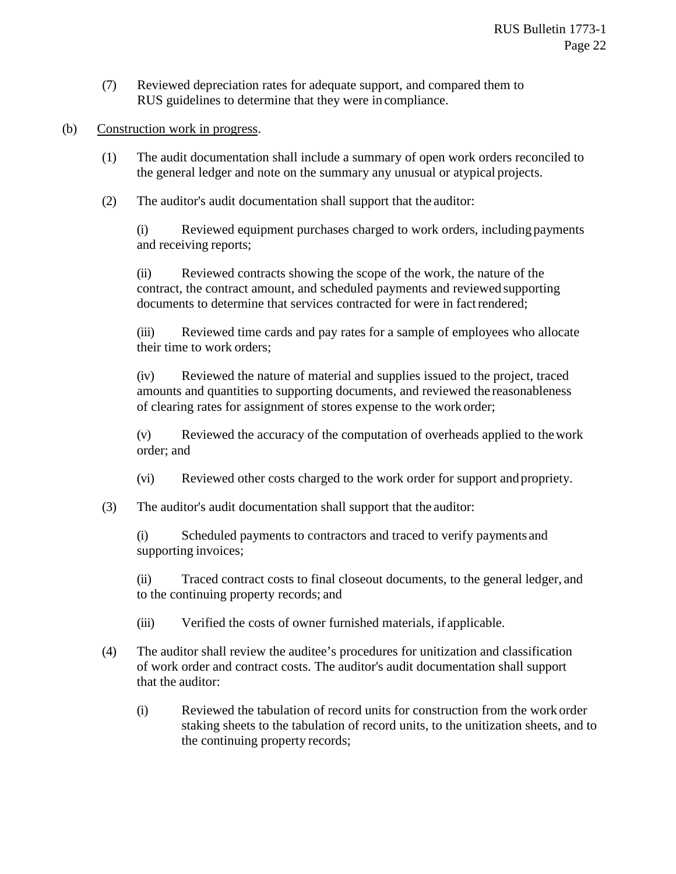- (7) Reviewed depreciation rates for adequate support, and compared them to RUS guidelines to determine that they were in compliance.
- (b) Construction work in progress.
	- (1) The audit documentation shall include a summary of open work orders reconciled to the general ledger and note on the summary any unusual or atypical projects.
	- (2) The auditor's audit documentation shall support that the auditor:

(i) Reviewed equipment purchases charged to work orders, including payments and receiving reports;

(ii) Reviewed contracts showing the scope of the work, the nature of the contract, the contract amount, and scheduled payments and reviewed supporting documents to determine that services contracted for were in factrendered;

(iii) Reviewed time cards and pay rates for a sample of employees who allocate their time to work orders;

(iv) Reviewed the nature of material and supplies issued to the project, traced amounts and quantities to supporting documents, and reviewed the reasonableness of clearing rates for assignment of stores expense to the work order;

(v) Reviewed the accuracy of the computation of overheads applied to thework order; and

(vi) Reviewed other costs charged to the work order for support andpropriety.

(3) The auditor's audit documentation shall support that the auditor:

(i) Scheduled payments to contractors and traced to verify payments and supporting invoices;

(ii) Traced contract costs to final closeout documents, to the general ledger, and to the continuing property records; and

- (iii) Verified the costs of owner furnished materials, if applicable.
- (4) The auditor shall review the auditee's procedures for unitization and classification of work order and contract costs. The auditor's audit documentation shall support that the auditor:
	- (i) Reviewed the tabulation of record units for construction from the work order staking sheets to the tabulation of record units, to the unitization sheets, and to the continuing property records;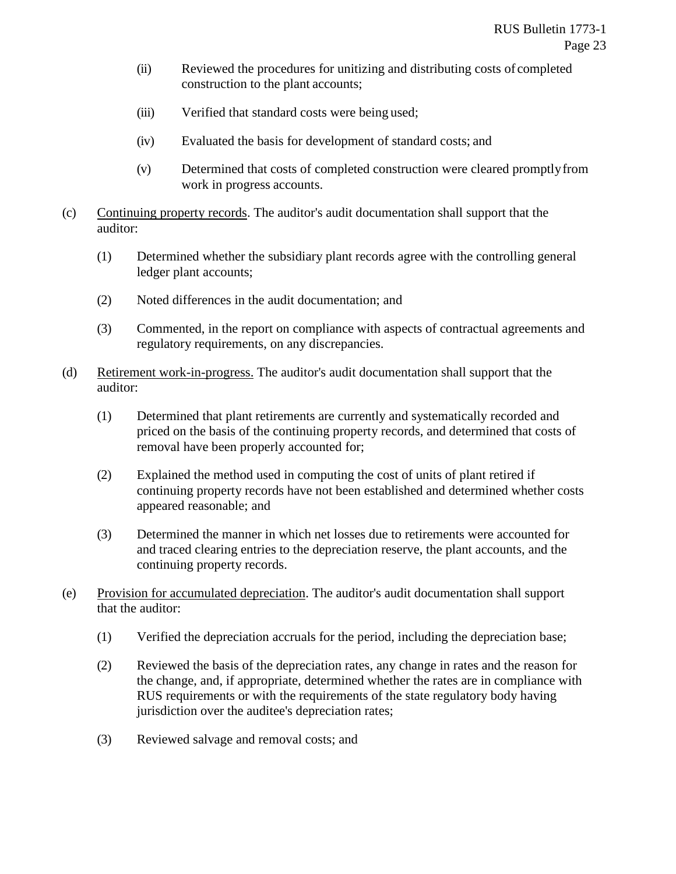- (ii) Reviewed the procedures for unitizing and distributing costs of completed construction to the plant accounts;
- (iii) Verified that standard costs were being used;
- (iv) Evaluated the basis for development of standard costs; and
- (v) Determined that costs of completed construction were cleared promptlyfrom work in progress accounts.
- (c) Continuing property records. The auditor's audit documentation shall support that the auditor:
	- (1) Determined whether the subsidiary plant records agree with the controlling general ledger plant accounts;
	- (2) Noted differences in the audit documentation; and
	- (3) Commented, in the report on compliance with aspects of contractual agreements and regulatory requirements, on any discrepancies.
- (d) Retirement work-in-progress. The auditor's audit documentation shall support that the auditor:
	- (1) Determined that plant retirements are currently and systematically recorded and priced on the basis of the continuing property records, and determined that costs of removal have been properly accounted for;
	- (2) Explained the method used in computing the cost of units of plant retired if continuing property records have not been established and determined whether costs appeared reasonable; and
	- (3) Determined the manner in which net losses due to retirements were accounted for and traced clearing entries to the depreciation reserve, the plant accounts, and the continuing property records.
- (e) Provision for accumulated depreciation. The auditor's audit documentation shall support that the auditor:
	- (1) Verified the depreciation accruals for the period, including the depreciation base;
	- (2) Reviewed the basis of the depreciation rates, any change in rates and the reason for the change, and, if appropriate, determined whether the rates are in compliance with RUS requirements or with the requirements of the state regulatory body having jurisdiction over the auditee's depreciation rates;
	- (3) Reviewed salvage and removal costs; and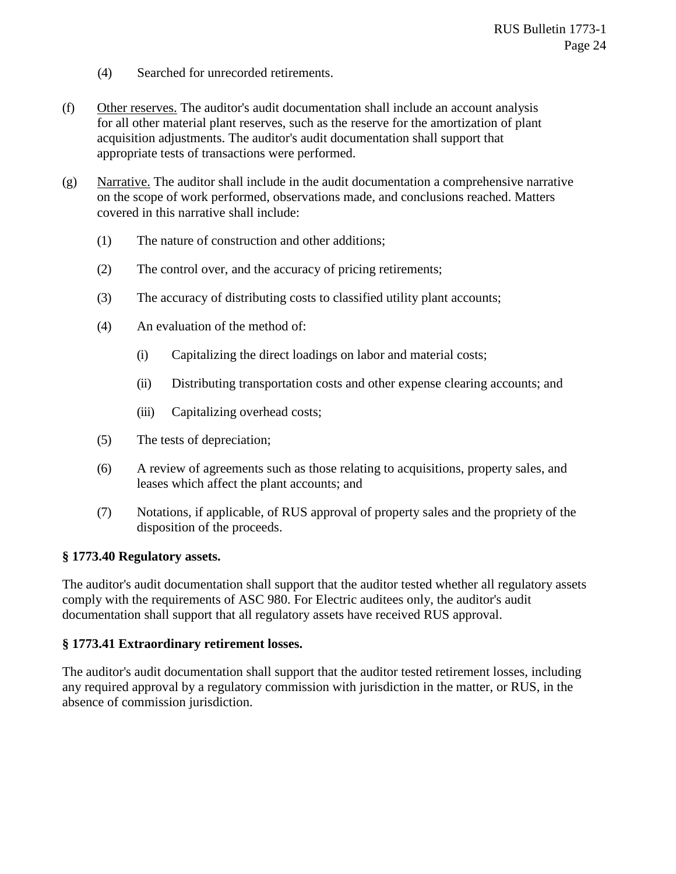- (4) Searched for unrecorded retirements.
- (f) Other reserves. The auditor's audit documentation shall include an account analysis for all other material plant reserves, such as the reserve for the amortization of plant acquisition adjustments. The auditor's audit documentation shall support that appropriate tests of transactions were performed.
- (g) Narrative. The auditor shall include in the audit documentation a comprehensive narrative on the scope of work performed, observations made, and conclusions reached. Matters covered in this narrative shall include:
	- (1) The nature of construction and other additions;
	- (2) The control over, and the accuracy of pricing retirements;
	- (3) The accuracy of distributing costs to classified utility plant accounts;
	- (4) An evaluation of the method of:
		- (i) Capitalizing the direct loadings on labor and material costs;
		- (ii) Distributing transportation costs and other expense clearing accounts; and
		- (iii) Capitalizing overhead costs;
	- (5) The tests of depreciation;
	- (6) A review of agreements such as those relating to acquisitions, property sales, and leases which affect the plant accounts; and
	- (7) Notations, if applicable, of RUS approval of property sales and the propriety of the disposition of the proceeds.

#### **§ 1773.40 Regulatory assets.**

The auditor's audit documentation shall support that the auditor tested whether all regulatory assets comply with the requirements of ASC 980. For Electric auditees only, the auditor's audit documentation shall support that all regulatory assets have received RUS approval.

## **§ 1773.41 Extraordinary retirement losses.**

The auditor's audit documentation shall support that the auditor tested retirement losses, including any required approval by a regulatory commission with jurisdiction in the matter, or RUS, in the absence of commission jurisdiction.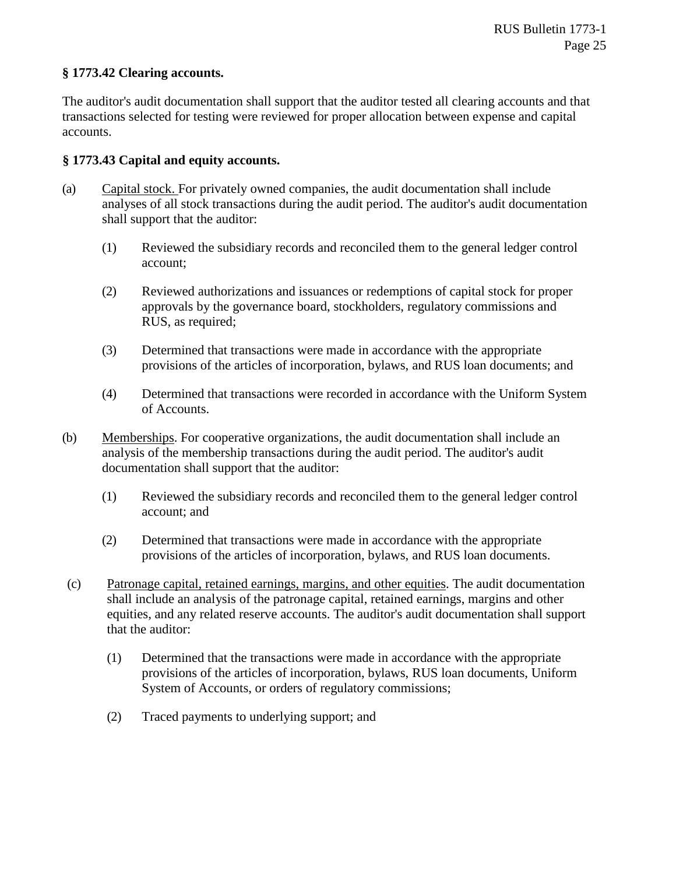## **§ 1773.42 Clearing accounts.**

The auditor's audit documentation shall support that the auditor tested all clearing accounts and that transactions selected for testing were reviewed for proper allocation between expense and capital accounts.

### **§ 1773.43 Capital and equity accounts.**

- (a) Capital stock. For privately owned companies, the audit documentation shall include analyses of all stock transactions during the audit period. The auditor's audit documentation shall support that the auditor:
	- (1) Reviewed the subsidiary records and reconciled them to the general ledger control account;
	- (2) Reviewed authorizations and issuances or redemptions of capital stock for proper approvals by the governance board, stockholders, regulatory commissions and RUS, as required;
	- (3) Determined that transactions were made in accordance with the appropriate provisions of the articles of incorporation, bylaws, and RUS loan documents; and
	- (4) Determined that transactions were recorded in accordance with the Uniform System of Accounts.
- (b) Memberships. For cooperative organizations, the audit documentation shall include an analysis of the membership transactions during the audit period. The auditor's audit documentation shall support that the auditor:
	- (1) Reviewed the subsidiary records and reconciled them to the general ledger control account; and
	- (2) Determined that transactions were made in accordance with the appropriate provisions of the articles of incorporation, bylaws, and RUS loan documents.
- (c) Patronage capital, retained earnings, margins, and other equities. The audit documentation shall include an analysis of the patronage capital, retained earnings, margins and other equities, and any related reserve accounts. The auditor's audit documentation shall support that the auditor:
	- (1) Determined that the transactions were made in accordance with the appropriate provisions of the articles of incorporation, bylaws, RUS loan documents, Uniform System of Accounts, or orders of regulatory commissions;
	- (2) Traced payments to underlying support; and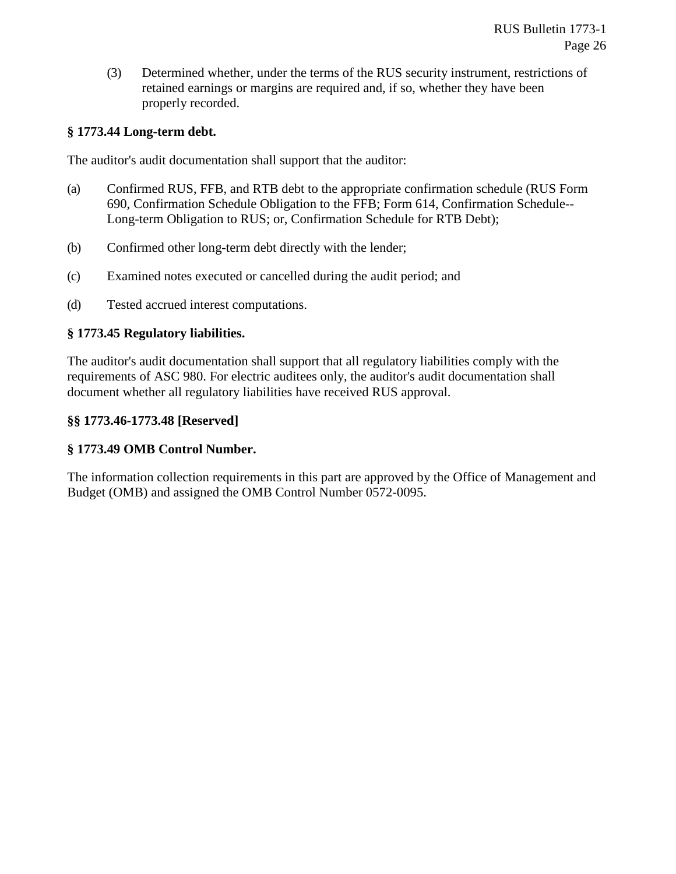(3) Determined whether, under the terms of the RUS security instrument, restrictions of retained earnings or margins are required and, if so, whether they have been properly recorded.

### **§ 1773.44 Long-term debt.**

The auditor's audit documentation shall support that the auditor:

- (a) Confirmed RUS, FFB, and RTB debt to the appropriate confirmation schedule (RUS Form 690, Confirmation Schedule Obligation to the FFB; Form 614, Confirmation Schedule-- Long-term Obligation to RUS; or, Confirmation Schedule for RTB Debt);
- (b) Confirmed other long-term debt directly with the lender;
- (c) Examined notes executed or cancelled during the audit period; and
- (d) Tested accrued interest computations.

## **§ 1773.45 Regulatory liabilities.**

The auditor's audit documentation shall support that all regulatory liabilities comply with the requirements of ASC 980. For electric auditees only, the auditor's audit documentation shall document whether all regulatory liabilities have received RUS approval.

### **§§ 1773.46-1773.48 [Reserved]**

## **§ 1773.49 OMB Control Number.**

The information collection requirements in this part are approved by the Office of Management and Budget (OMB) and assigned the OMB Control Number 0572-0095.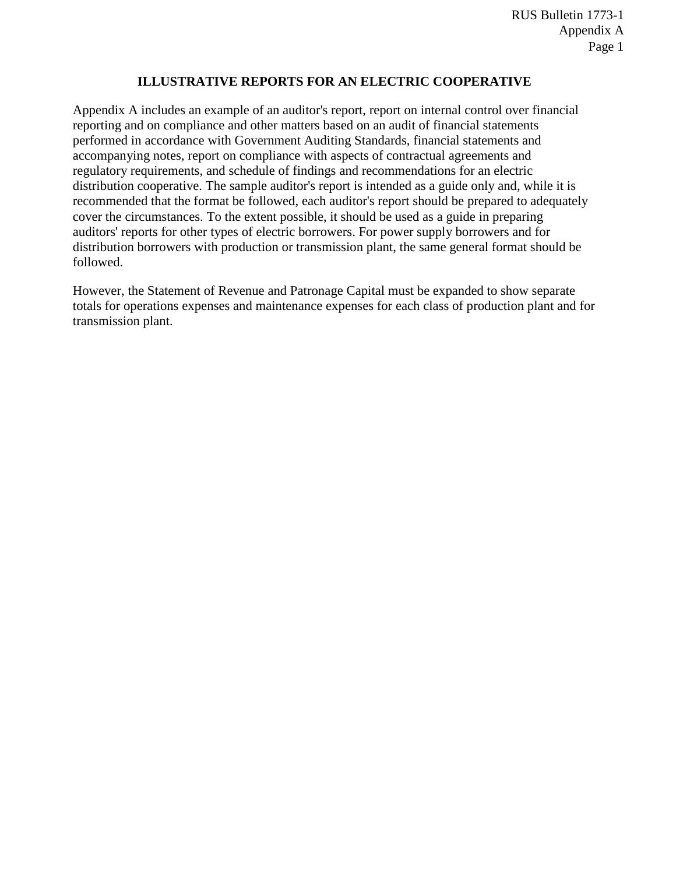## **ILLUSTRATIVE REPORTS FOR AN ELECTRIC COOPERATIVE**

Appendix A includes an example of an auditor's report, report on internal control over financial reporting and on compliance and other matters based on an audit of financial statements performed in accordance with Government Auditing Standards, financial statements and accompanying notes, report on compliance with aspects of contractual agreements and regulatory requirements, and schedule of findings and recommendations for an electric distribution cooperative. The sample auditor's report is intended as a guide only and, while it is recommended that the format be followed, each auditor's report should be prepared to adequately cover the circumstances. To the extent possible, it should be used as a guide in preparing auditors' reports for other types of electric borrowers. For power supply borrowers and for distribution borrowers with production or transmission plant, the same general format should be followed.

However, the Statement of Revenue and Patronage Capital must be expanded to show separate totals for operations expenses and maintenance expenses for each class of production plant and for transmission plant.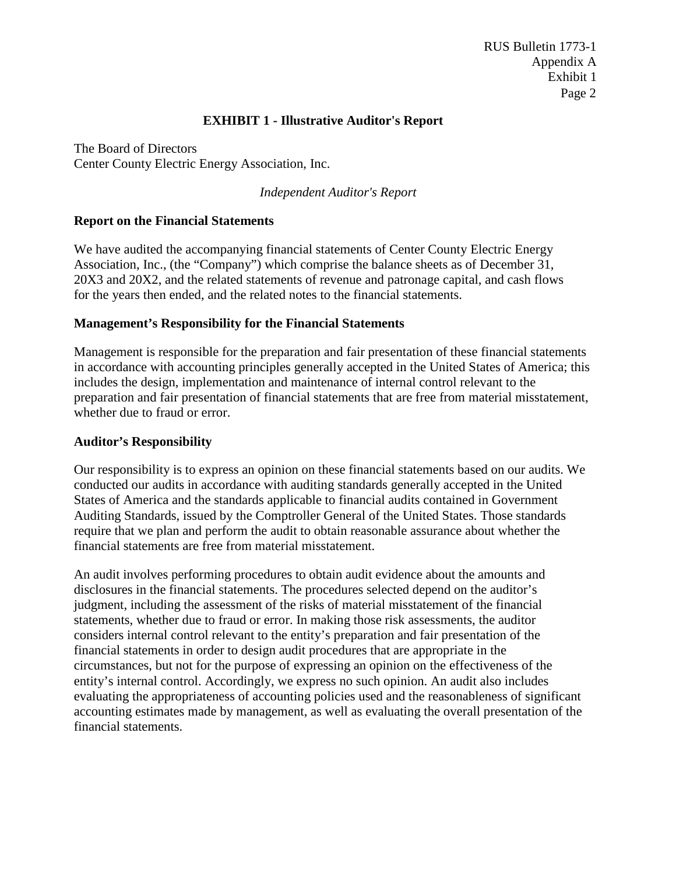## **EXHIBIT 1 - Illustrative Auditor's Report**

The Board of Directors Center County Electric Energy Association, Inc.

*Independent Auditor's Report*

### **Report on the Financial Statements**

We have audited the accompanying financial statements of Center County Electric Energy Association, Inc., (the "Company") which comprise the balance sheets as of December 31, 20X3 and 20X2, and the related statements of revenue and patronage capital, and cash flows for the years then ended, and the related notes to the financial statements.

### **Management's Responsibility for the Financial Statements**

Management is responsible for the preparation and fair presentation of these financial statements in accordance with accounting principles generally accepted in the United States of America; this includes the design, implementation and maintenance of internal control relevant to the preparation and fair presentation of financial statements that are free from material misstatement, whether due to fraud or error.

### **Auditor's Responsibility**

Our responsibility is to express an opinion on these financial statements based on our audits. We conducted our audits in accordance with auditing standards generally accepted in the United States of America and the standards applicable to financial audits contained in Government Auditing Standards, issued by the Comptroller General of the United States. Those standards require that we plan and perform the audit to obtain reasonable assurance about whether the financial statements are free from material misstatement.

An audit involves performing procedures to obtain audit evidence about the amounts and disclosures in the financial statements. The procedures selected depend on the auditor's judgment, including the assessment of the risks of material misstatement of the financial statements, whether due to fraud or error. In making those risk assessments, the auditor considers internal control relevant to the entity's preparation and fair presentation of the financial statements in order to design audit procedures that are appropriate in the circumstances, but not for the purpose of expressing an opinion on the effectiveness of the entity's internal control. Accordingly, we express no such opinion. An audit also includes evaluating the appropriateness of accounting policies used and the reasonableness of significant accounting estimates made by management, as well as evaluating the overall presentation of the financial statements.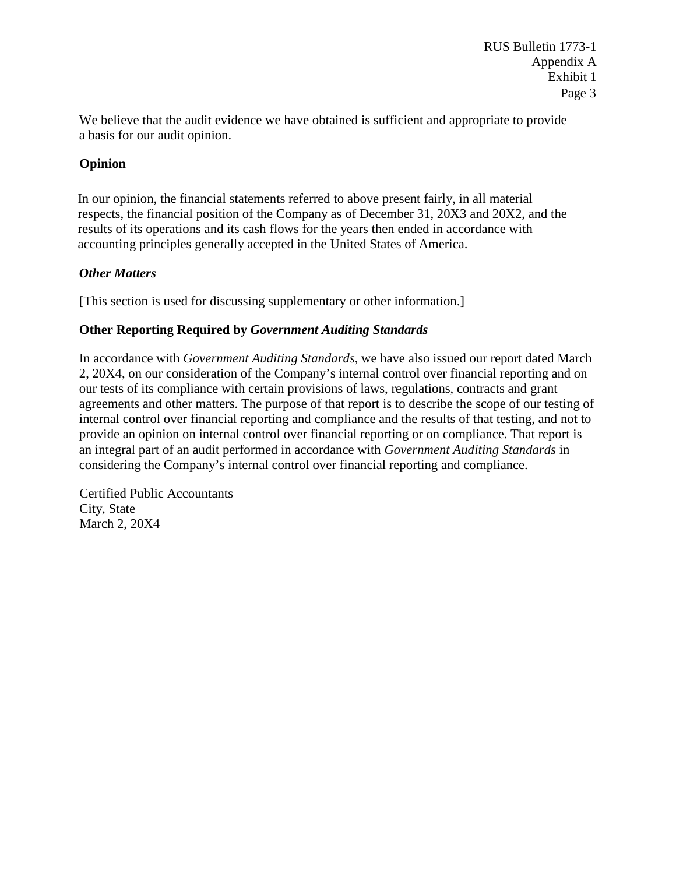We believe that the audit evidence we have obtained is sufficient and appropriate to provide a basis for our audit opinion.

## **Opinion**

In our opinion, the financial statements referred to above present fairly, in all material respects, the financial position of the Company as of December 31, 20X3 and 20X2, and the results of its operations and its cash flows for the years then ended in accordance with accounting principles generally accepted in the United States of America.

## *Other Matters*

[This section is used for discussing supplementary or other information.]

## **Other Reporting Required by** *Government Auditing Standards*

In accordance with *Government Auditing Standards*, we have also issued our report dated March 2, 20X4, on our consideration of the Company's internal control over financial reporting and on our tests of its compliance with certain provisions of laws, regulations, contracts and grant agreements and other matters. The purpose of that report is to describe the scope of our testing of internal control over financial reporting and compliance and the results of that testing, and not to provide an opinion on internal control over financial reporting or on compliance. That report is an integral part of an audit performed in accordance with *Government Auditing Standards* in considering the Company's internal control over financial reporting and compliance.

Certified Public Accountants City, State March 2, 20X4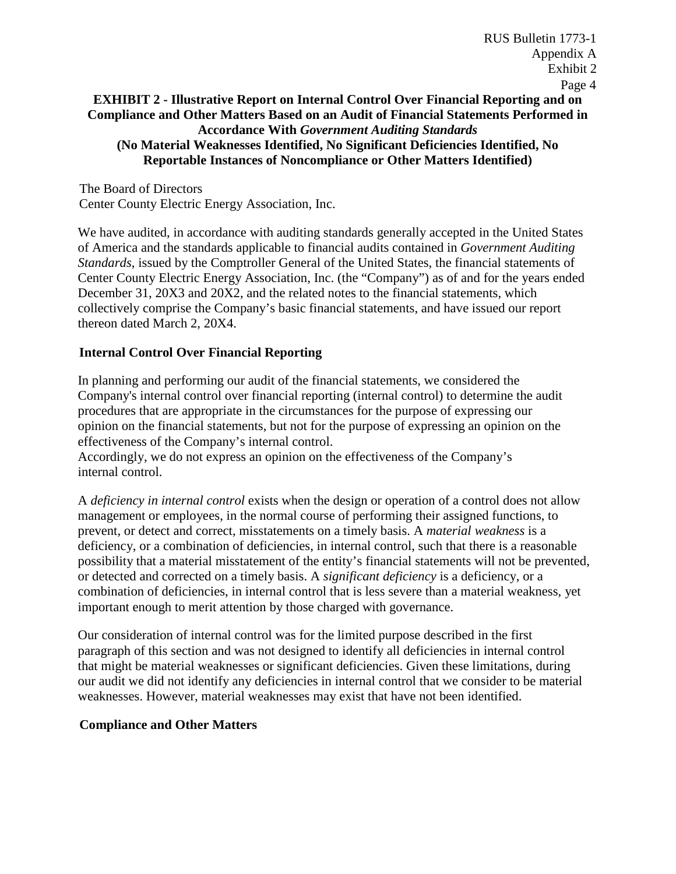RUS Bulletin 1773-1 Appendix A Exhibit 2 Page 4

### **EXHIBIT 2 - Illustrative Report on Internal Control Over Financial Reporting and on Compliance and Other Matters Based on an Audit of Financial Statements Performed in Accordance With** *Government Auditing Standards*

**(No Material Weaknesses Identified, No Significant Deficiencies Identified, No Reportable Instances of Noncompliance or Other Matters Identified)**

The Board of Directors Center County Electric Energy Association, Inc.

We have audited, in accordance with auditing standards generally accepted in the United States of America and the standards applicable to financial audits contained in *Government Auditing Standards*, issued by the Comptroller General of the United States, the financial statements of Center County Electric Energy Association, Inc. (the "Company") as of and for the years ended December 31, 20X3 and 20X2, and the related notes to the financial statements, which collectively comprise the Company's basic financial statements, and have issued our report thereon dated March 2, 20X4.

## **Internal Control Over Financial Reporting**

In planning and performing our audit of the financial statements, we considered the Company's internal control over financial reporting (internal control) to determine the audit procedures that are appropriate in the circumstances for the purpose of expressing our opinion on the financial statements, but not for the purpose of expressing an opinion on the effectiveness of the Company's internal control.

Accordingly, we do not express an opinion on the effectiveness of the Company's internal control.

A *deficiency in internal control* exists when the design or operation of a control does not allow management or employees, in the normal course of performing their assigned functions, to prevent, or detect and correct, misstatements on a timely basis. A *material weakness* is a deficiency, or a combination of deficiencies, in internal control, such that there is a reasonable possibility that a material misstatement of the entity's financial statements will not be prevented, or detected and corrected on a timely basis. A *significant deficiency* is a deficiency, or a combination of deficiencies, in internal control that is less severe than a material weakness, yet important enough to merit attention by those charged with governance.

Our consideration of internal control was for the limited purpose described in the first paragraph of this section and was not designed to identify all deficiencies in internal control that might be material weaknesses or significant deficiencies. Given these limitations, during our audit we did not identify any deficiencies in internal control that we consider to be material weaknesses. However, material weaknesses may exist that have not been identified.

## **Compliance and Other Matters**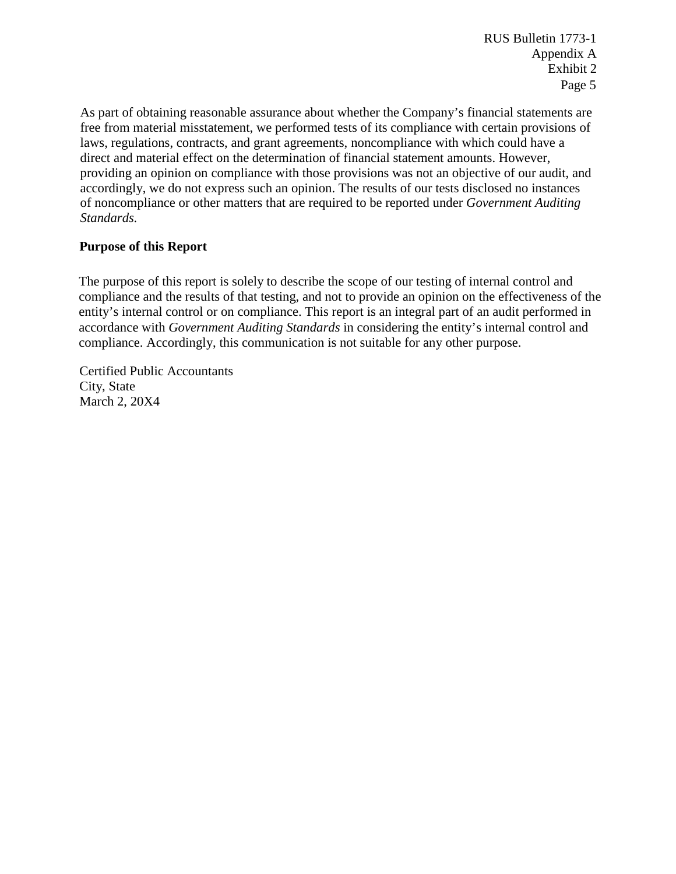RUS Bulletin 1773-1 Appendix A Exhibit 2 Page 5

As part of obtaining reasonable assurance about whether the Company's financial statements are free from material misstatement, we performed tests of its compliance with certain provisions of laws, regulations, contracts, and grant agreements, noncompliance with which could have a direct and material effect on the determination of financial statement amounts. However, providing an opinion on compliance with those provisions was not an objective of our audit, and accordingly, we do not express such an opinion. The results of our tests disclosed no instances of noncompliance or other matters that are required to be reported under *Government Auditing Standards.*

## **Purpose of this Report**

The purpose of this report is solely to describe the scope of our testing of internal control and compliance and the results of that testing, and not to provide an opinion on the effectiveness of the entity's internal control or on compliance. This report is an integral part of an audit performed in accordance with *Government Auditing Standards* in considering the entity's internal control and compliance. Accordingly, this communication is not suitable for any other purpose.

Certified Public Accountants City, State March 2, 20X4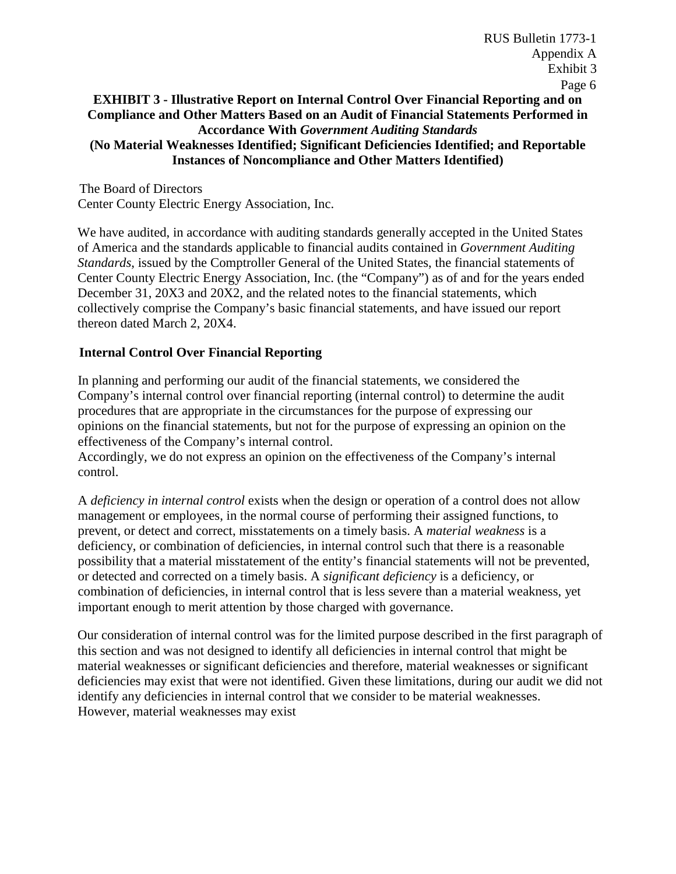# **EXHIBIT 3 - Illustrative Report on Internal Control Over Financial Reporting and on Compliance and Other Matters Based on an Audit of Financial Statements Performed in Accordance With** *Government Auditing Standards*

**(No Material Weaknesses Identified; Significant Deficiencies Identified; and Reportable Instances of Noncompliance and Other Matters Identified)**

The Board of Directors Center County Electric Energy Association, Inc.

We have audited, in accordance with auditing standards generally accepted in the United States of America and the standards applicable to financial audits contained in *Government Auditing Standards*, issued by the Comptroller General of the United States, the financial statements of Center County Electric Energy Association, Inc. (the "Company") as of and for the years ended December 31, 20X3 and 20X2, and the related notes to the financial statements, which collectively comprise the Company's basic financial statements, and have issued our report thereon dated March 2, 20X4.

## **Internal Control Over Financial Reporting**

In planning and performing our audit of the financial statements, we considered the Company's internal control over financial reporting (internal control) to determine the audit procedures that are appropriate in the circumstances for the purpose of expressing our opinions on the financial statements, but not for the purpose of expressing an opinion on the effectiveness of the Company's internal control.

Accordingly, we do not express an opinion on the effectiveness of the Company's internal control.

A *deficiency in internal control* exists when the design or operation of a control does not allow management or employees, in the normal course of performing their assigned functions, to prevent, or detect and correct, misstatements on a timely basis. A *material weakness* is a deficiency, or combination of deficiencies, in internal control such that there is a reasonable possibility that a material misstatement of the entity's financial statements will not be prevented, or detected and corrected on a timely basis. A *significant deficiency* is a deficiency, or combination of deficiencies, in internal control that is less severe than a material weakness, yet important enough to merit attention by those charged with governance.

Our consideration of internal control was for the limited purpose described in the first paragraph of this section and was not designed to identify all deficiencies in internal control that might be material weaknesses or significant deficiencies and therefore, material weaknesses or significant deficiencies may exist that were not identified. Given these limitations, during our audit we did not identify any deficiencies in internal control that we consider to be material weaknesses. However, material weaknesses may exist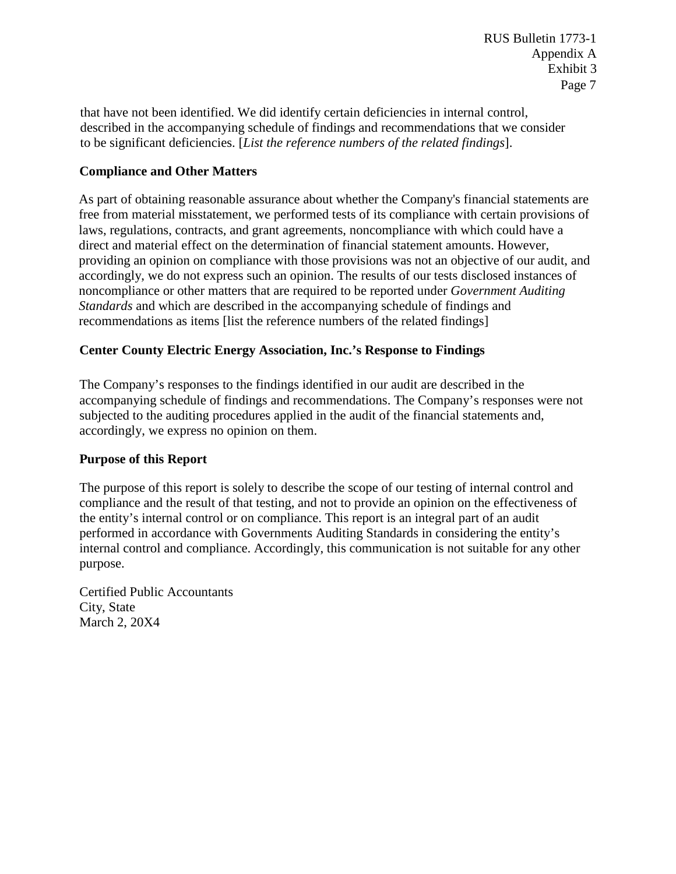RUS Bulletin 1773-1 Appendix A Exhibit 3 Page 7

that have not been identified. We did identify certain deficiencies in internal control, described in the accompanying schedule of findings and recommendations that we consider to be significant deficiencies. [*List the reference numbers of the related findings*].

### **Compliance and Other Matters**

As part of obtaining reasonable assurance about whether the Company's financial statements are free from material misstatement, we performed tests of its compliance with certain provisions of laws, regulations, contracts, and grant agreements, noncompliance with which could have a direct and material effect on the determination of financial statement amounts. However, providing an opinion on compliance with those provisions was not an objective of our audit, and accordingly, we do not express such an opinion. The results of our tests disclosed instances of noncompliance or other matters that are required to be reported under *Government Auditing Standards* and which are described in the accompanying schedule of findings and recommendations as items [list the reference numbers of the related findings]

### **Center County Electric Energy Association, Inc.'s Response to Findings**

The Company's responses to the findings identified in our audit are described in the accompanying schedule of findings and recommendations. The Company's responses were not subjected to the auditing procedures applied in the audit of the financial statements and, accordingly, we express no opinion on them.

#### **Purpose of this Report**

The purpose of this report is solely to describe the scope of our testing of internal control and compliance and the result of that testing, and not to provide an opinion on the effectiveness of the entity's internal control or on compliance. This report is an integral part of an audit performed in accordance with Governments Auditing Standards in considering the entity's internal control and compliance. Accordingly, this communication is not suitable for any other purpose.

Certified Public Accountants City, State March 2, 20X4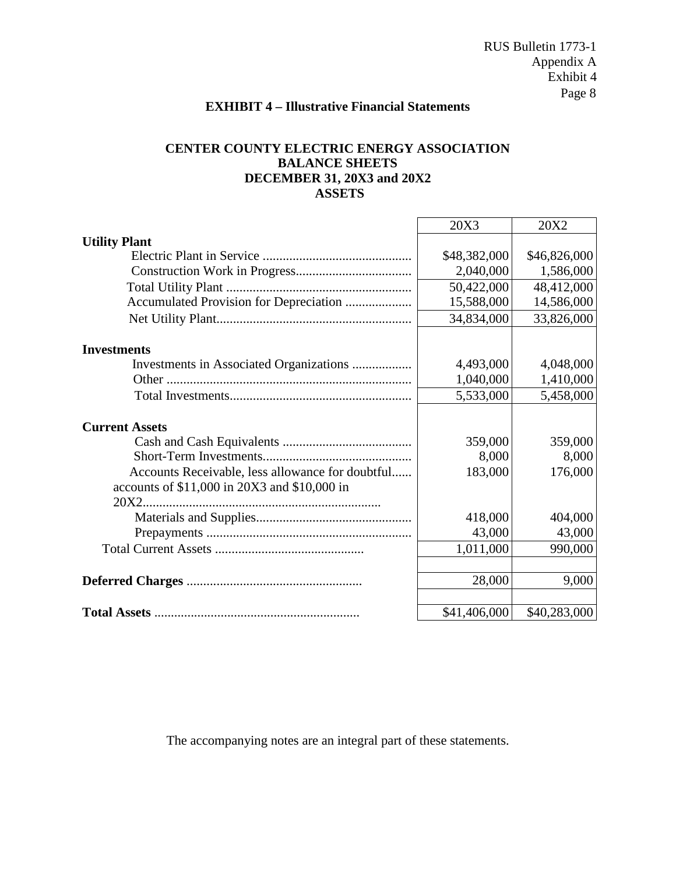RUS Bulletin 1773-1 Appendix A Exhibit 4 Page 8

## **EXHIBIT 4 – Illustrative Financial Statements**

### **CENTER COUNTY ELECTRIC ENERGY ASSOCIATION BALANCE SHEETS DECEMBER 31, 20X3 and 20X2 ASSETS**

|                                                  | 20X3         | 20X2         |
|--------------------------------------------------|--------------|--------------|
| <b>Utility Plant</b>                             |              |              |
|                                                  | \$48,382,000 | \$46,826,000 |
|                                                  | 2,040,000    | 1,586,000    |
|                                                  | 50,422,000   | 48,412,000   |
| Accumulated Provision for Depreciation           | 15,588,000   | 14,586,000   |
|                                                  | 34,834,000   | 33,826,000   |
| <b>Investments</b>                               |              |              |
| Investments in Associated Organizations          | 4,493,000    | 4,048,000    |
|                                                  | 1,040,000    | 1,410,000    |
|                                                  | 5,533,000    | 5,458,000    |
| <b>Current Assets</b>                            |              |              |
|                                                  | 359,000      | 359,000      |
|                                                  | 8,000        | 8,000        |
| Accounts Receivable, less allowance for doubtful | 183,000      | 176,000      |
| accounts of \$11,000 in 20X3 and \$10,000 in     |              |              |
| 20X2.                                            |              |              |
|                                                  | 418,000      | 404,000      |
|                                                  | 43,000       | 43,000       |
|                                                  | 1,011,000    | 990,000      |
|                                                  | 28,000       | 9,000        |
|                                                  |              |              |
|                                                  | \$41,406,000 | \$40,283,000 |

The accompanying notes are an integral part of these statements.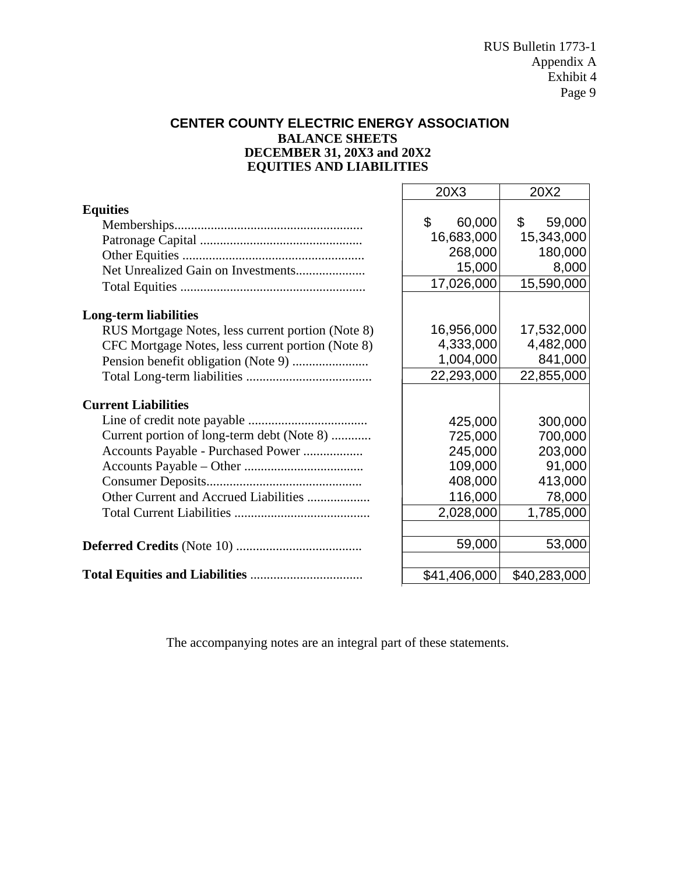RUS Bulletin 1773-1 Appendix A Exhibit 4 Page 9

### **CENTER COUNTY ELECTRIC ENERGY ASSOCIATION BALANCE SHEETS DECEMBER 31, 20X3 and 20X2 EQUITIES AND LIABILITIES**

|                                                   | 20X3         | 20X2                     |
|---------------------------------------------------|--------------|--------------------------|
| <b>Equities</b>                                   |              |                          |
|                                                   | \$<br>60,000 | $\mathfrak{L}$<br>59,000 |
|                                                   | 16,683,000   | 15,343,000               |
|                                                   | 268,000      | 180,000                  |
| Net Unrealized Gain on Investments                | 15,000       | 8,000                    |
|                                                   | 17,026,000   | 15,590,000               |
| <b>Long-term liabilities</b>                      |              |                          |
| RUS Mortgage Notes, less current portion (Note 8) | 16,956,000   | 17,532,000               |
| CFC Mortgage Notes, less current portion (Note 8) | 4,333,000    | 4,482,000                |
|                                                   | 1,004,000    | 841,000                  |
|                                                   | 22,293,000   | 22,855,000               |
| <b>Current Liabilities</b>                        |              |                          |
|                                                   | 425,000      | 300,000                  |
| Current portion of long-term debt (Note 8)        | 725,000      | 700,000                  |
| Accounts Payable - Purchased Power                | 245,000      | 203,000                  |
|                                                   | 109,000      | 91,000                   |
|                                                   | 408,000      | 413,000                  |
| Other Current and Accrued Liabilities             | 116,000      | 78,000                   |
|                                                   | 2,028,000    | 1,785,000                |
|                                                   | 59,000       | 53,000                   |
|                                                   |              |                          |
|                                                   | \$41,406,000 | \$40,283,000             |

The accompanying notes are an integral part of these statements.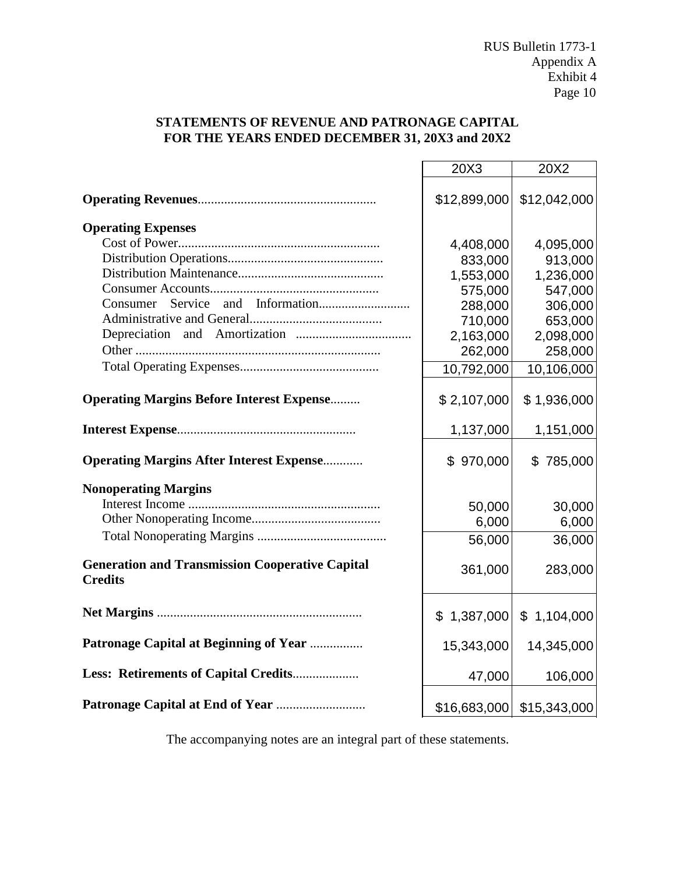|                                                                          | 20X3         | 20X2                      |
|--------------------------------------------------------------------------|--------------|---------------------------|
|                                                                          | \$12,899,000 | \$12,042,000              |
| <b>Operating Expenses</b>                                                |              |                           |
|                                                                          | 4,408,000    | 4,095,000                 |
|                                                                          | 833,000      | 913,000                   |
|                                                                          | 1,553,000    | 1,236,000                 |
|                                                                          | 575,000      | 547,000                   |
| Consumer                                                                 | 288,000      | 306,000                   |
|                                                                          | 710,000      | 653,000                   |
|                                                                          | 2,163,000    | 2,098,000                 |
|                                                                          | 262,000      | 258,000                   |
|                                                                          | 10,792,000   | 10,106,000                |
|                                                                          |              |                           |
| <b>Operating Margins Before Interest Expense</b>                         | \$2,107,000  | \$1,936,000               |
|                                                                          | 1,137,000    | 1,151,000                 |
| <b>Operating Margins After Interest Expense</b>                          | \$970,000    | \$785,000                 |
| <b>Nonoperating Margins</b>                                              |              |                           |
|                                                                          | 50,000       | 30,000                    |
|                                                                          | 6,000        | 6,000                     |
|                                                                          | 56,000       | 36,000                    |
| <b>Generation and Transmission Cooperative Capital</b><br><b>Credits</b> | 361,000      | 283,000                   |
|                                                                          | \$1,387,000  | \$1,104,000               |
| Patronage Capital at Beginning of Year                                   | 15,343,000   | 14,345,000                |
| Less: Retirements of Capital Credits                                     | 47,000       | 106,000                   |
|                                                                          |              | \$16,683,000 \$15,343,000 |

## **STATEMENTS OF REVENUE AND PATRONAGE CAPITAL FOR THE YEARS ENDED DECEMBER 31, 20X3 and 20X2**

The accompanying notes are an integral part of these statements.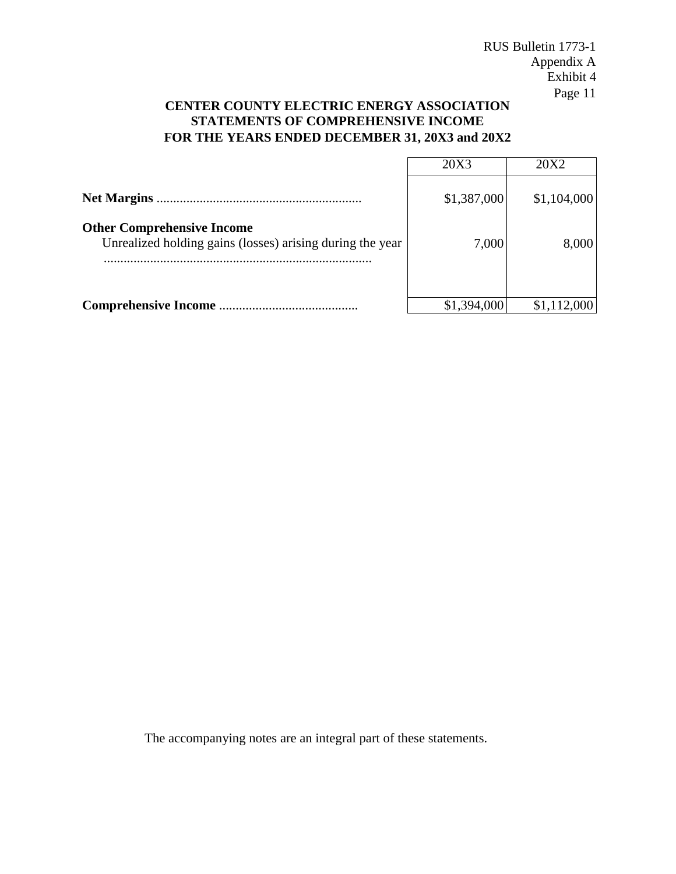# **CENTER COUNTY ELECTRIC ENERGY ASSOCIATION STATEMENTS OF COMPREHENSIVE INCOME FOR THE YEARS ENDED DECEMBER 31, 20X3 and 20X2**

|                                                                                                | 20X3        | 20X2        |
|------------------------------------------------------------------------------------------------|-------------|-------------|
|                                                                                                | \$1,387,000 | \$1,104,000 |
| <b>Other Comprehensive Income</b><br>Unrealized holding gains (losses) arising during the year | 7,000       | 8,000       |
|                                                                                                | \$1,394,000 | \$1,112,000 |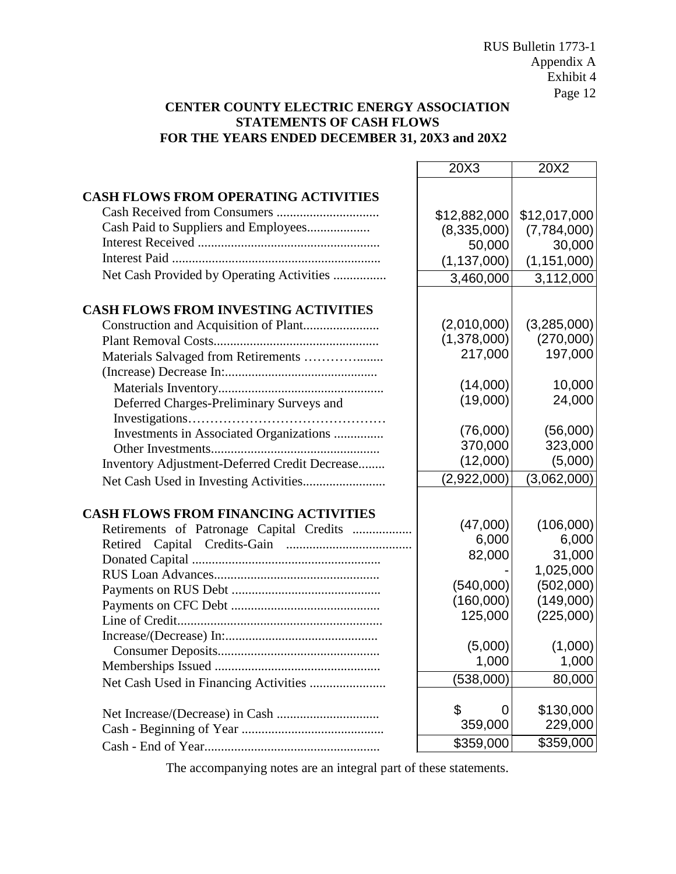## **CENTER COUNTY ELECTRIC ENERGY ASSOCIATION STATEMENTS OF CASH FLOWS FOR THE YEARS ENDED DECEMBER 31, 20X3 and 20X2**

|                                               | 20X3               | 20X2          |
|-----------------------------------------------|--------------------|---------------|
| <b>CASH FLOWS FROM OPERATING ACTIVITIES</b>   |                    |               |
|                                               |                    |               |
| Cash Paid to Suppliers and Employees          | \$12,882,000       | \$12,017,000  |
|                                               | (8, 335, 000)      | (7,784,000)   |
|                                               | 50,000             | 30,000        |
|                                               | (1, 137, 000)      | (1, 151, 000) |
| Net Cash Provided by Operating Activities     | 3,460,000          | 3,112,000     |
| <b>CASH FLOWS FROM INVESTING ACTIVITIES</b>   |                    |               |
| Construction and Acquisition of Plant         | (2,010,000)        | (3,285,000)   |
|                                               | (1,378,000)        | (270,000)     |
| Materials Salvaged from Retirements           | 217,000            | 197,000       |
|                                               |                    |               |
|                                               | (14,000)           | 10,000        |
| Deferred Charges-Preliminary Surveys and      | (19,000)           | 24,000        |
|                                               |                    |               |
| Investments in Associated Organizations       | (76,000)           | (56,000)      |
|                                               | 370,000            | 323,000       |
| Inventory Adjustment-Deferred Credit Decrease | (12,000)           | (5,000)       |
|                                               | (2,922,000)        | (3,062,000)   |
|                                               |                    |               |
| <b>CASH FLOWS FROM FINANCING ACTIVITIES</b>   |                    |               |
| Retirements of Patronage Capital Credits      | (47,000)           | (106,000)     |
| Retired                                       | 6,000              | 6,000         |
|                                               | 82,000             | 31,000        |
|                                               |                    | 1,025,000     |
|                                               | (540,000)          | (502,000)     |
|                                               | (160,000)          | (149,000)     |
|                                               | 125,000            | (225,000)     |
|                                               |                    |               |
|                                               | (5,000)            | (1,000)       |
|                                               | 1,000              | 1,000         |
| Net Cash Used in Financing Activities         | (538,000)          | 80,000        |
|                                               |                    |               |
|                                               | \$<br>0<br>359,000 | \$130,000     |
|                                               |                    | 229,000       |
|                                               | \$359,000          | \$359,000     |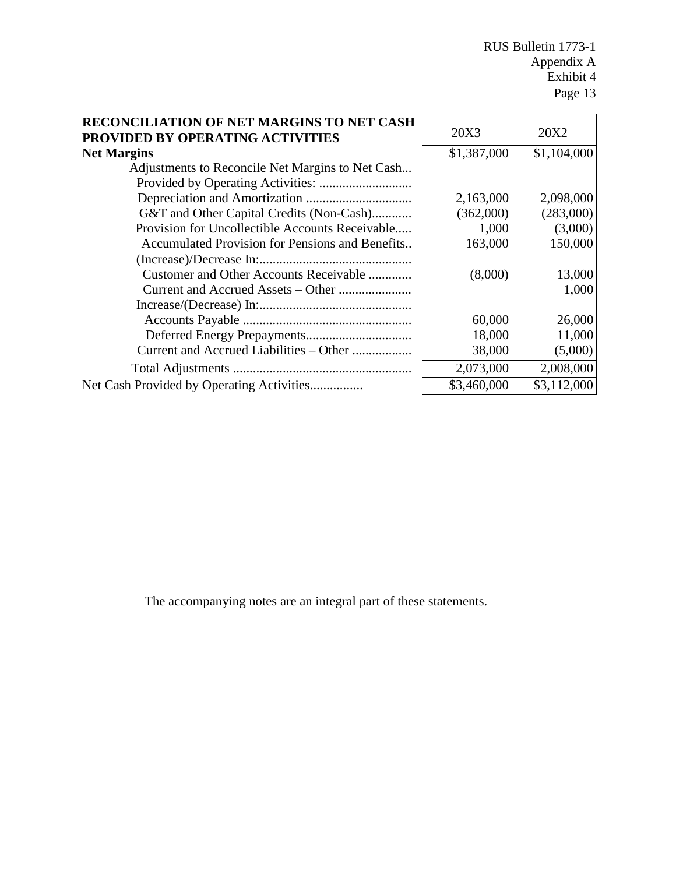| <b>RECONCILIATION OF NET MARGINS TO NET CASH</b><br>PROVIDED BY OPERATING ACTIVITIES | 20X3        | 20X2        |
|--------------------------------------------------------------------------------------|-------------|-------------|
| <b>Net Margins</b>                                                                   | \$1,387,000 | \$1,104,000 |
| Adjustments to Reconcile Net Margins to Net Cash                                     |             |             |
|                                                                                      |             |             |
|                                                                                      | 2,163,000   | 2,098,000   |
| G&T and Other Capital Credits (Non-Cash)                                             | (362,000)   | (283,000)   |
| Provision for Uncollectible Accounts Receivable                                      | 1,000       | (3,000)     |
| Accumulated Provision for Pensions and Benefits                                      | 163,000     | 150,000     |
|                                                                                      |             |             |
| Customer and Other Accounts Receivable                                               | (8,000)     | 13,000      |
|                                                                                      |             | 1,000       |
|                                                                                      |             |             |
|                                                                                      | 60,000      | 26,000      |
|                                                                                      | 18,000      | 11,000      |
| Current and Accrued Liabilities – Other                                              | 38,000      | (5,000)     |
|                                                                                      | 2,073,000   | 2,008,000   |
|                                                                                      | \$3,460,000 | \$3,112,000 |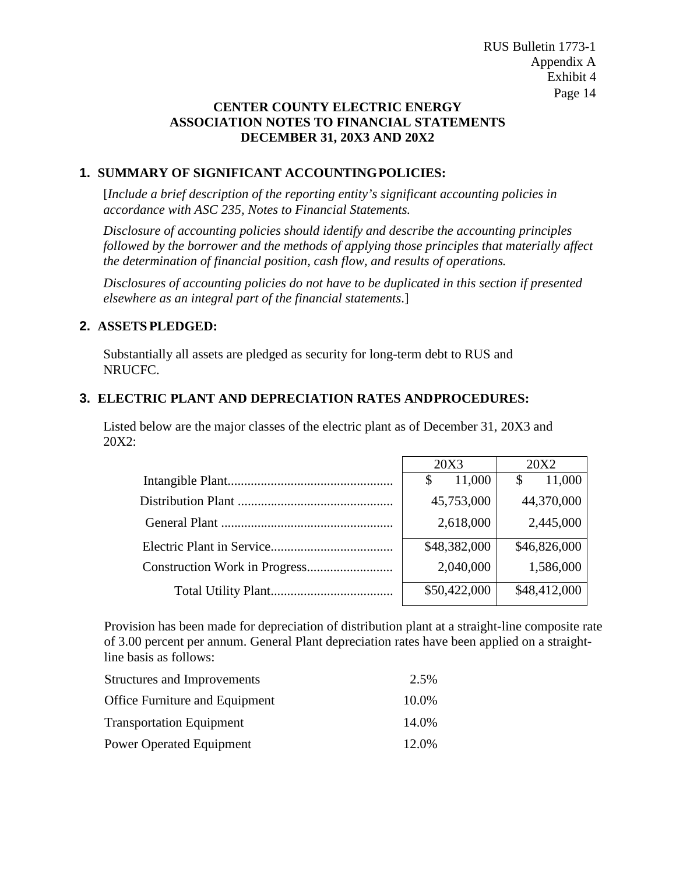### **CENTER COUNTY ELECTRIC ENERGY ASSOCIATION NOTES TO FINANCIAL STATEMENTS DECEMBER 31, 20X3 AND 20X2**

## **1. SUMMARY OF SIGNIFICANT ACCOUNTINGPOLICIES:**

[*Include a brief description of the reporting entity's significant accounting policies in accordance with ASC 235, Notes to Financial Statements.*

*Disclosure of accounting policies should identify and describe the accounting principles followed by the borrower and the methods of applying those principles that materially affect the determination of financial position, cash flow, and results of operations.*

*Disclosures of accounting policies do not have to be duplicated in this section if presented elsewhere as an integral part of the financial statements*.]

## **2. ASSETS PLEDGED:**

Substantially all assets are pledged as security for long-term debt to RUS and NRUCFC.

### **3. ELECTRIC PLANT AND DEPRECIATION RATES ANDPROCEDURES:**

Listed below are the major classes of the electric plant as of December 31, 20X3 and 20X2:

| 20X3         | 20X2         |
|--------------|--------------|
| 11,000<br>\$ | 11,000<br>\$ |
| 45,753,000   | 44,370,000   |
| 2,618,000    | 2,445,000    |
| \$48,382,000 | \$46,826,000 |
| 2,040,000    | 1,586,000    |
| \$50,422,000 | \$48,412,000 |

Provision has been made for depreciation of distribution plant at a straight-line composite rate of 3.00 percent per annum. General Plant depreciation rates have been applied on a straightline basis as follows:

| Structures and Improvements     | 2.5%  |
|---------------------------------|-------|
| Office Furniture and Equipment  | 10.0% |
| <b>Transportation Equipment</b> | 14.0% |
| <b>Power Operated Equipment</b> | 12.0% |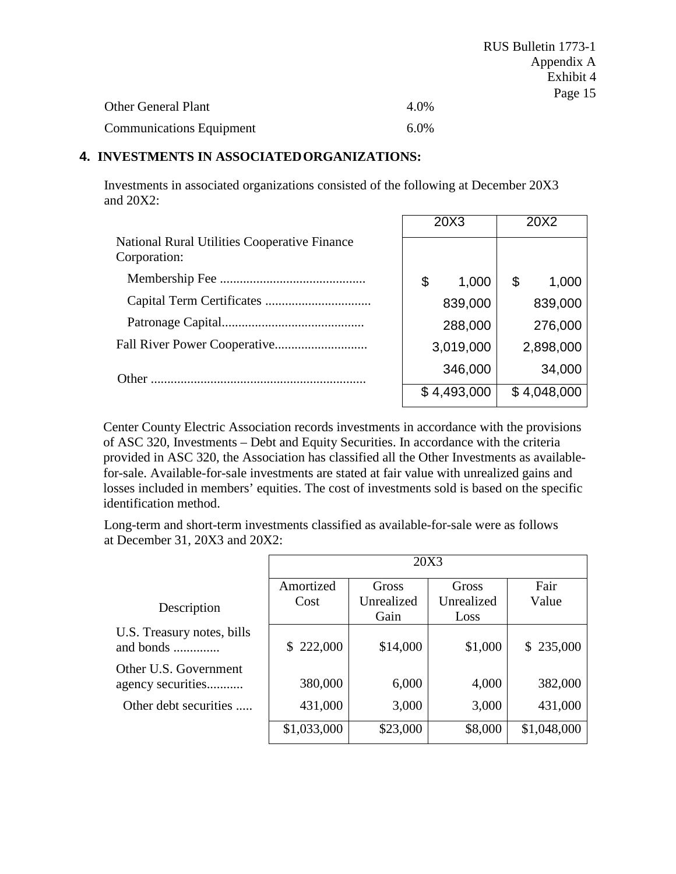|                                 |      | RUS Bulletin 1773-1 |
|---------------------------------|------|---------------------|
|                                 |      | Appendix A          |
|                                 |      | Exhibit 4           |
|                                 |      | Page 15             |
| <b>Other General Plant</b>      | 4.0% |                     |
| <b>Communications Equipment</b> | 6.0% |                     |

### **4. INVESTMENTS IN ASSOCIATEDORGANIZATIONS:**

Investments in associated organizations consisted of the following at December 20X3 and 20X2:

|                                                                     | 20X3        | 20X2        |
|---------------------------------------------------------------------|-------------|-------------|
| <b>National Rural Utilities Cooperative Finance</b><br>Corporation: |             |             |
|                                                                     | \$<br>1,000 | \$<br>1,000 |
|                                                                     | 839,000     | 839,000     |
|                                                                     | 288,000     | 276,000     |
|                                                                     | 3,019,000   | 2,898,000   |
|                                                                     | 346,000     | 34,000      |
|                                                                     | \$4,493,000 | \$4,048,000 |

Center County Electric Association records investments in accordance with the provisions of ASC 320, Investments – Debt and Equity Securities. In accordance with the criteria provided in ASC 320, the Association has classified all the Other Investments as availablefor-sale. Available-for-sale investments are stated at fair value with unrealized gains and losses included in members' equities. The cost of investments sold is based on the specific identification method.

Long-term and short-term investments classified as available-for-sale were as follows at December 31, 20X3 and 20X2:

|                                            | 20X3        |            |            |             |
|--------------------------------------------|-------------|------------|------------|-------------|
|                                            | Amortized   | Gross      | Gross      | Fair        |
| Description                                | Cost        | Unrealized | Unrealized | Value       |
|                                            |             | Gain       | Loss       |             |
| U.S. Treasury notes, bills<br>and bonds    | \$222,000   | \$14,000   | \$1,000    | \$235,000   |
| Other U.S. Government<br>agency securities | 380,000     | 6,000      | 4,000      | 382,000     |
| Other debt securities                      | 431,000     | 3,000      | 3,000      | 431,000     |
|                                            | \$1,033,000 | \$23,000   | \$8,000    | \$1,048,000 |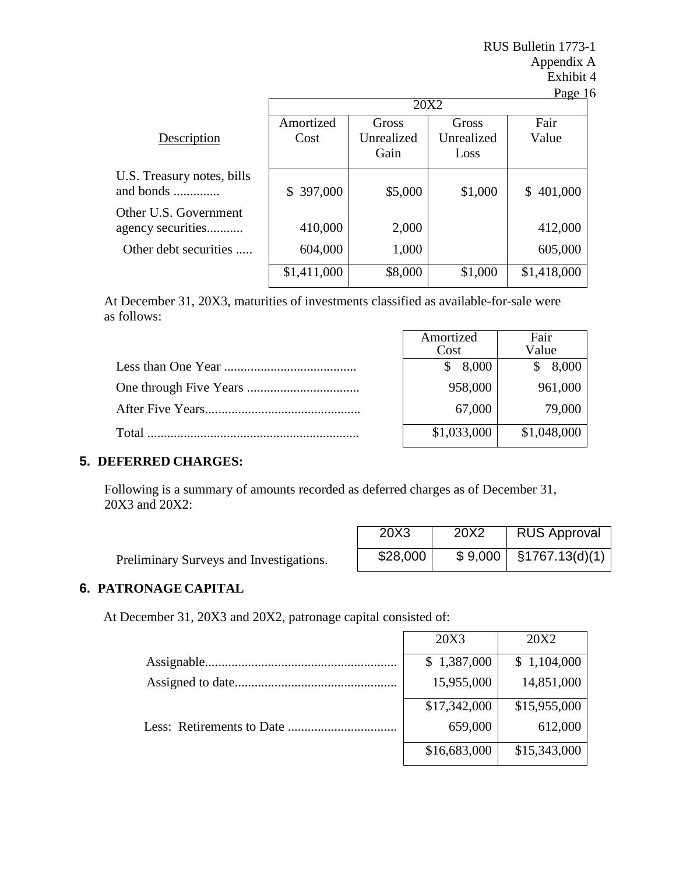|                                            | 20X2              |                             |                             |               |
|--------------------------------------------|-------------------|-----------------------------|-----------------------------|---------------|
| Description                                | Amortized<br>Cost | Gross<br>Unrealized<br>Gain | Gross<br>Unrealized<br>Loss | Fair<br>Value |
| U.S. Treasury notes, bills<br>and bonds    | \$397,000         | \$5,000                     | \$1,000                     | 401,000<br>S. |
| Other U.S. Government<br>agency securities | 410,000           | 2,000                       |                             | 412,000       |
| Other debt securities                      | 604,000           | 1,000                       |                             | 605,000       |
|                                            | \$1,411,000       | \$8,000                     | \$1,000                     | \$1,418,000   |

At December 31, 20X3, maturities of investments classified as available-for-sale were as follows:

|       | Amortized   | Fair        |
|-------|-------------|-------------|
|       | Cost        | Value       |
|       | 8,000       | 8,000       |
|       | 958,000     | 961,000     |
|       | 67,000      | 79,000      |
| Total | \$1,033,000 | \$1,048,000 |

#### **5. DEFERRED CHARGES:**

Following is a summary of amounts recorded as deferred charges as of December 31, 20X3 and 20X2:

|                                                | 20X3     | 20X2 | RUS Approval                |
|------------------------------------------------|----------|------|-----------------------------|
| <b>Preliminary Surveys and Investigations.</b> | \$28,000 |      | $$9,000$   $$1767.13(d)(1)$ |

## **6. PATRONAGE CAPITAL**

At December 31, 20X3 and 20X2, patronage capital consisted of:

| 20X3         | 20X2         |
|--------------|--------------|
| \$1,387,000  | \$1,104,000  |
| 15,955,000   | 14,851,000   |
| \$17,342,000 | \$15,955,000 |
| 659,000      | 612,000      |
| \$16,683,000 | \$15,343,000 |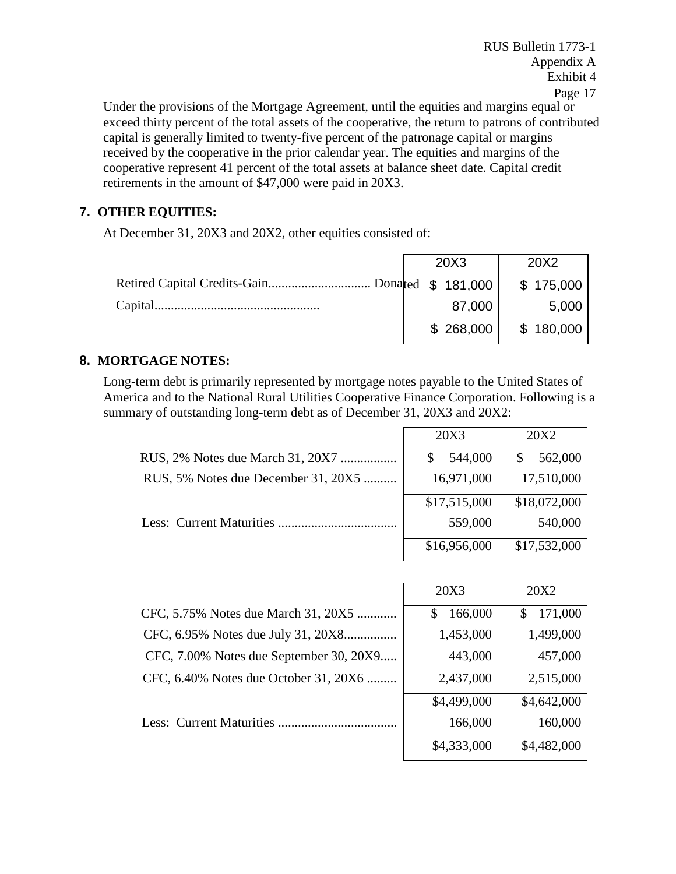Under the provisions of the Mortgage Agreement, until the equities and margins equal or exceed thirty percent of the total assets of the cooperative, the return to patrons of contributed capital is generally limited to twenty-five percent of the patronage capital or margins received by the cooperative in the prior calendar year. The equities and margins of the cooperative represent 41 percent of the total assets at balance sheet date. Capital credit retirements in the amount of \$47,000 were paid in 20X3.

# **7. OTHER EQUITIES:**

At December 31, 20X3 and 20X2, other equities consisted of:

|         | 20X3      | 20X2      |
|---------|-----------|-----------|
|         |           | \$175,000 |
| Capital | 87,000    | 5,000     |
|         | \$268,000 | \$180,000 |

## **8. MORTGAGE NOTES:**

Long-term debt is primarily represented by mortgage notes payable to the United States of America and to the National Rural Utilities Cooperative Finance Corporation. Following is a summary of outstanding long-term debt as of December 31, 20X3 and 20X2:

|                                     | 20X3         | 20X2         |
|-------------------------------------|--------------|--------------|
|                                     | 544,000      | 562,000      |
| RUS, 5% Notes due December 31, 20X5 | 16,971,000   | 17,510,000   |
|                                     | \$17,515,000 | \$18,072,000 |
| <b>Less: Current Maturities</b>     | 559,000      | 540,000      |
|                                     | \$16,956,000 | \$17,532,000 |

|                                         | 20X3        | 20X2         |
|-----------------------------------------|-------------|--------------|
| CFC, 5.75% Notes due March 31, 20X5     | 166,000     | 171,000<br>S |
| CFC, 6.95% Notes due July 31, 20X8      | 1,453,000   | 1,499,000    |
| CFC, 7.00% Notes due September 30, 20X9 | 443,000     | 457,000      |
| CFC, 6.40% Notes due October 31, 20X6   | 2,437,000   | 2,515,000    |
|                                         | \$4,499,000 | \$4,642,000  |
|                                         | 166,000     | 160,000      |
|                                         | \$4,333,000 | \$4,482,000  |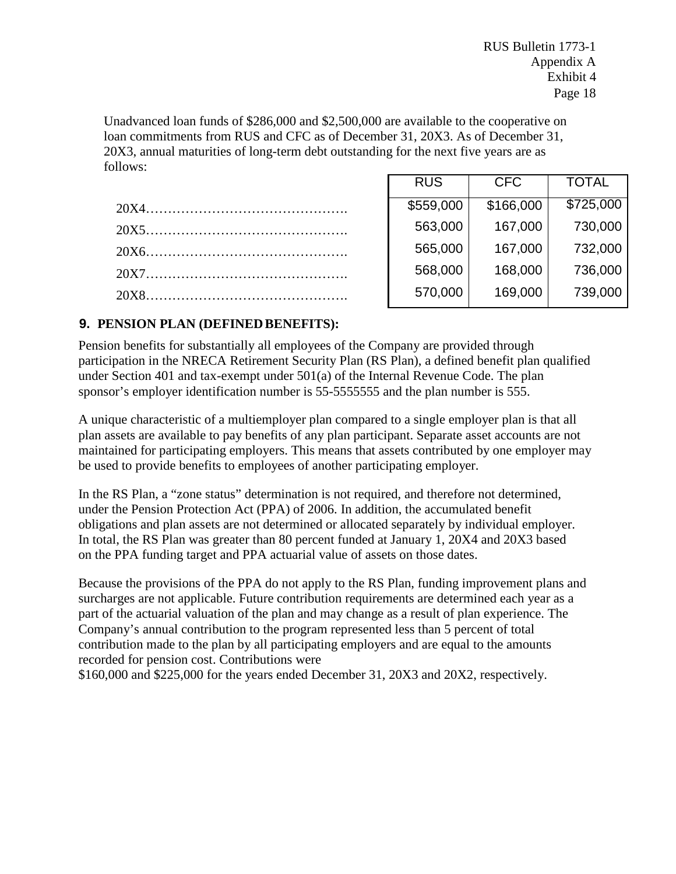Unadvanced loan funds of \$286,000 and \$2,500,000 are available to the cooperative on loan commitments from RUS and CFC as of December 31, 20X3. As of December 31, 20X3, annual maturities of long-term debt outstanding for the next five years are as follows:

| <b>RUS</b> | <b>CFC</b> | <b>TOTAL</b> |
|------------|------------|--------------|
| \$559,000  | \$166,000  | \$725,000    |
| 563,000    | 167,000    | 730,000      |
| 565,000    | 167,000    | 732,000      |
| 568,000    | 168,000    | 736,000      |
| 570,000    | 169,000    | 739,000      |

# **9. PENSION PLAN (DEFINED BENEFITS):**

Pension benefits for substantially all employees of the Company are provided through participation in the NRECA Retirement Security Plan (RS Plan), a defined benefit plan qualified under Section 401 and tax-exempt under 501(a) of the Internal Revenue Code. The plan sponsor's employer identification number is 55-5555555 and the plan number is 555.

A unique characteristic of a multiemployer plan compared to a single employer plan is that all plan assets are available to pay benefits of any plan participant. Separate asset accounts are not maintained for participating employers. This means that assets contributed by one employer may be used to provide benefits to employees of another participating employer.

In the RS Plan, a "zone status" determination is not required, and therefore not determined, under the Pension Protection Act (PPA) of 2006. In addition, the accumulated benefit obligations and plan assets are not determined or allocated separately by individual employer. In total, the RS Plan was greater than 80 percent funded at January 1, 20X4 and 20X3 based on the PPA funding target and PPA actuarial value of assets on those dates.

Because the provisions of the PPA do not apply to the RS Plan, funding improvement plans and surcharges are not applicable. Future contribution requirements are determined each year as a part of the actuarial valuation of the plan and may change as a result of plan experience. The Company's annual contribution to the program represented less than 5 percent of total contribution made to the plan by all participating employers and are equal to the amounts recorded for pension cost. Contributions were

\$160,000 and \$225,000 for the years ended December 31, 20X3 and 20X2, respectively.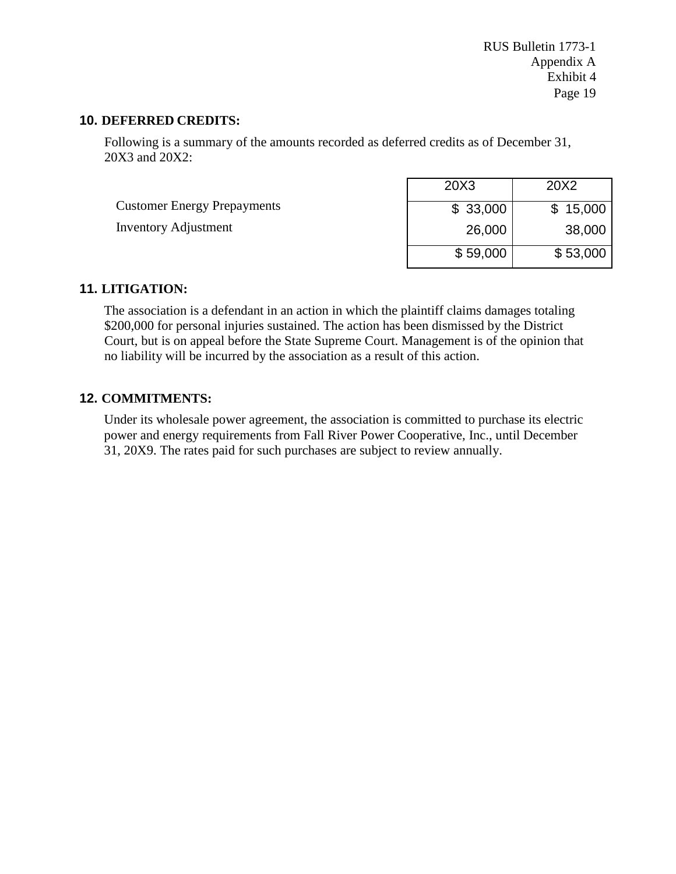#### **10. DEFERRED CREDITS:**

Following is a summary of the amounts recorded as deferred credits as of December 31, 20X3 and 20X2:

|                                    | 20X3     | 20X2     |
|------------------------------------|----------|----------|
| <b>Customer Energy Prepayments</b> | \$33,000 | \$15,000 |
| <b>Inventory Adjustment</b>        | 26,000   | 38,000   |
|                                    | \$59,000 | \$53,000 |

### **11. LITIGATION:**

The association is a defendant in an action in which the plaintiff claims damages totaling \$200,000 for personal injuries sustained. The action has been dismissed by the District Court, but is on appeal before the State Supreme Court. Management is of the opinion that no liability will be incurred by the association as a result of this action.

### **12. COMMITMENTS:**

Under its wholesale power agreement, the association is committed to purchase its electric power and energy requirements from Fall River Power Cooperative, Inc., until December 31, 20X9. The rates paid for such purchases are subject to review annually.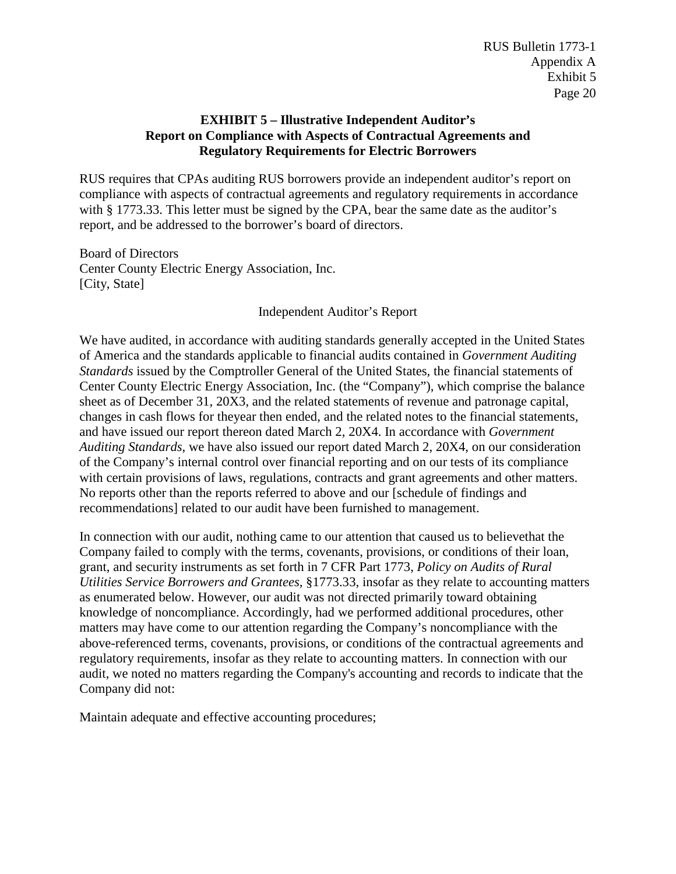## **EXHIBIT 5 – Illustrative Independent Auditor's Report on Compliance with Aspects of Contractual Agreements and Regulatory Requirements for Electric Borrowers**

RUS requires that CPAs auditing RUS borrowers provide an independent auditor's report on compliance with aspects of contractual agreements and regulatory requirements in accordance with § 1773.33. This letter must be signed by the CPA, bear the same date as the auditor's report, and be addressed to the borrower's board of directors.

Board of Directors Center County Electric Energy Association, Inc. [City, State]

#### Independent Auditor's Report

We have audited, in accordance with auditing standards generally accepted in the United States of America and the standards applicable to financial audits contained in *Government Auditing Standards* issued by the Comptroller General of the United States, the financial statements of Center County Electric Energy Association, Inc. (the "Company"), which comprise the balance sheet as of December 31, 20X3, and the related statements of revenue and patronage capital, changes in cash flows for theyear then ended, and the related notes to the financial statements, and have issued our report thereon dated March 2, 20X4. In accordance with *Government Auditing Standards*, we have also issued our report dated March 2, 20X4, on our consideration of the Company's internal control over financial reporting and on our tests of its compliance with certain provisions of laws, regulations, contracts and grant agreements and other matters. No reports other than the reports referred to above and our [schedule of findings and recommendations] related to our audit have been furnished to management.

In connection with our audit, nothing came to our attention that caused us to believethat the Company failed to comply with the terms, covenants, provisions, or conditions of their loan, grant, and security instruments as set forth in 7 CFR Part 1773, *Policy on Audits of Rural Utilities Service Borrowers and Grantees,* §1773.33, insofar as they relate to accounting matters as enumerated below. However, our audit was not directed primarily toward obtaining knowledge of noncompliance. Accordingly, had we performed additional procedures, other matters may have come to our attention regarding the Company's noncompliance with the above-referenced terms, covenants, provisions, or conditions of the contractual agreements and regulatory requirements, insofar as they relate to accounting matters. In connection with our audit, we noted no matters regarding the Company's accounting and records to indicate that the Company did not:

Maintain adequate and effective accounting procedures;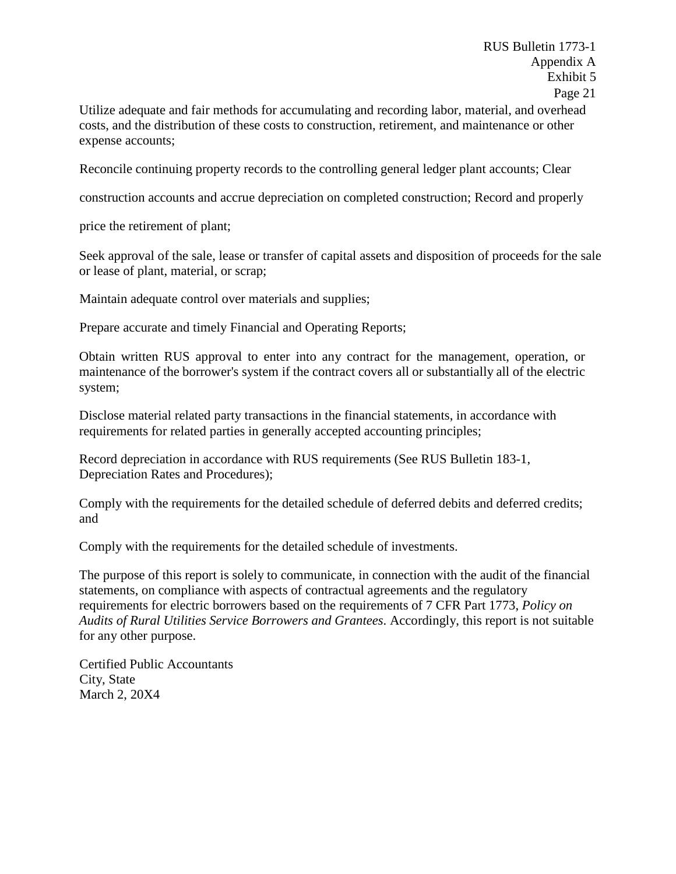Utilize adequate and fair methods for accumulating and recording labor, material, and overhead costs, and the distribution of these costs to construction, retirement, and maintenance or other expense accounts;

Reconcile continuing property records to the controlling general ledger plant accounts; Clear

construction accounts and accrue depreciation on completed construction; Record and properly

price the retirement of plant;

Seek approval of the sale, lease or transfer of capital assets and disposition of proceeds for the sale or lease of plant, material, or scrap;

Maintain adequate control over materials and supplies;

Prepare accurate and timely Financial and Operating Reports;

Obtain written RUS approval to enter into any contract for the management, operation, or maintenance of the borrower's system if the contract covers all or substantially all of the electric system;

Disclose material related party transactions in the financial statements, in accordance with requirements for related parties in generally accepted accounting principles;

Record depreciation in accordance with RUS requirements (See RUS Bulletin 183-1, Depreciation Rates and Procedures);

Comply with the requirements for the detailed schedule of deferred debits and deferred credits; and

Comply with the requirements for the detailed schedule of investments.

The purpose of this report is solely to communicate, in connection with the audit of the financial statements, on compliance with aspects of contractual agreements and the regulatory requirements for electric borrowers based on the requirements of 7 CFR Part 1773, *Policy on Audits of Rural Utilities Service Borrowers and Grantees*. Accordingly, this report is not suitable for any other purpose.

Certified Public Accountants City, State March 2, 20X4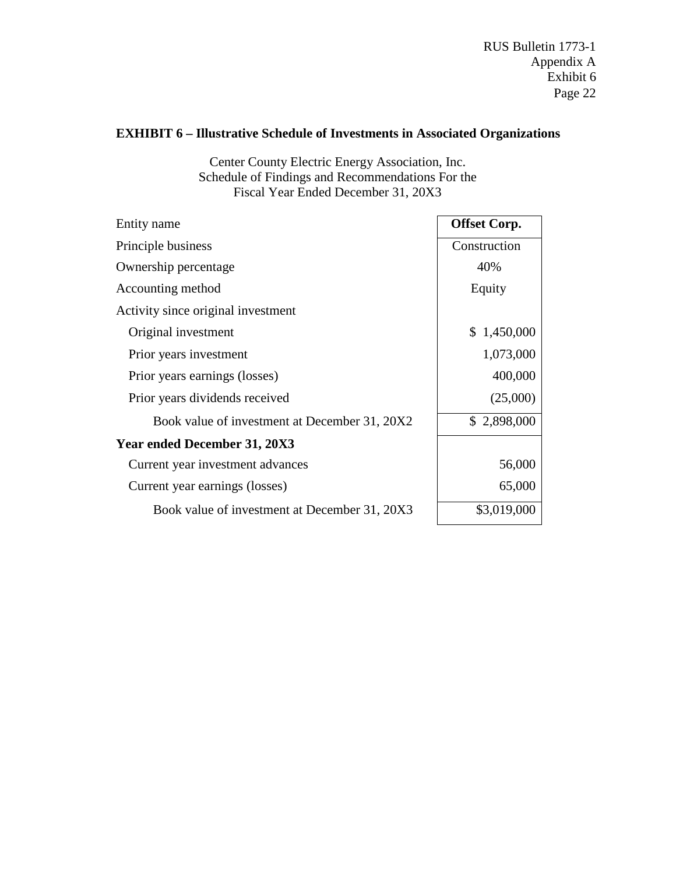# **EXHIBIT 6 – Illustrative Schedule of Investments in Associated Organizations**

Center County Electric Energy Association, Inc. Schedule of Findings and Recommendations For the Fiscal Year Ended December 31, 20X3

| <b>Offset Corp.</b> |
|---------------------|
| Construction        |
| 40%                 |
| Equity              |
|                     |
| \$1,450,000         |
| 1,073,000           |
| 400,000             |
| (25,000)            |
| \$2,898,000         |
|                     |
| 56,000              |
| 65,000              |
| \$3,019,000         |
|                     |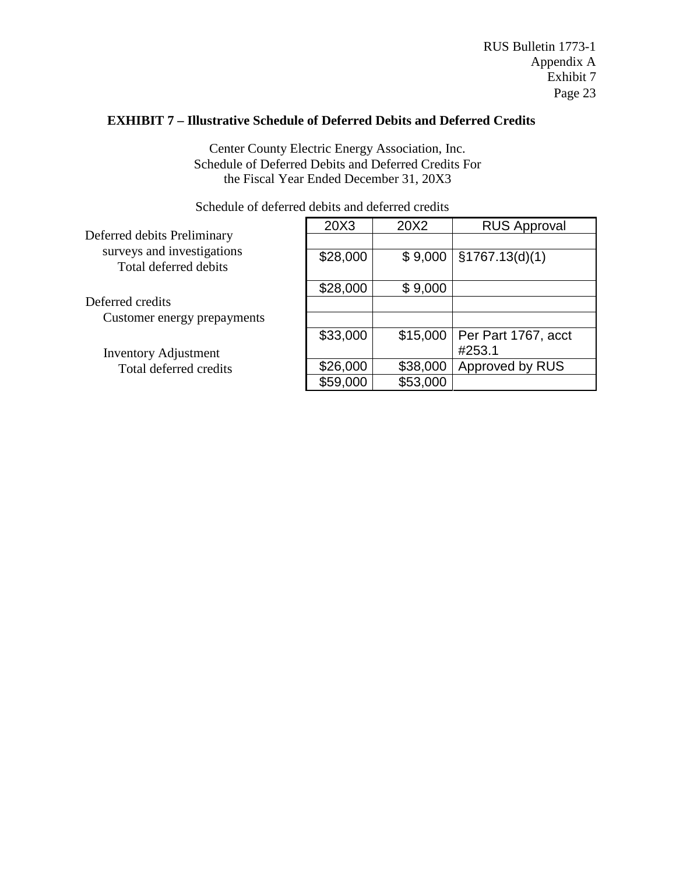#### **EXHIBIT 7 – Illustrative Schedule of Deferred Debits and Deferred Credits**

Center County Electric Energy Association, Inc. Schedule of Deferred Debits and Deferred Credits For the Fiscal Year Ended December 31, 20X3

Deferred debits Preliminary surveys and investigations Total deferred debits Deferred credits Customer energy prepayments Inventory Adjustment Total deferred credits 20X3 | 20X2 | RUS Approval  $$28,000$   $$9,000$   $$1767.13(d)(1)$  $$28,000$   $$9,000$ \$33,000 \$15,000 Per Part 1767, acct #253.1 \$26,000 \$38,000 Approved by RUS<br>\$59,000 \$53,000  $$59,000$ 

Schedule of deferred debits and deferred credits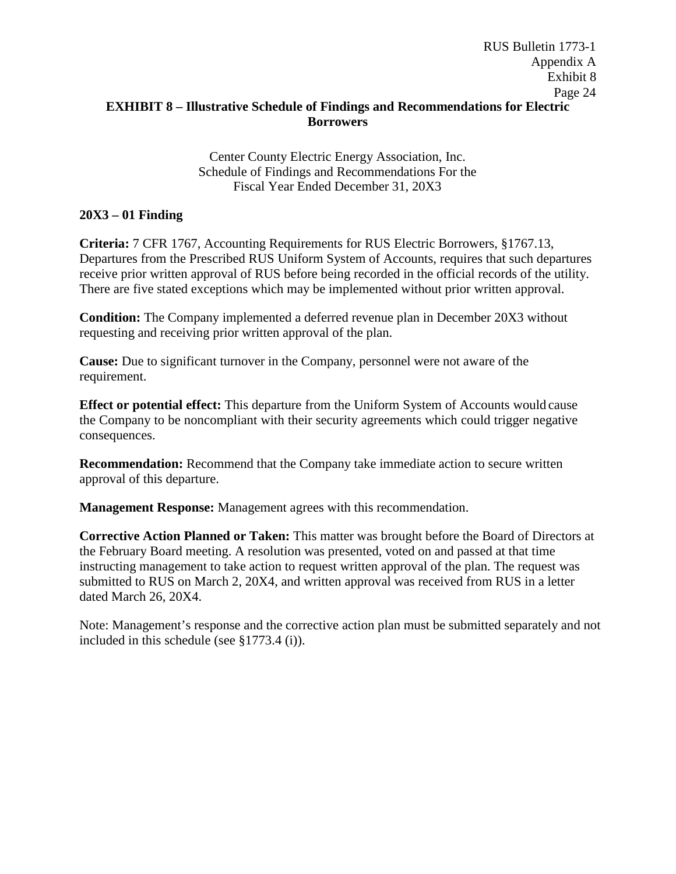Center County Electric Energy Association, Inc. Schedule of Findings and Recommendations For the Fiscal Year Ended December 31, 20X3

## **20X3 – 01 Finding**

**Criteria:** 7 CFR 1767, Accounting Requirements for RUS Electric Borrowers, §1767.13, Departures from the Prescribed RUS Uniform System of Accounts, requires that such departures receive prior written approval of RUS before being recorded in the official records of the utility. There are five stated exceptions which may be implemented without prior written approval.

**Condition:** The Company implemented a deferred revenue plan in December 20X3 without requesting and receiving prior written approval of the plan.

**Cause:** Due to significant turnover in the Company, personnel were not aware of the requirement.

**Effect or potential effect:** This departure from the Uniform System of Accounts would cause the Company to be noncompliant with their security agreements which could trigger negative consequences.

**Recommendation:** Recommend that the Company take immediate action to secure written approval of this departure.

**Management Response:** Management agrees with this recommendation.

**Corrective Action Planned or Taken:** This matter was brought before the Board of Directors at the February Board meeting. A resolution was presented, voted on and passed at that time instructing management to take action to request written approval of the plan. The request was submitted to RUS on March 2, 20X4, and written approval was received from RUS in a letter dated March 26, 20X4.

Note: Management's response and the corrective action plan must be submitted separately and not included in this schedule (see §1773.4 (i)).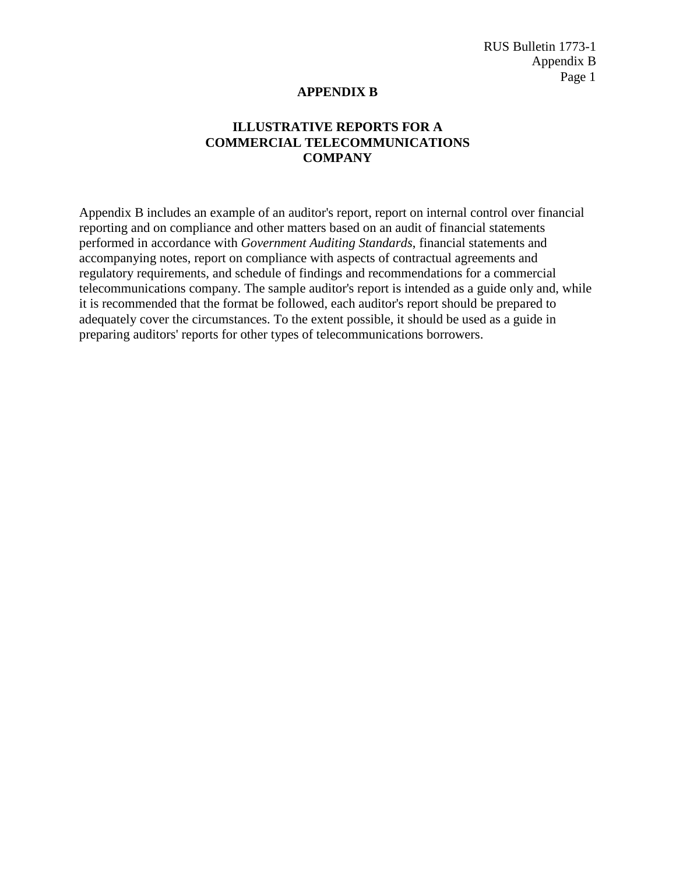RUS Bulletin 1773-1 Appendix B Page 1

#### **APPENDIX B**

### **ILLUSTRATIVE REPORTS FOR A COMMERCIAL TELECOMMUNICATIONS COMPANY**

Appendix B includes an example of an auditor's report, report on internal control over financial reporting and on compliance and other matters based on an audit of financial statements performed in accordance with *Government Auditing Standards*, financial statements and accompanying notes, report on compliance with aspects of contractual agreements and regulatory requirements, and schedule of findings and recommendations for a commercial telecommunications company. The sample auditor's report is intended as a guide only and, while it is recommended that the format be followed, each auditor's report should be prepared to adequately cover the circumstances. To the extent possible, it should be used as a guide in preparing auditors' reports for other types of telecommunications borrowers.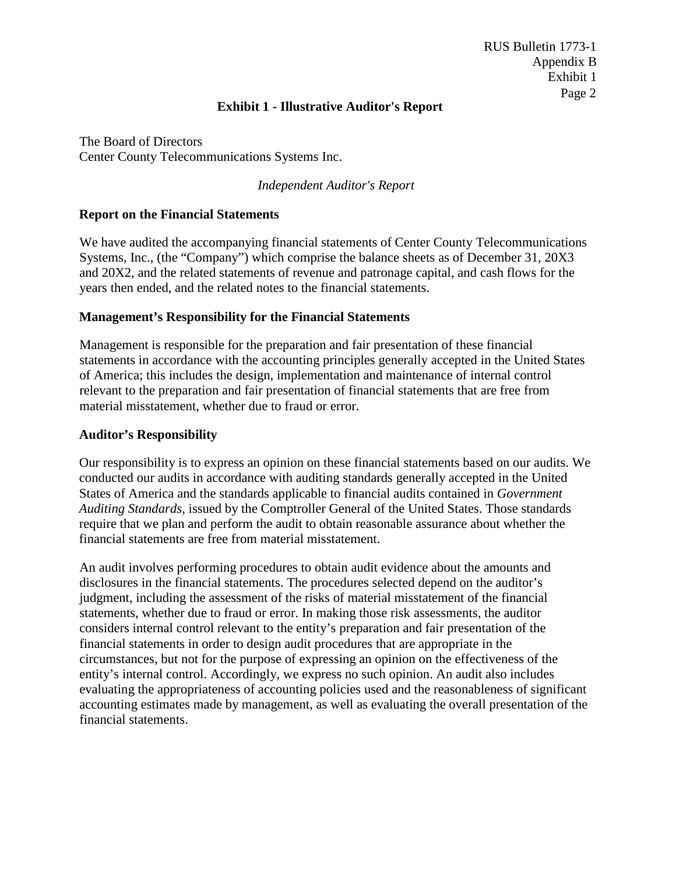### **Exhibit 1 - Illustrative Auditor's Report**

The Board of Directors Center County Telecommunications Systems Inc.

#### *Independent Auditor's Report*

### **Report on the Financial Statements**

We have audited the accompanying financial statements of Center County Telecommunications Systems, Inc., (the "Company") which comprise the balance sheets as of December 31, 20X3 and 20X2, and the related statements of revenue and patronage capital, and cash flows for the years then ended, and the related notes to the financial statements.

### **Management's Responsibility for the Financial Statements**

Management is responsible for the preparation and fair presentation of these financial statements in accordance with the accounting principles generally accepted in the United States of America; this includes the design, implementation and maintenance of internal control relevant to the preparation and fair presentation of financial statements that are free from material misstatement, whether due to fraud or error.

#### **Auditor's Responsibility**

Our responsibility is to express an opinion on these financial statements based on our audits. We conducted our audits in accordance with auditing standards generally accepted in the United States of America and the standards applicable to financial audits contained in *Government Auditing Standards*, issued by the Comptroller General of the United States. Those standards require that we plan and perform the audit to obtain reasonable assurance about whether the financial statements are free from material misstatement.

An audit involves performing procedures to obtain audit evidence about the amounts and disclosures in the financial statements. The procedures selected depend on the auditor's judgment, including the assessment of the risks of material misstatement of the financial statements, whether due to fraud or error. In making those risk assessments, the auditor considers internal control relevant to the entity's preparation and fair presentation of the financial statements in order to design audit procedures that are appropriate in the circumstances, but not for the purpose of expressing an opinion on the effectiveness of the entity's internal control. Accordingly, we express no such opinion. An audit also includes evaluating the appropriateness of accounting policies used and the reasonableness of significant accounting estimates made by management, as well as evaluating the overall presentation of the financial statements.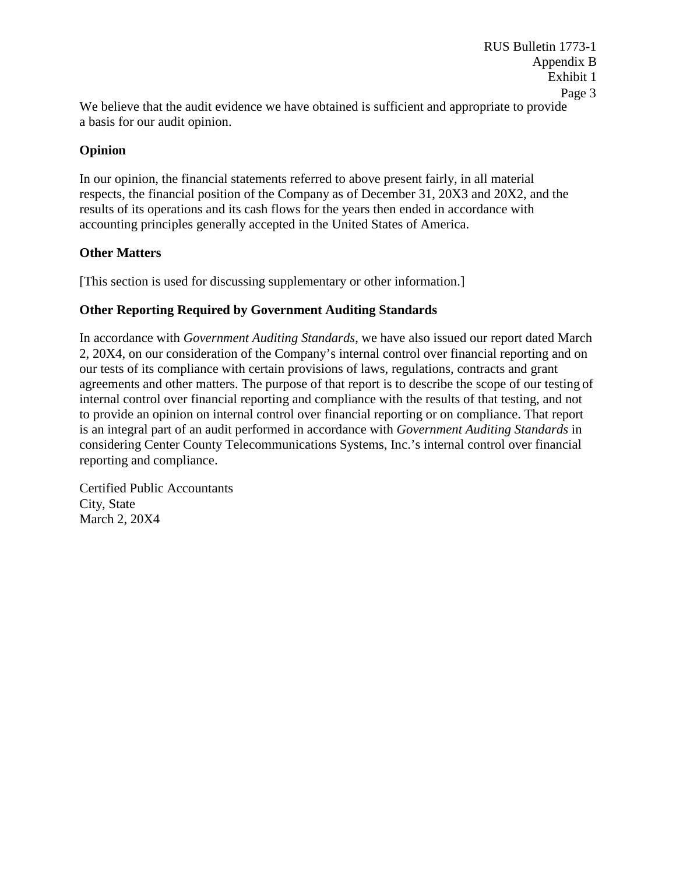We believe that the audit evidence we have obtained is sufficient and appropriate to provide a basis for our audit opinion.

# **Opinion**

In our opinion, the financial statements referred to above present fairly, in all material respects, the financial position of the Company as of December 31, 20X3 and 20X2, and the results of its operations and its cash flows for the years then ended in accordance with accounting principles generally accepted in the United States of America.

## **Other Matters**

[This section is used for discussing supplementary or other information.]

## **Other Reporting Required by Government Auditing Standards**

In accordance with *Government Auditing Standards*, we have also issued our report dated March 2, 20X4, on our consideration of the Company's internal control over financial reporting and on our tests of its compliance with certain provisions of laws, regulations, contracts and grant agreements and other matters. The purpose of that report is to describe the scope of our testing of internal control over financial reporting and compliance with the results of that testing, and not to provide an opinion on internal control over financial reporting or on compliance. That report is an integral part of an audit performed in accordance with *Government Auditing Standards* in considering Center County Telecommunications Systems, Inc.'s internal control over financial reporting and compliance.

Certified Public Accountants City, State March 2, 20X4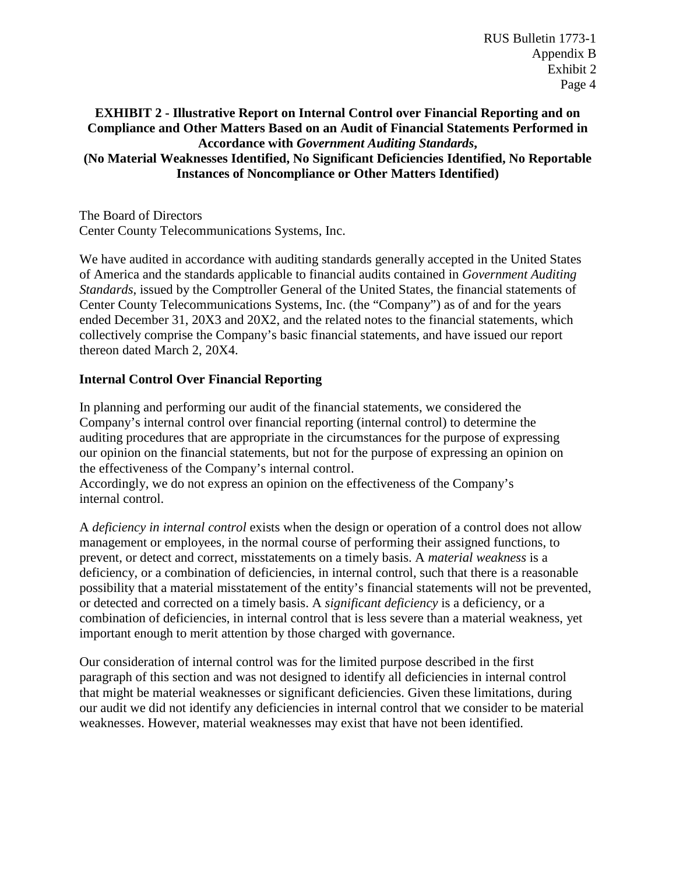## **EXHIBIT 2 - Illustrative Report on Internal Control over Financial Reporting and on Compliance and Other Matters Based on an Audit of Financial Statements Performed in Accordance with** *Government Auditing Standards***, (No Material Weaknesses Identified, No Significant Deficiencies Identified, No Reportable Instances of Noncompliance or Other Matters Identified)**

The Board of Directors Center County Telecommunications Systems, Inc.

We have audited in accordance with auditing standards generally accepted in the United States of America and the standards applicable to financial audits contained in *Government Auditing Standards*, issued by the Comptroller General of the United States, the financial statements of Center County Telecommunications Systems, Inc. (the "Company") as of and for the years ended December 31, 20X3 and 20X2, and the related notes to the financial statements, which collectively comprise the Company's basic financial statements, and have issued our report thereon dated March 2, 20X4.

## **Internal Control Over Financial Reporting**

In planning and performing our audit of the financial statements, we considered the Company's internal control over financial reporting (internal control) to determine the auditing procedures that are appropriate in the circumstances for the purpose of expressing our opinion on the financial statements, but not for the purpose of expressing an opinion on the effectiveness of the Company's internal control.

Accordingly, we do not express an opinion on the effectiveness of the Company's internal control.

A *deficiency in internal control* exists when the design or operation of a control does not allow management or employees, in the normal course of performing their assigned functions, to prevent, or detect and correct, misstatements on a timely basis. A *material weakness* is a deficiency, or a combination of deficiencies, in internal control, such that there is a reasonable possibility that a material misstatement of the entity's financial statements will not be prevented, or detected and corrected on a timely basis. A *significant deficiency* is a deficiency, or a combination of deficiencies, in internal control that is less severe than a material weakness, yet important enough to merit attention by those charged with governance.

Our consideration of internal control was for the limited purpose described in the first paragraph of this section and was not designed to identify all deficiencies in internal control that might be material weaknesses or significant deficiencies. Given these limitations, during our audit we did not identify any deficiencies in internal control that we consider to be material weaknesses. However, material weaknesses may exist that have not been identified.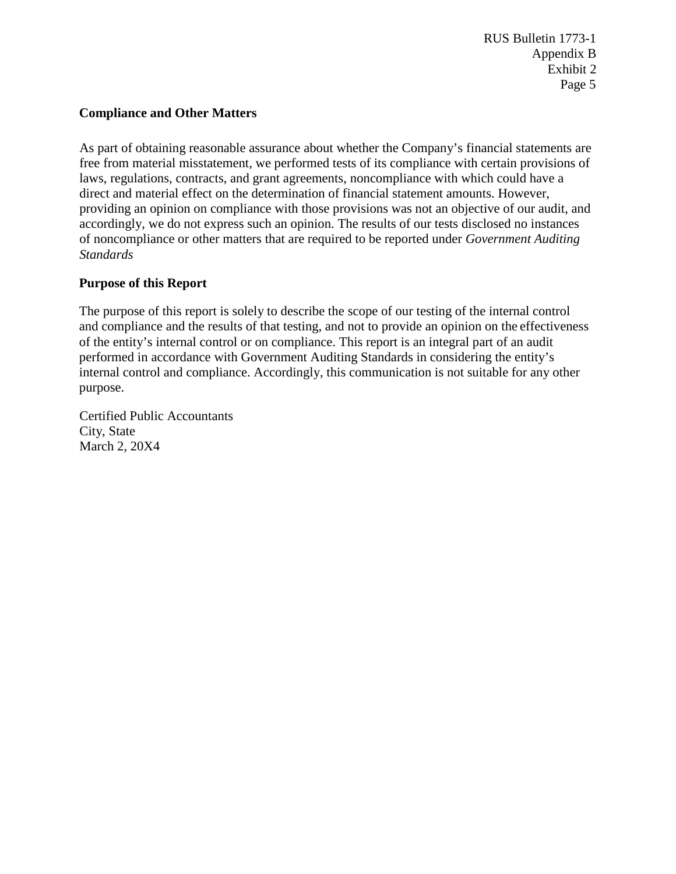#### **Compliance and Other Matters**

As part of obtaining reasonable assurance about whether the Company's financial statements are free from material misstatement, we performed tests of its compliance with certain provisions of laws, regulations, contracts, and grant agreements, noncompliance with which could have a direct and material effect on the determination of financial statement amounts. However, providing an opinion on compliance with those provisions was not an objective of our audit, and accordingly, we do not express such an opinion. The results of our tests disclosed no instances of noncompliance or other matters that are required to be reported under *Government Auditing Standards*

### **Purpose of this Report**

The purpose of this report is solely to describe the scope of our testing of the internal control and compliance and the results of that testing, and not to provide an opinion on the effectiveness of the entity's internal control or on compliance. This report is an integral part of an audit performed in accordance with Government Auditing Standards in considering the entity's internal control and compliance. Accordingly, this communication is not suitable for any other purpose.

Certified Public Accountants City, State March 2, 20X4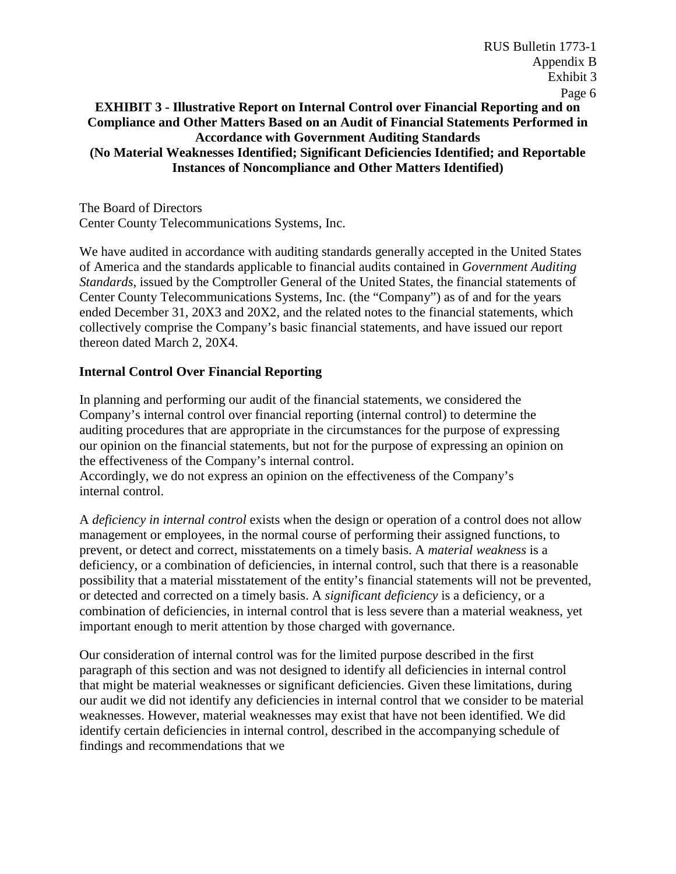## **EXHIBIT 3 - Illustrative Report on Internal Control over Financial Reporting and on Compliance and Other Matters Based on an Audit of Financial Statements Performed in Accordance with Government Auditing Standards (No Material Weaknesses Identified; Significant Deficiencies Identified; and Reportable Instances of Noncompliance and Other Matters Identified)**

The Board of Directors Center County Telecommunications Systems, Inc.

We have audited in accordance with auditing standards generally accepted in the United States of America and the standards applicable to financial audits contained in *Government Auditing Standards*, issued by the Comptroller General of the United States, the financial statements of Center County Telecommunications Systems, Inc. (the "Company") as of and for the years ended December 31, 20X3 and 20X2, and the related notes to the financial statements, which collectively comprise the Company's basic financial statements, and have issued our report thereon dated March 2, 20X4.

## **Internal Control Over Financial Reporting**

In planning and performing our audit of the financial statements, we considered the Company's internal control over financial reporting (internal control) to determine the auditing procedures that are appropriate in the circumstances for the purpose of expressing our opinion on the financial statements, but not for the purpose of expressing an opinion on the effectiveness of the Company's internal control.

Accordingly, we do not express an opinion on the effectiveness of the Company's internal control.

A *deficiency in internal control* exists when the design or operation of a control does not allow management or employees, in the normal course of performing their assigned functions, to prevent, or detect and correct, misstatements on a timely basis. A *material weakness* is a deficiency, or a combination of deficiencies, in internal control, such that there is a reasonable possibility that a material misstatement of the entity's financial statements will not be prevented, or detected and corrected on a timely basis. A *significant deficiency* is a deficiency, or a combination of deficiencies, in internal control that is less severe than a material weakness, yet important enough to merit attention by those charged with governance.

Our consideration of internal control was for the limited purpose described in the first paragraph of this section and was not designed to identify all deficiencies in internal control that might be material weaknesses or significant deficiencies. Given these limitations, during our audit we did not identify any deficiencies in internal control that we consider to be material weaknesses. However, material weaknesses may exist that have not been identified. We did identify certain deficiencies in internal control, described in the accompanying schedule of findings and recommendations that we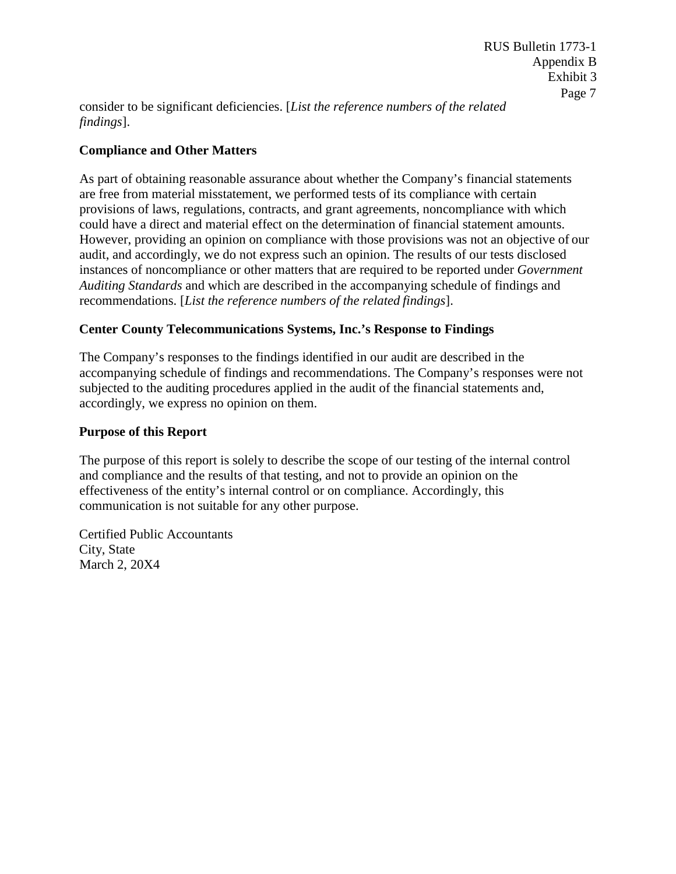consider to be significant deficiencies. [*List the reference numbers of the related findings*].

## **Compliance and Other Matters**

As part of obtaining reasonable assurance about whether the Company's financial statements are free from material misstatement, we performed tests of its compliance with certain provisions of laws, regulations, contracts, and grant agreements, noncompliance with which could have a direct and material effect on the determination of financial statement amounts. However, providing an opinion on compliance with those provisions was not an objective of our audit, and accordingly, we do not express such an opinion. The results of our tests disclosed instances of noncompliance or other matters that are required to be reported under *Government Auditing Standards* and which are described in the accompanying schedule of findings and recommendations. [*List the reference numbers of the related findings*].

## **Center County Telecommunications Systems, Inc.'s Response to Findings**

The Company's responses to the findings identified in our audit are described in the accompanying schedule of findings and recommendations. The Company's responses were not subjected to the auditing procedures applied in the audit of the financial statements and, accordingly, we express no opinion on them.

### **Purpose of this Report**

The purpose of this report is solely to describe the scope of our testing of the internal control and compliance and the results of that testing, and not to provide an opinion on the effectiveness of the entity's internal control or on compliance. Accordingly, this communication is not suitable for any other purpose.

Certified Public Accountants City, State March 2, 20X4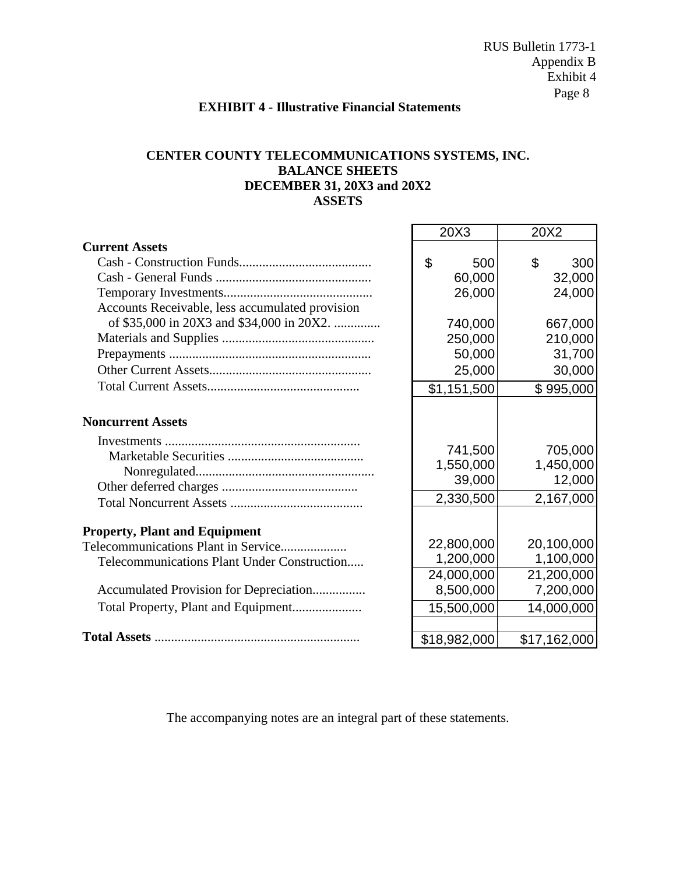# **EXHIBIT 4 - Illustrative Financial Statements**

## **CENTER COUNTY TELECOMMUNICATIONS SYSTEMS, INC. BALANCE SHEETS DECEMBER 31, 20X3 and 20X2 ASSETS**

|                                                 | 20X3 |              | 20X2 |              |
|-------------------------------------------------|------|--------------|------|--------------|
| <b>Current Assets</b>                           |      |              |      |              |
|                                                 | \$   | 500          | \$   | 300          |
|                                                 |      | 60,000       |      | 32,000       |
|                                                 |      | 26,000       |      | 24,000       |
| Accounts Receivable, less accumulated provision |      |              |      |              |
| of \$35,000 in 20X3 and \$34,000 in 20X2.       |      | 740,000      |      | 667,000      |
|                                                 |      | 250,000      |      | 210,000      |
|                                                 |      | 50,000       |      | 31,700       |
|                                                 |      | 25,000       |      | 30,000       |
|                                                 |      | \$1,151,500  |      | \$995,000    |
| <b>Noncurrent Assets</b>                        |      |              |      |              |
|                                                 |      | 741,500      |      | 705,000      |
|                                                 |      | 1,550,000    |      | 1,450,000    |
|                                                 |      | 39,000       |      | 12,000       |
|                                                 |      | 2,330,500    |      |              |
|                                                 |      |              |      | 2,167,000    |
| <b>Property, Plant and Equipment</b>            |      |              |      |              |
|                                                 |      | 22,800,000   |      | 20,100,000   |
| Telecommunications Plant Under Construction     |      | 1,200,000    |      | 1,100,000    |
|                                                 |      | 24,000,000   |      | 21,200,000   |
| Accumulated Provision for Depreciation          |      | 8,500,000    |      | 7,200,000    |
| Total Property, Plant and Equipment             |      | 15,500,000   |      | 14,000,000   |
|                                                 |      |              |      |              |
|                                                 |      | \$18,982,000 |      | \$17,162,000 |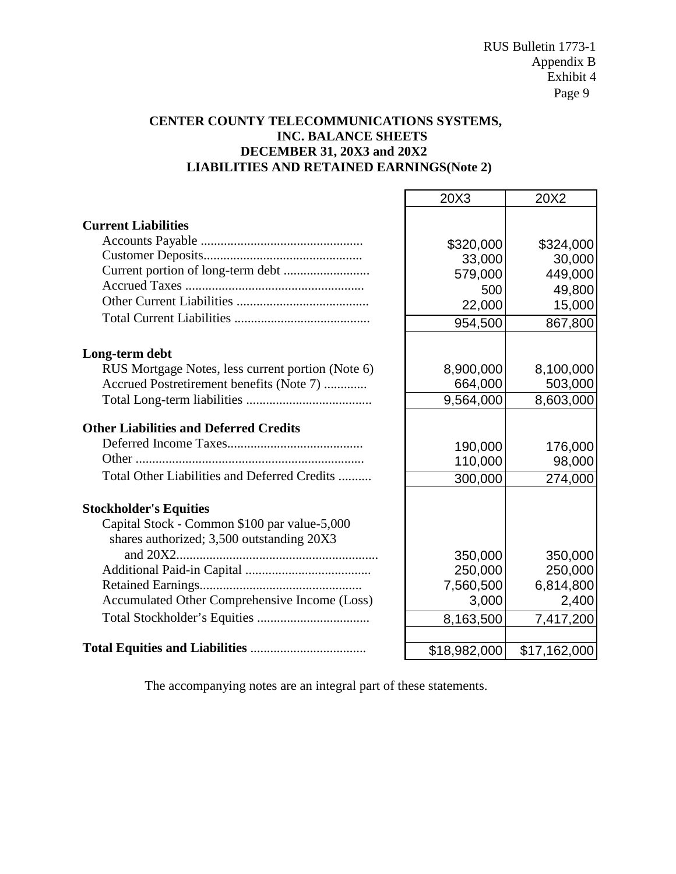## **CENTER COUNTY TELECOMMUNICATIONS SYSTEMS, INC. BALANCE SHEETS DECEMBER 31, 20X3 and 20X2 LIABILITIES AND RETAINED EARNINGS(Note 2)**

|                                                           | 20X3         | 20X2         |
|-----------------------------------------------------------|--------------|--------------|
| <b>Current Liabilities</b>                                |              |              |
|                                                           |              |              |
|                                                           | \$320,000    | \$324,000    |
|                                                           | 33,000       | 30,000       |
|                                                           | 579,000      | 449,000      |
|                                                           | 500          | 49,800       |
|                                                           | 22,000       | 15,000       |
|                                                           | 954,500      | 867,800      |
| Long-term debt                                            |              |              |
| RUS Mortgage Notes, less current portion (Note 6)         | 8,900,000    | 8,100,000    |
| Accrued Postretirement benefits (Note 7)                  | 664,000      | 503,000      |
|                                                           |              |              |
|                                                           | 9,564,000    | 8,603,000    |
| <b>Other Liabilities and Deferred Credits</b>             |              |              |
|                                                           | 190,000      | 176,000      |
|                                                           | 110,000      | 98,000       |
| Total Other Liabilities and Deferred Credits              | 300,000      | 274,000      |
| <b>Stockholder's Equities</b>                             |              |              |
| Capital Stock - Common \$100 par value-5,000              |              |              |
|                                                           |              |              |
| shares authorized; 3,500 outstanding 20X3<br>and $20X2$ . |              |              |
|                                                           | 350,000      | 350,000      |
|                                                           | 250,000      | 250,000      |
|                                                           | 7,560,500    | 6,814,800    |
| Accumulated Other Comprehensive Income (Loss)             | 3,000        | 2,400        |
|                                                           | 8,163,500    | 7,417,200    |
|                                                           |              |              |
|                                                           | \$18,982,000 | \$17,162,000 |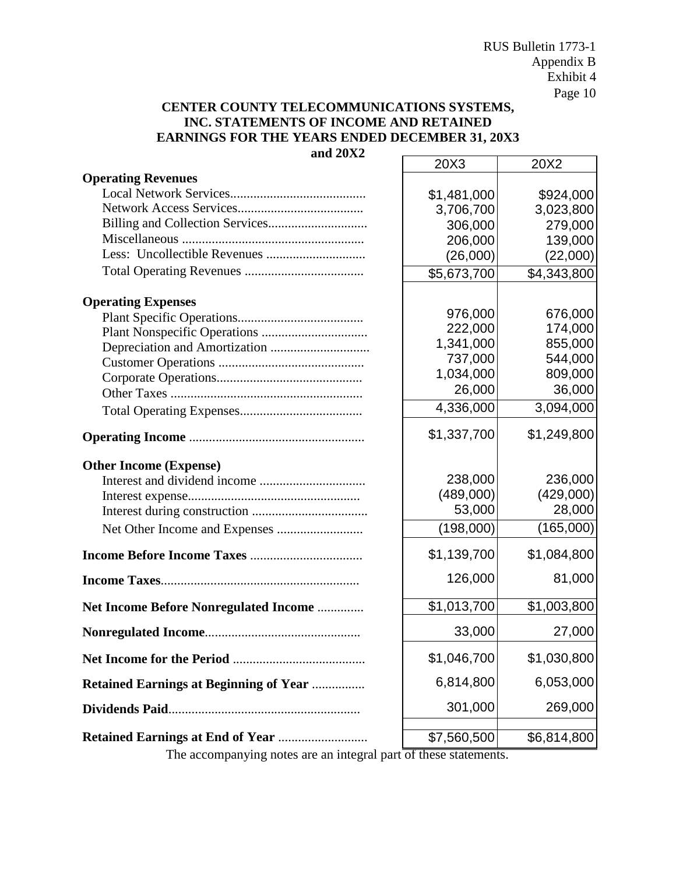$\overline{\phantom{0}}$ 

## **CENTER COUNTY TELECOMMUNICATIONS SYSTEMS, INC. STATEMENTS OF INCOME AND RETAINED EARNINGS FOR THE YEARS ENDED DECEMBER 31, 20X3**

**and 20X2**

| <b>Operating Revenues</b><br>\$1,481,000<br>\$924,000<br>3,706,700<br>3,023,800<br>306,000<br>279,000<br>139,000<br>206,000<br>(26,000)<br>(22,000)<br>\$4,343,800<br>\$5,673,700<br><b>Operating Expenses</b><br>676,000<br>976,000<br>222,000<br>174,000<br>1,341,000<br>855,000<br>737,000<br>544,000<br>1,034,000<br>809,000 |        |
|----------------------------------------------------------------------------------------------------------------------------------------------------------------------------------------------------------------------------------------------------------------------------------------------------------------------------------|--------|
|                                                                                                                                                                                                                                                                                                                                  |        |
|                                                                                                                                                                                                                                                                                                                                  |        |
|                                                                                                                                                                                                                                                                                                                                  |        |
|                                                                                                                                                                                                                                                                                                                                  |        |
|                                                                                                                                                                                                                                                                                                                                  |        |
|                                                                                                                                                                                                                                                                                                                                  |        |
|                                                                                                                                                                                                                                                                                                                                  |        |
|                                                                                                                                                                                                                                                                                                                                  |        |
|                                                                                                                                                                                                                                                                                                                                  |        |
|                                                                                                                                                                                                                                                                                                                                  |        |
|                                                                                                                                                                                                                                                                                                                                  |        |
|                                                                                                                                                                                                                                                                                                                                  |        |
|                                                                                                                                                                                                                                                                                                                                  |        |
| 26,000                                                                                                                                                                                                                                                                                                                           | 36,000 |
| 4,336,000<br>3,094,000                                                                                                                                                                                                                                                                                                           |        |
| \$1,337,700<br>\$1,249,800                                                                                                                                                                                                                                                                                                       |        |
| <b>Other Income (Expense)</b>                                                                                                                                                                                                                                                                                                    |        |
| 238,000<br>236,000                                                                                                                                                                                                                                                                                                               |        |
| (489,000)<br>(429,000)                                                                                                                                                                                                                                                                                                           |        |
| 53,000                                                                                                                                                                                                                                                                                                                           | 28,000 |
| (165,000)<br>(198,000)                                                                                                                                                                                                                                                                                                           |        |
| \$1,139,700<br>\$1,084,800                                                                                                                                                                                                                                                                                                       |        |
| 126,000                                                                                                                                                                                                                                                                                                                          | 81,000 |
| \$1,013,700<br>\$1,003,800<br>Net Income Before Nonregulated Income                                                                                                                                                                                                                                                              |        |
| 33,000                                                                                                                                                                                                                                                                                                                           | 27,000 |
| \$1,046,700<br>\$1,030,800                                                                                                                                                                                                                                                                                                       |        |
| 6,814,800<br>6,053,000<br><b>Retained Earnings at Beginning of Year </b>                                                                                                                                                                                                                                                         |        |
| 301,000<br>269,000                                                                                                                                                                                                                                                                                                               |        |
| \$7,560,500<br>\$6,814,800                                                                                                                                                                                                                                                                                                       |        |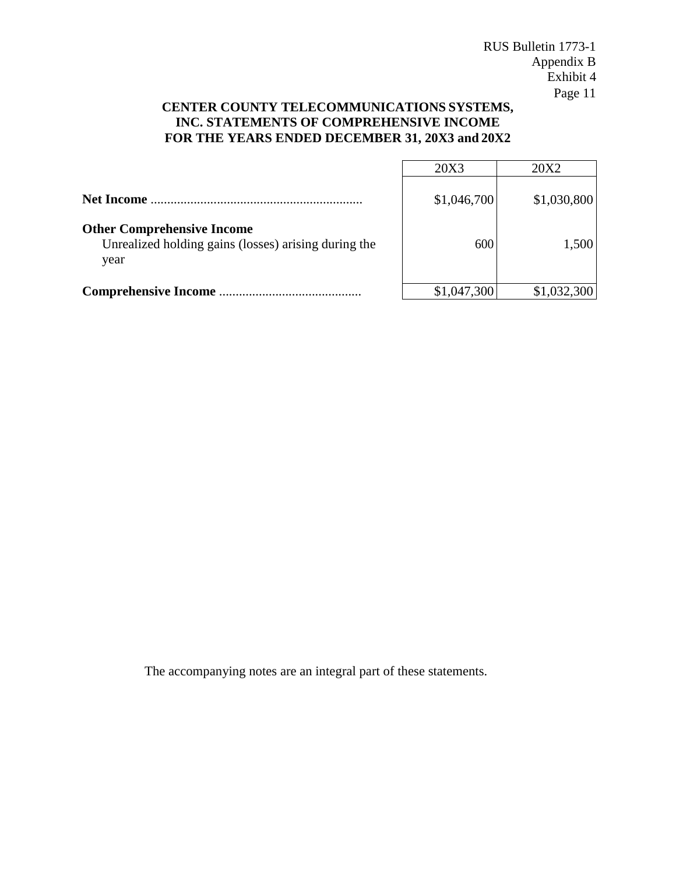## **CENTER COUNTY TELECOMMUNICATIONS SYSTEMS, INC. STATEMENTS OF COMPREHENSIVE INCOME FOR THE YEARS ENDED DECEMBER 31, 20X3 and 20X2**

|                                                                                                   | 20X3        | 20X2        |
|---------------------------------------------------------------------------------------------------|-------------|-------------|
|                                                                                                   | \$1,046,700 | \$1,030,800 |
| <b>Other Comprehensive Income</b><br>Unrealized holding gains (losses) arising during the<br>year | 600         | 1,500       |
|                                                                                                   | \$1,047,300 | \$1,032,300 |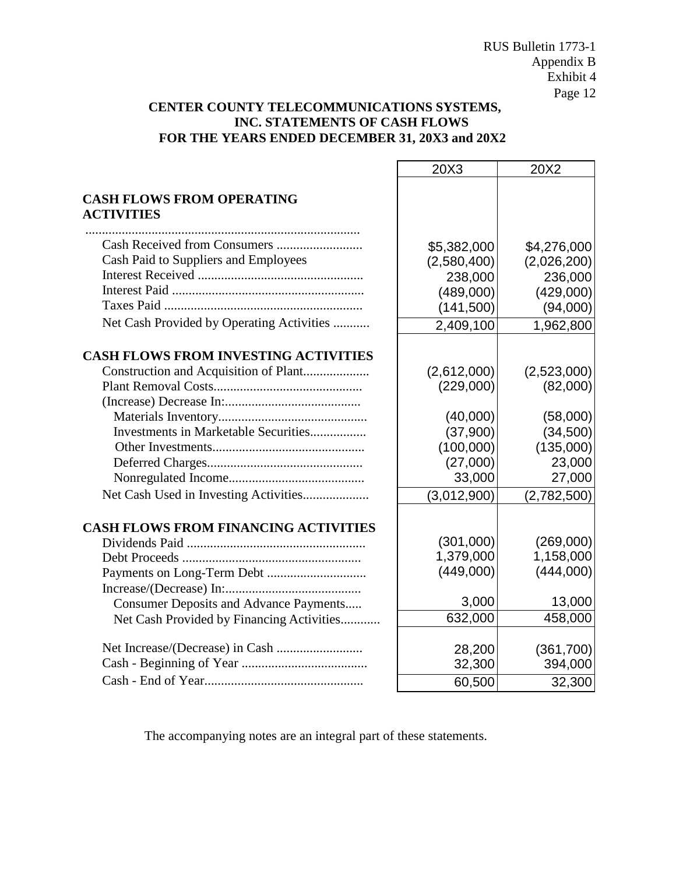## **CENTER COUNTY TELECOMMUNICATIONS SYSTEMS, INC. STATEMENTS OF CASH FLOWS FOR THE YEARS ENDED DECEMBER 31, 20X3 and 20X2**

|                                                                                                                                           | 20X3                                                                                               | 20X2                                                                                            |
|-------------------------------------------------------------------------------------------------------------------------------------------|----------------------------------------------------------------------------------------------------|-------------------------------------------------------------------------------------------------|
| <b>CASH FLOWS FROM OPERATING</b><br><b>ACTIVITIES</b>                                                                                     |                                                                                                    |                                                                                                 |
| Cash Received from Consumers<br>Cash Paid to Suppliers and Employees<br>Net Cash Provided by Operating Activities                         | \$5,382,000<br>(2,580,400)<br>238,000<br>(489,000)<br>(141,500)<br>2,409,100                       | \$4,276,000<br>(2,026,200)<br>236,000<br>(429,000)<br>(94,000)<br>1,962,800                     |
| <b>CASH FLOWS FROM INVESTING ACTIVITIES</b><br>Construction and Acquisition of Plant<br>Investments in Marketable Securities              | (2,612,000)<br>(229,000)<br>(40,000)<br>(37,900)<br>(100,000)<br>(27,000)<br>33,000<br>(3,012,900) | (2,523,000)<br>(82,000)<br>(58,000)<br>(34,500)<br>(135,000)<br>23,000<br>27,000<br>(2,782,500) |
| <b>CASH FLOWS FROM FINANCING ACTIVITIES</b><br><b>Consumer Deposits and Advance Payments</b><br>Net Cash Provided by Financing Activities | (301,000)<br>1,379,000<br>(449,000)<br>3,000<br>632,000                                            | (269,000)<br>1,158,000<br>(444,000)<br>13,000<br>458,000                                        |
|                                                                                                                                           | 28,200<br>32,300<br>60,500                                                                         | (361, 700)<br>394,000<br>32,300                                                                 |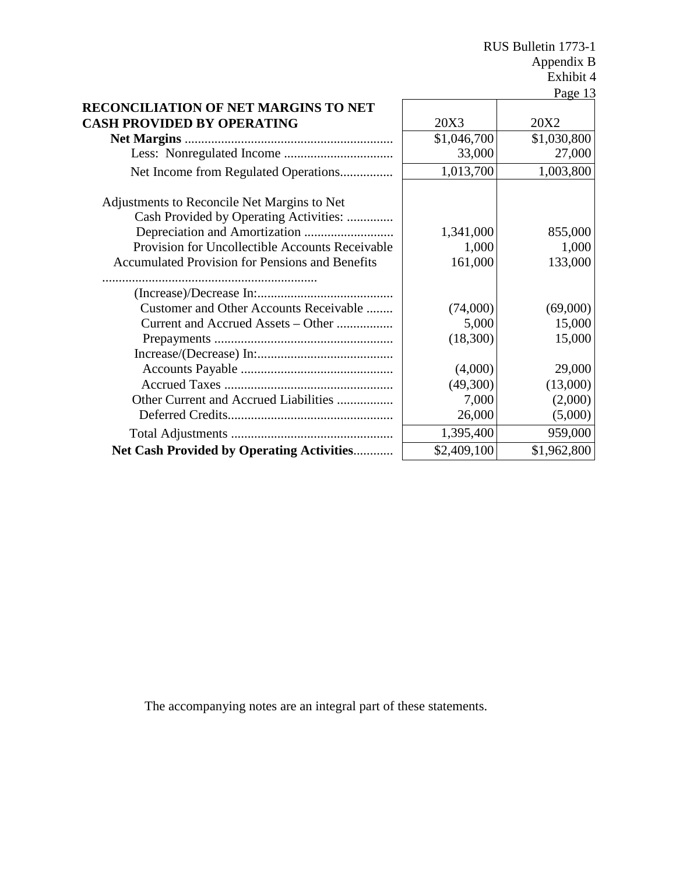|                                                                                       |             | Page 13     |
|---------------------------------------------------------------------------------------|-------------|-------------|
| <b>RECONCILIATION OF NET MARGINS TO NET</b>                                           |             |             |
| <b>CASH PROVIDED BY OPERATING</b>                                                     | 20X3        | 20X2        |
|                                                                                       | \$1,046,700 | \$1,030,800 |
|                                                                                       | 33,000      | 27,000      |
| Net Income from Regulated Operations                                                  | 1,013,700   | 1,003,800   |
| Adjustments to Reconcile Net Margins to Net<br>Cash Provided by Operating Activities: |             |             |
|                                                                                       |             |             |
|                                                                                       | 1,341,000   | 855,000     |
| Provision for Uncollectible Accounts Receivable                                       | 1,000       | 1,000       |
| <b>Accumulated Provision for Pensions and Benefits</b>                                | 161,000     | 133,000     |
|                                                                                       |             |             |
|                                                                                       |             |             |
| Customer and Other Accounts Receivable                                                | (74,000)    | (69,000)    |
| Current and Accrued Assets – Other                                                    | 5,000       | 15,000      |
|                                                                                       | (18,300)    | 15,000      |
|                                                                                       |             |             |
|                                                                                       | (4,000)     | 29,000      |
|                                                                                       | (49,300)    | (13,000)    |
| Other Current and Accrued Liabilities                                                 | 7,000       | (2,000)     |
|                                                                                       | 26,000      | (5,000)     |
|                                                                                       | 1,395,400   | 959,000     |
| Net Cash Provided by Operating Activities                                             | \$2,409,100 | \$1,962,800 |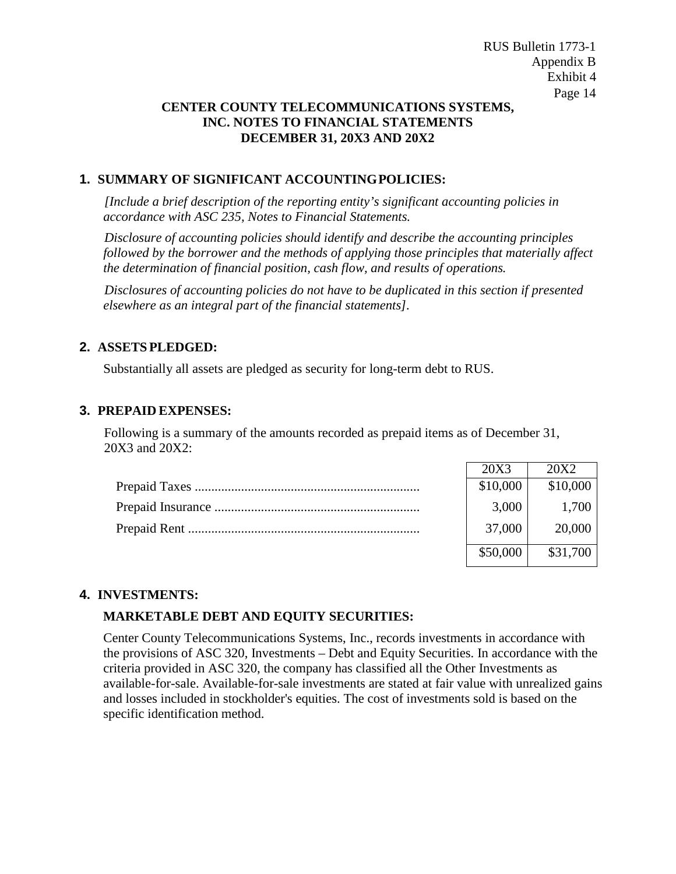## **CENTER COUNTY TELECOMMUNICATIONS SYSTEMS, INC. NOTES TO FINANCIAL STATEMENTS DECEMBER 31, 20X3 AND 20X2**

## **1. SUMMARY OF SIGNIFICANT ACCOUNTINGPOLICIES:**

*[Include a brief description of the reporting entity's significant accounting policies in accordance with ASC 235, Notes to Financial Statements.*

*Disclosure of accounting policies should identify and describe the accounting principles followed by the borrower and the methods of applying those principles that materially affect the determination of financial position, cash flow, and results of operations.*

*Disclosures of accounting policies do not have to be duplicated in this section if presented elsewhere as an integral part of the financial statements].*

## **2. ASSETS PLEDGED:**

Substantially all assets are pledged as security for long-term debt to RUS.

## **3. PREPAID EXPENSES:**

Following is a summary of the amounts recorded as prepaid items as of December 31, 20X3 and 20X2:

| 20X3     | 20X2     |
|----------|----------|
| \$10,000 | \$10,000 |
| 3,000    | 1,700    |
| 37,000   | 20,000   |
| \$50,000 | \$31,700 |

## **4. INVESTMENTS:**

## **MARKETABLE DEBT AND EQUITY SECURITIES:**

Center County Telecommunications Systems, Inc., records investments in accordance with the provisions of ASC 320, Investments – Debt and Equity Securities. In accordance with the criteria provided in ASC 320, the company has classified all the Other Investments as available-for-sale. Available-for-sale investments are stated at fair value with unrealized gains and losses included in stockholder's equities. The cost of investments sold is based on the specific identification method.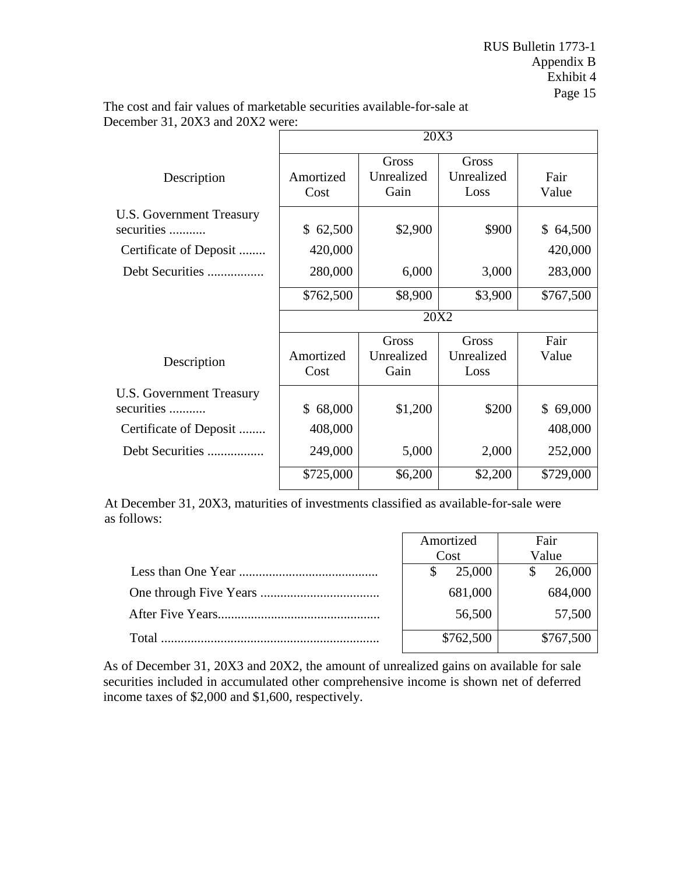| The cost and fair values of marketable securities available-for-sale at |
|-------------------------------------------------------------------------|
| December 31, 20X3 and 20X2 were:                                        |

|                                                                  | 20X3                |                             |                             |                     |
|------------------------------------------------------------------|---------------------|-----------------------------|-----------------------------|---------------------|
| Description                                                      | Amortized<br>Cost   | Gross<br>Unrealized<br>Gain | Gross<br>Unrealized<br>Loss | Fair<br>Value       |
| U.S. Government Treasury<br>securities<br>Certificate of Deposit | \$62,500<br>420,000 | \$2,900                     | \$900                       | \$64,500<br>420,000 |
| Debt Securities                                                  | 280,000             | 6,000                       | 3,000                       | 283,000             |
|                                                                  | \$762,500           | \$8,900                     | \$3,900                     | \$767,500           |
|                                                                  |                     |                             |                             |                     |
|                                                                  |                     | 20X2                        |                             |                     |
| Description                                                      | Amortized<br>Cost   | Gross<br>Unrealized<br>Gain | Gross<br>Unrealized<br>Loss | Fair<br>Value       |
| U.S. Government Treasury<br>securities                           | \$<br>68,000        | \$1,200                     | \$200                       | 69,000<br>\$        |
| Certificate of Deposit                                           | 408,000             |                             |                             | 408,000             |
| Debt Securities                                                  | 249,000             | 5,000                       | 2,000                       | 252,000             |

At December 31, 20X3, maturities of investments classified as available-for-sale were as follows:

| Amortized | Fair      |  |
|-----------|-----------|--|
| Cost      | Value     |  |
| 25,000    | 26,000    |  |
| 681,000   | 684,000   |  |
| 56,500    | 57,500    |  |
| \$762,500 | \$767,500 |  |

As of December 31, 20X3 and 20X2, the amount of unrealized gains on available for sale securities included in accumulated other comprehensive income is shown net of deferred income taxes of \$2,000 and \$1,600, respectively.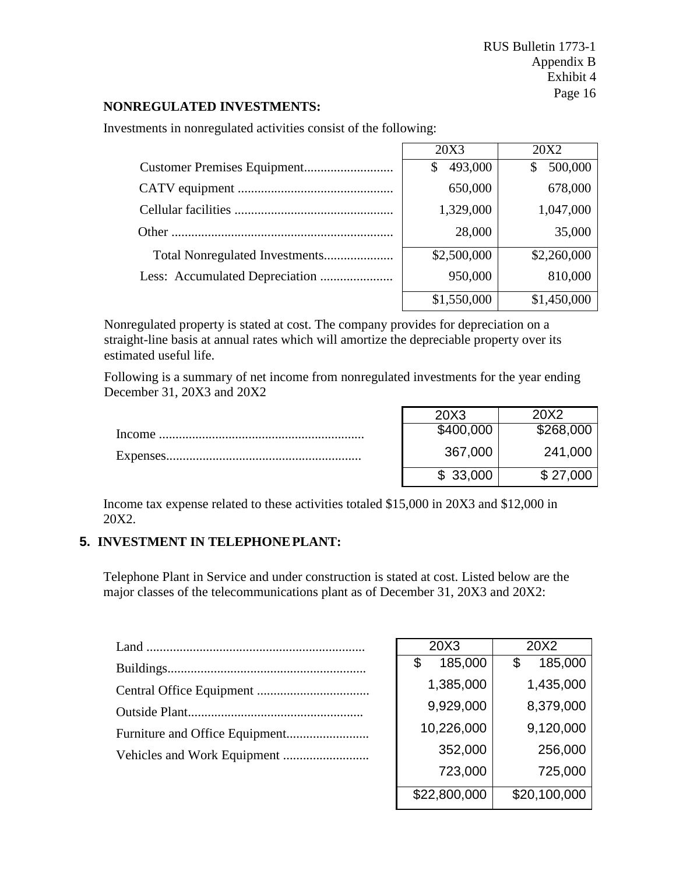### **NONREGULATED INVESTMENTS:**

Investments in nonregulated activities consist of the following:

| 20X3          | 20X2         |
|---------------|--------------|
| 493,000<br>\$ | 500,000<br>S |
| 650,000       | 678,000      |
| 1,329,000     | 1,047,000    |
| 28,000        | 35,000       |
| \$2,500,000   | \$2,260,000  |
| 950,000       | 810,000      |
| \$1,550,000   | \$1,450,000  |

Nonregulated property is stated at cost. The company provides for depreciation on a straight-line basis at annual rates which will amortize the depreciable property over its estimated useful life.

Following is a summary of net income from nonregulated investments for the year ending December 31, 20X3 and 20X2

| 20X3      | 20X2      |
|-----------|-----------|
| \$400,000 | \$268,000 |
| 367,000   | 241,000   |
| \$33,000  | \$27,000  |

Income tax expense related to these activities totaled \$15,000 in 20X3 and \$12,000 in 20X2.

## **5. INVESTMENT IN TELEPHONEPLANT:**

Telephone Plant in Service and under construction is stated at cost. Listed below are the major classes of the telecommunications plant as of December 31, 20X3 and 20X2:

| 20X3          | 20X2          |
|---------------|---------------|
| 185,000<br>\$ | 185,000<br>\$ |
| 1,385,000     | 1,435,000     |
| 9,929,000     | 8,379,000     |
| 10,226,000    | 9,120,000     |
| 352,000       | 256,000       |
| 723,000       | 725,000       |
| \$22,800,000  | \$20,100,000  |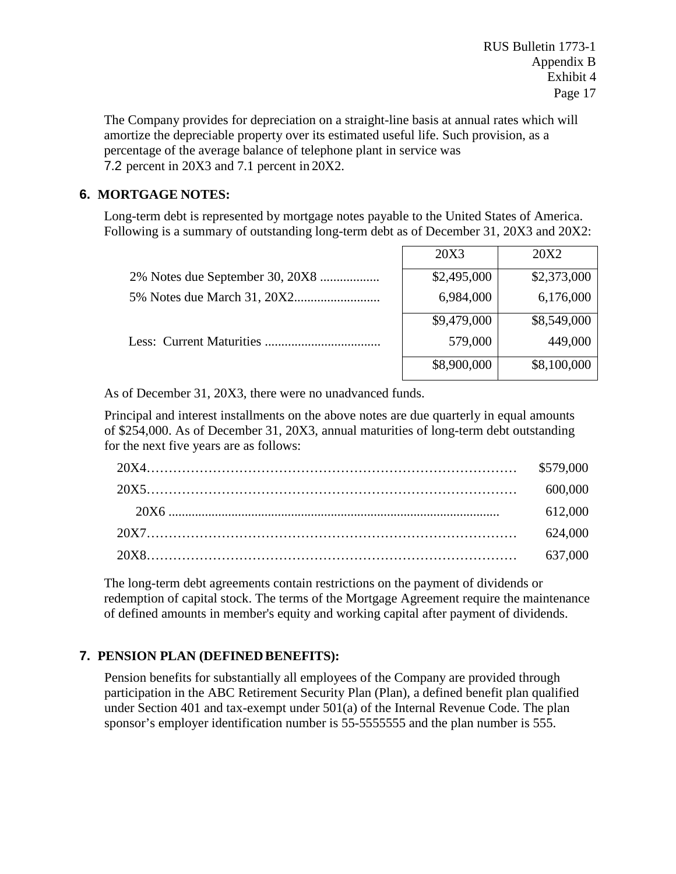The Company provides for depreciation on a straight-line basis at annual rates which will amortize the depreciable property over its estimated useful life. Such provision, as a percentage of the average balance of telephone plant in service was 7.2 percent in 20X3 and 7.1 percent in 20X2.

## **6. MORTGAGE NOTES:**

Long-term debt is represented by mortgage notes payable to the United States of America. Following is a summary of outstanding long-term debt as of December 31, 20X3 and 20X2:

| 20X3        | 20X2        |
|-------------|-------------|
| \$2,495,000 | \$2,373,000 |
| 6,984,000   | 6,176,000   |
| \$9,479,000 | \$8,549,000 |
| 579,000     | 449,000     |
| \$8,900,000 | \$8,100,000 |

As of December 31, 20X3, there were no unadvanced funds.

Principal and interest installments on the above notes are due quarterly in equal amounts of \$254,000. As of December 31, 20X3, annual maturities of long-term debt outstanding for the next five years are as follows:

| 612.000 |
|---------|
|         |
|         |

The long-term debt agreements contain restrictions on the payment of dividends or redemption of capital stock. The terms of the Mortgage Agreement require the maintenance of defined amounts in member's equity and working capital after payment of dividends.

# **7. PENSION PLAN (DEFINED BENEFITS):**

Pension benefits for substantially all employees of the Company are provided through participation in the ABC Retirement Security Plan (Plan), a defined benefit plan qualified under Section 401 and tax-exempt under 501(a) of the Internal Revenue Code. The plan sponsor's employer identification number is 55-5555555 and the plan number is 555.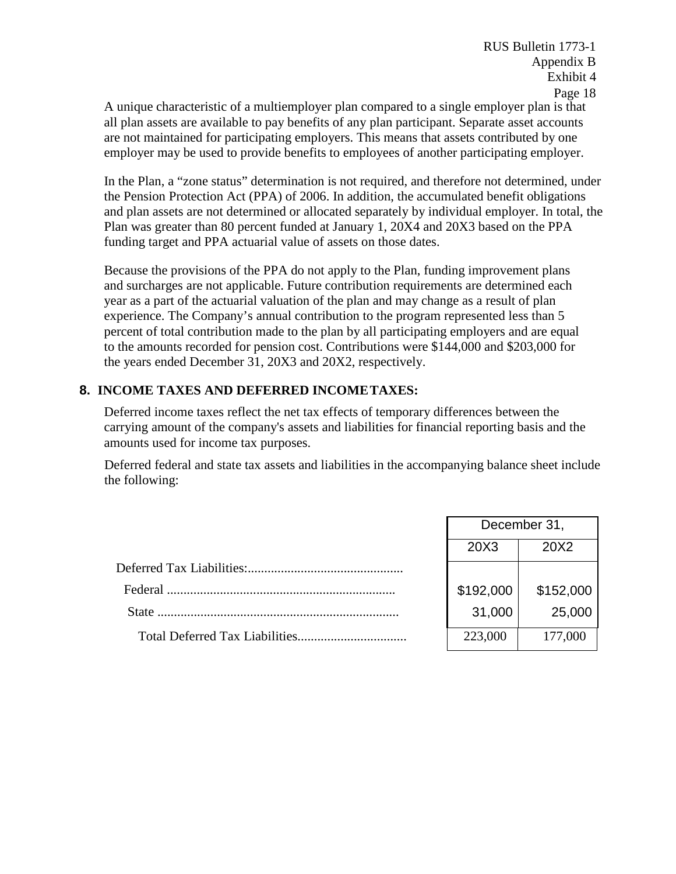A unique characteristic of a multiemployer plan compared to a single employer plan is that all plan assets are available to pay benefits of any plan participant. Separate asset accounts are not maintained for participating employers. This means that assets contributed by one employer may be used to provide benefits to employees of another participating employer.

In the Plan, a "zone status" determination is not required, and therefore not determined, under the Pension Protection Act (PPA) of 2006. In addition, the accumulated benefit obligations and plan assets are not determined or allocated separately by individual employer. In total, the Plan was greater than 80 percent funded at January 1, 20X4 and 20X3 based on the PPA funding target and PPA actuarial value of assets on those dates.

Because the provisions of the PPA do not apply to the Plan, funding improvement plans and surcharges are not applicable. Future contribution requirements are determined each year as a part of the actuarial valuation of the plan and may change as a result of plan experience. The Company's annual contribution to the program represented less than 5 percent of total contribution made to the plan by all participating employers and are equal to the amounts recorded for pension cost. Contributions were \$144,000 and \$203,000 for the years ended December 31, 20X3 and 20X2, respectively.

## **8. INCOME TAXES AND DEFERRED INCOMETAXES:**

Deferred income taxes reflect the net tax effects of temporary differences between the carrying amount of the company's assets and liabilities for financial reporting basis and the amounts used for income tax purposes.

Deferred federal and state tax assets and liabilities in the accompanying balance sheet include the following:

|         | December 31, |           |
|---------|--------------|-----------|
|         | 20X3         | 20X2      |
|         |              |           |
| Federal | \$192,000    | \$152,000 |
|         | 31,000       | 25,000    |
|         | 223,000      | 177,000   |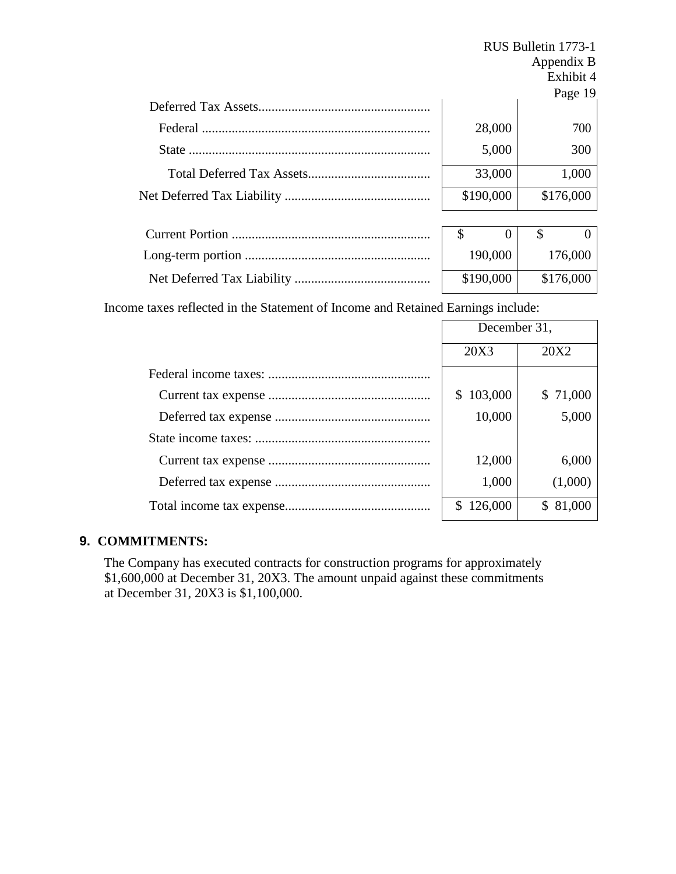|           | $1 \mu$ $\mu$ |
|-----------|---------------|
|           |               |
| 28,000    |               |
| 5,000     |               |
| 33,000    | 1,000         |
| \$190,000 | \$176,000     |

|  | 190,000   | 176,000   |
|--|-----------|-----------|
|  | \$190,000 | \$176.000 |

Income taxes reflected in the Statement of Income and Retained Earnings include:

| December 31,  |           |  |
|---------------|-----------|--|
| 20X3          | 20X2      |  |
|               |           |  |
| 103,000<br>S. | \$ 71,000 |  |
| 10,000        | 5,000     |  |
|               |           |  |
| 12,000        | 6,000     |  |
| 1,000         | (1,000)   |  |
| 126,000       | \$81,000  |  |

## **9. COMMITMENTS:**

The Company has executed contracts for construction programs for approximately \$1,600,000 at December 31, 20X3. The amount unpaid against these commitments at December 31, 20X3 is \$1,100,000.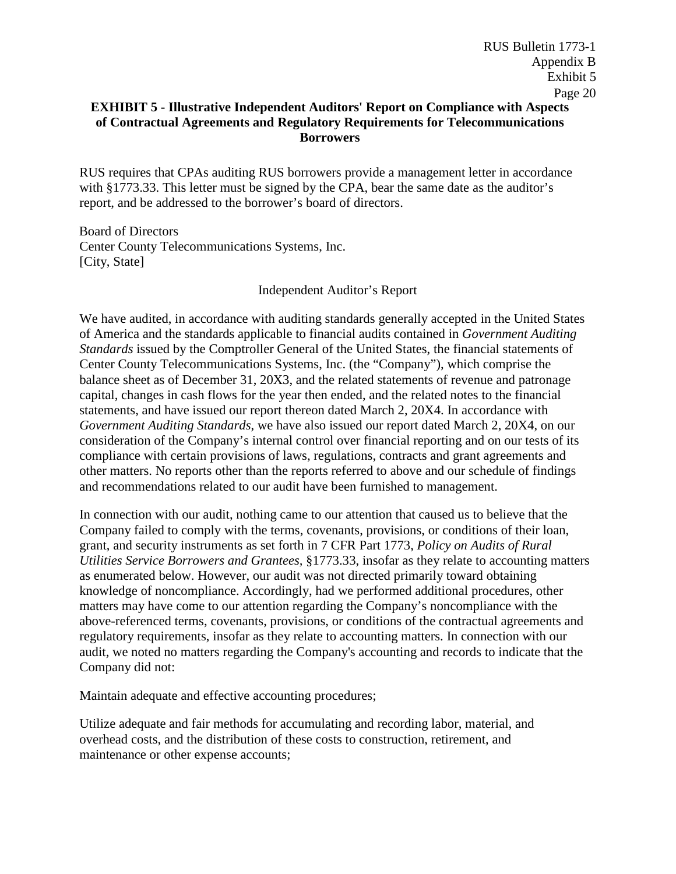## **EXHIBIT 5 - Illustrative Independent Auditors' Report on Compliance with Aspects of Contractual Agreements and Regulatory Requirements for Telecommunications Borrowers**

RUS requires that CPAs auditing RUS borrowers provide a management letter in accordance with §1773.33. This letter must be signed by the CPA, bear the same date as the auditor's report, and be addressed to the borrower's board of directors.

Board of Directors Center County Telecommunications Systems, Inc. [City, State]

#### Independent Auditor's Report

We have audited, in accordance with auditing standards generally accepted in the United States of America and the standards applicable to financial audits contained in *Government Auditing Standards* issued by the Comptroller General of the United States, the financial statements of Center County Telecommunications Systems, Inc. (the "Company"), which comprise the balance sheet as of December 31, 20X3, and the related statements of revenue and patronage capital, changes in cash flows for the year then ended, and the related notes to the financial statements, and have issued our report thereon dated March 2, 20X4. In accordance with *Government Auditing Standards*, we have also issued our report dated March 2, 20X4, on our consideration of the Company's internal control over financial reporting and on our tests of its compliance with certain provisions of laws, regulations, contracts and grant agreements and other matters. No reports other than the reports referred to above and our schedule of findings and recommendations related to our audit have been furnished to management.

In connection with our audit, nothing came to our attention that caused us to believe that the Company failed to comply with the terms, covenants, provisions, or conditions of their loan, grant, and security instruments as set forth in 7 CFR Part 1773, *Policy on Audits of Rural Utilities Service Borrowers and Grantees,* §1773.33, insofar as they relate to accounting matters as enumerated below. However, our audit was not directed primarily toward obtaining knowledge of noncompliance. Accordingly, had we performed additional procedures, other matters may have come to our attention regarding the Company's noncompliance with the above-referenced terms, covenants, provisions, or conditions of the contractual agreements and regulatory requirements, insofar as they relate to accounting matters. In connection with our audit, we noted no matters regarding the Company's accounting and records to indicate that the Company did not:

Maintain adequate and effective accounting procedures;

Utilize adequate and fair methods for accumulating and recording labor, material, and overhead costs, and the distribution of these costs to construction, retirement, and maintenance or other expense accounts;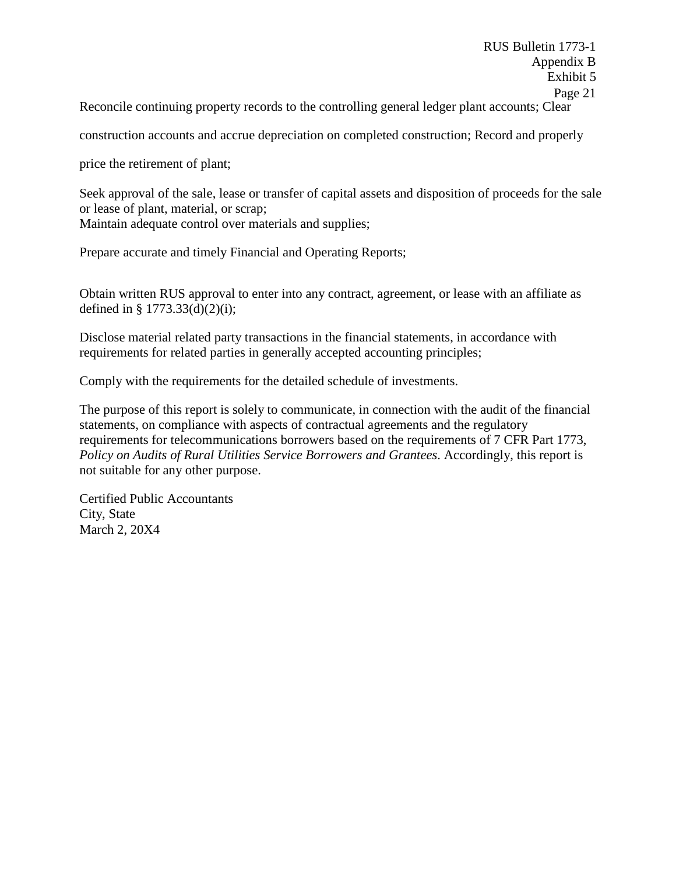Reconcile continuing property records to the controlling general ledger plant accounts; Clear

construction accounts and accrue depreciation on completed construction; Record and properly

price the retirement of plant;

Seek approval of the sale, lease or transfer of capital assets and disposition of proceeds for the sale or lease of plant, material, or scrap;

Maintain adequate control over materials and supplies;

Prepare accurate and timely Financial and Operating Reports;

Obtain written RUS approval to enter into any contract, agreement, or lease with an affiliate as defined in § 1773.33(d)(2)(i);

Disclose material related party transactions in the financial statements, in accordance with requirements for related parties in generally accepted accounting principles;

Comply with the requirements for the detailed schedule of investments.

The purpose of this report is solely to communicate, in connection with the audit of the financial statements, on compliance with aspects of contractual agreements and the regulatory requirements for telecommunications borrowers based on the requirements of 7 CFR Part 1773, *Policy on Audits of Rural Utilities Service Borrowers and Grantees*. Accordingly, this report is not suitable for any other purpose.

Certified Public Accountants City, State March 2, 20X4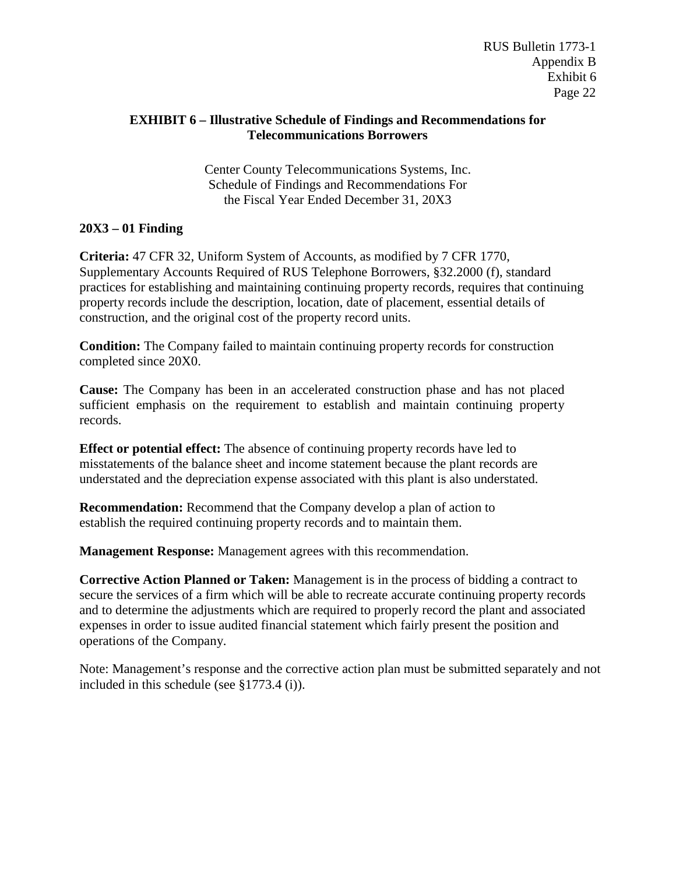### **EXHIBIT 6 – Illustrative Schedule of Findings and Recommendations for Telecommunications Borrowers**

Center County Telecommunications Systems, Inc. Schedule of Findings and Recommendations For the Fiscal Year Ended December 31, 20X3

## **20X3 – 01 Finding**

**Criteria:** 47 CFR 32, Uniform System of Accounts, as modified by 7 CFR 1770, Supplementary Accounts Required of RUS Telephone Borrowers, §32.2000 (f), standard practices for establishing and maintaining continuing property records, requires that continuing property records include the description, location, date of placement, essential details of construction, and the original cost of the property record units.

**Condition:** The Company failed to maintain continuing property records for construction completed since 20X0.

**Cause:** The Company has been in an accelerated construction phase and has not placed sufficient emphasis on the requirement to establish and maintain continuing property records.

**Effect or potential effect:** The absence of continuing property records have led to misstatements of the balance sheet and income statement because the plant records are understated and the depreciation expense associated with this plant is also understated.

**Recommendation:** Recommend that the Company develop a plan of action to establish the required continuing property records and to maintain them.

**Management Response:** Management agrees with this recommendation.

**Corrective Action Planned or Taken:** Management is in the process of bidding a contract to secure the services of a firm which will be able to recreate accurate continuing property records and to determine the adjustments which are required to properly record the plant and associated expenses in order to issue audited financial statement which fairly present the position and operations of the Company.

Note: Management's response and the corrective action plan must be submitted separately and not included in this schedule (see §1773.4 (i)).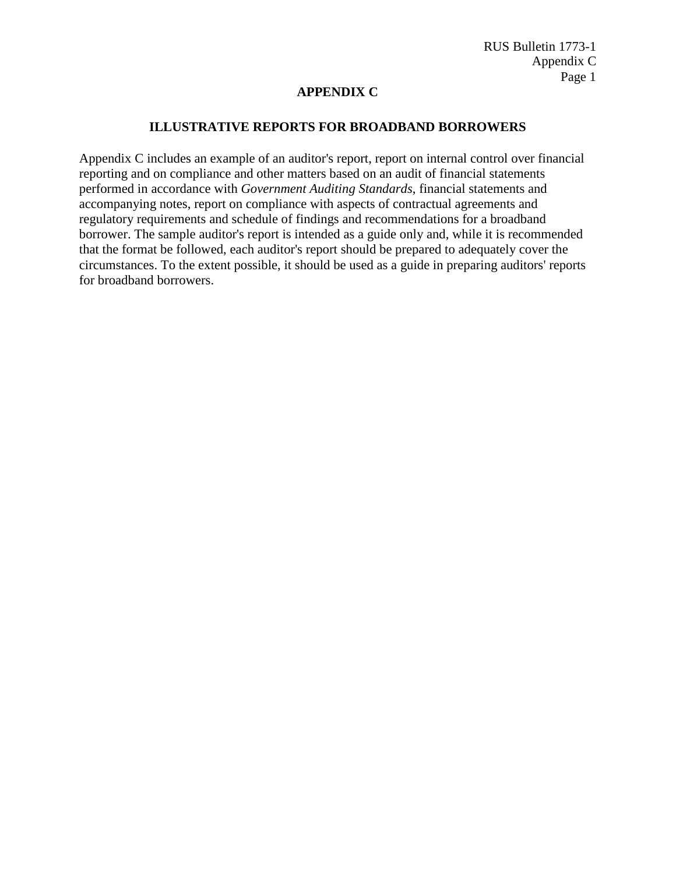### **APPENDIX C**

### **ILLUSTRATIVE REPORTS FOR BROADBAND BORROWERS**

Appendix C includes an example of an auditor's report, report on internal control over financial reporting and on compliance and other matters based on an audit of financial statements performed in accordance with *Government Auditing Standards*, financial statements and accompanying notes, report on compliance with aspects of contractual agreements and regulatory requirements and schedule of findings and recommendations for a broadband borrower. The sample auditor's report is intended as a guide only and, while it is recommended that the format be followed, each auditor's report should be prepared to adequately cover the circumstances. To the extent possible, it should be used as a guide in preparing auditors' reports for broadband borrowers.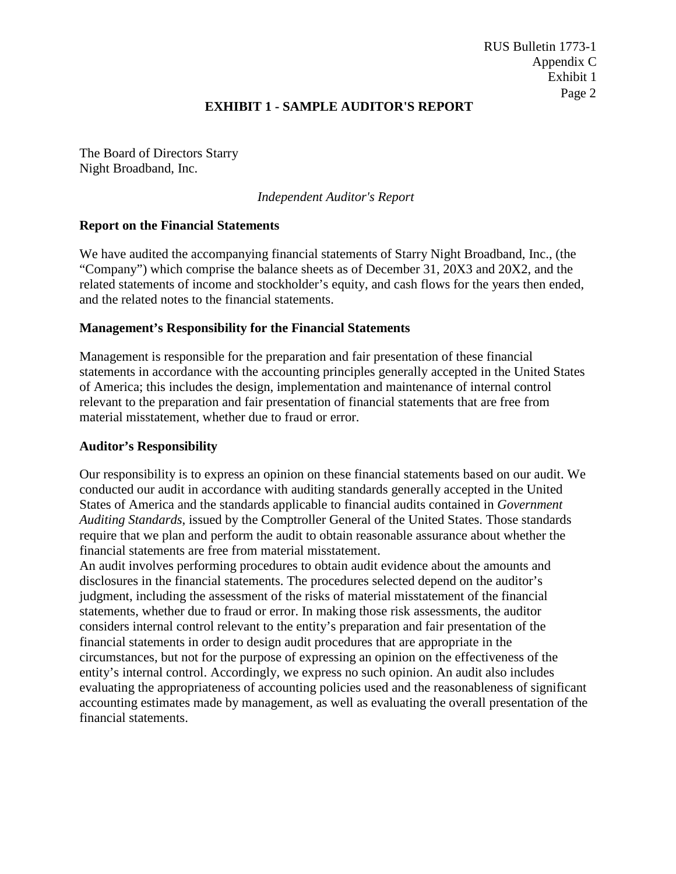#### **EXHIBIT 1 - SAMPLE AUDITOR'S REPORT**

The Board of Directors Starry Night Broadband, Inc.

*Independent Auditor's Report*

#### **Report on the Financial Statements**

We have audited the accompanying financial statements of Starry Night Broadband, Inc., (the "Company") which comprise the balance sheets as of December 31, 20X3 and 20X2, and the related statements of income and stockholder's equity, and cash flows for the years then ended, and the related notes to the financial statements.

#### **Management's Responsibility for the Financial Statements**

Management is responsible for the preparation and fair presentation of these financial statements in accordance with the accounting principles generally accepted in the United States of America; this includes the design, implementation and maintenance of internal control relevant to the preparation and fair presentation of financial statements that are free from material misstatement, whether due to fraud or error.

#### **Auditor's Responsibility**

Our responsibility is to express an opinion on these financial statements based on our audit. We conducted our audit in accordance with auditing standards generally accepted in the United States of America and the standards applicable to financial audits contained in *Government Auditing Standards*, issued by the Comptroller General of the United States. Those standards require that we plan and perform the audit to obtain reasonable assurance about whether the financial statements are free from material misstatement.

An audit involves performing procedures to obtain audit evidence about the amounts and disclosures in the financial statements. The procedures selected depend on the auditor's judgment, including the assessment of the risks of material misstatement of the financial statements, whether due to fraud or error. In making those risk assessments, the auditor considers internal control relevant to the entity's preparation and fair presentation of the financial statements in order to design audit procedures that are appropriate in the circumstances, but not for the purpose of expressing an opinion on the effectiveness of the entity's internal control. Accordingly, we express no such opinion. An audit also includes evaluating the appropriateness of accounting policies used and the reasonableness of significant accounting estimates made by management, as well as evaluating the overall presentation of the financial statements.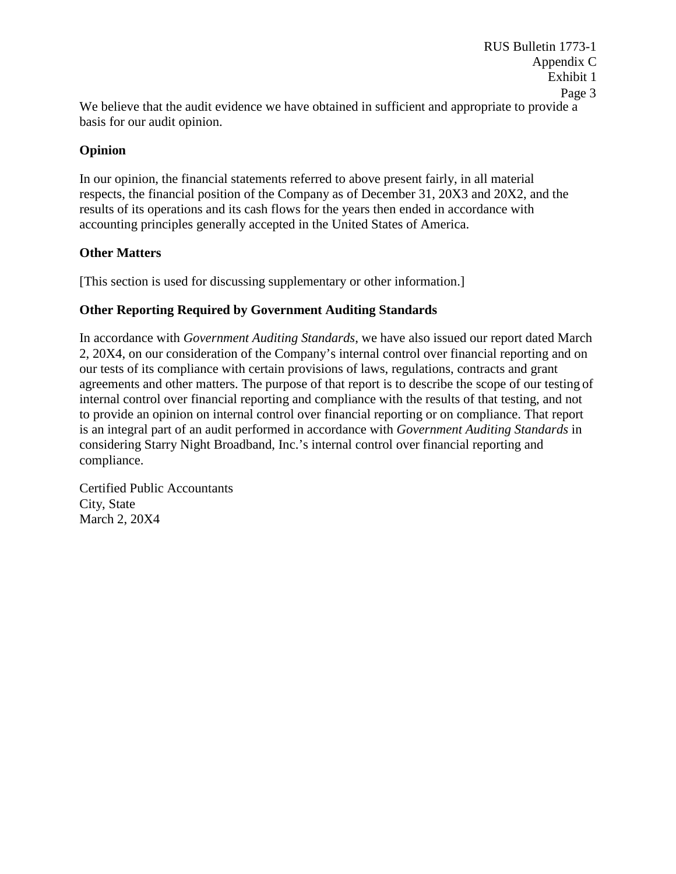We believe that the audit evidence we have obtained in sufficient and appropriate to provide a basis for our audit opinion.

## **Opinion**

In our opinion, the financial statements referred to above present fairly, in all material respects, the financial position of the Company as of December 31, 20X3 and 20X2, and the results of its operations and its cash flows for the years then ended in accordance with accounting principles generally accepted in the United States of America.

## **Other Matters**

[This section is used for discussing supplementary or other information.]

## **Other Reporting Required by Government Auditing Standards**

In accordance with *Government Auditing Standards*, we have also issued our report dated March 2, 20X4, on our consideration of the Company's internal control over financial reporting and on our tests of its compliance with certain provisions of laws, regulations, contracts and grant agreements and other matters. The purpose of that report is to describe the scope of our testing of internal control over financial reporting and compliance with the results of that testing, and not to provide an opinion on internal control over financial reporting or on compliance. That report is an integral part of an audit performed in accordance with *Government Auditing Standards* in considering Starry Night Broadband, Inc.'s internal control over financial reporting and compliance.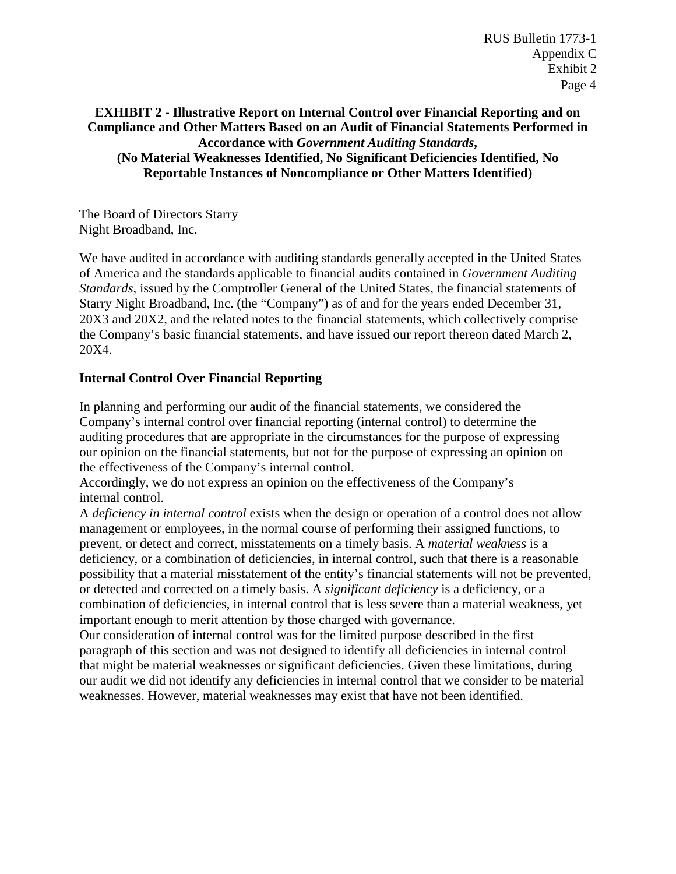## **EXHIBIT 2 - Illustrative Report on Internal Control over Financial Reporting and on Compliance and Other Matters Based on an Audit of Financial Statements Performed in Accordance with** *Government Auditing Standards***, (No Material Weaknesses Identified, No Significant Deficiencies Identified, No Reportable Instances of Noncompliance or Other Matters Identified)**

The Board of Directors Starry Night Broadband, Inc.

We have audited in accordance with auditing standards generally accepted in the United States of America and the standards applicable to financial audits contained in *Government Auditing Standards*, issued by the Comptroller General of the United States, the financial statements of Starry Night Broadband, Inc. (the "Company") as of and for the years ended December 31, 20X3 and 20X2, and the related notes to the financial statements, which collectively comprise the Company's basic financial statements, and have issued our report thereon dated March 2, 20X4.

## **Internal Control Over Financial Reporting**

In planning and performing our audit of the financial statements, we considered the Company's internal control over financial reporting (internal control) to determine the auditing procedures that are appropriate in the circumstances for the purpose of expressing our opinion on the financial statements, but not for the purpose of expressing an opinion on the effectiveness of the Company's internal control.

Accordingly, we do not express an opinion on the effectiveness of the Company's internal control.

A *deficiency in internal control* exists when the design or operation of a control does not allow management or employees, in the normal course of performing their assigned functions, to prevent, or detect and correct, misstatements on a timely basis. A *material weakness* is a deficiency, or a combination of deficiencies, in internal control, such that there is a reasonable possibility that a material misstatement of the entity's financial statements will not be prevented, or detected and corrected on a timely basis. A *significant deficiency* is a deficiency, or a combination of deficiencies, in internal control that is less severe than a material weakness, yet important enough to merit attention by those charged with governance.

Our consideration of internal control was for the limited purpose described in the first paragraph of this section and was not designed to identify all deficiencies in internal control that might be material weaknesses or significant deficiencies. Given these limitations, during our audit we did not identify any deficiencies in internal control that we consider to be material weaknesses. However, material weaknesses may exist that have not been identified.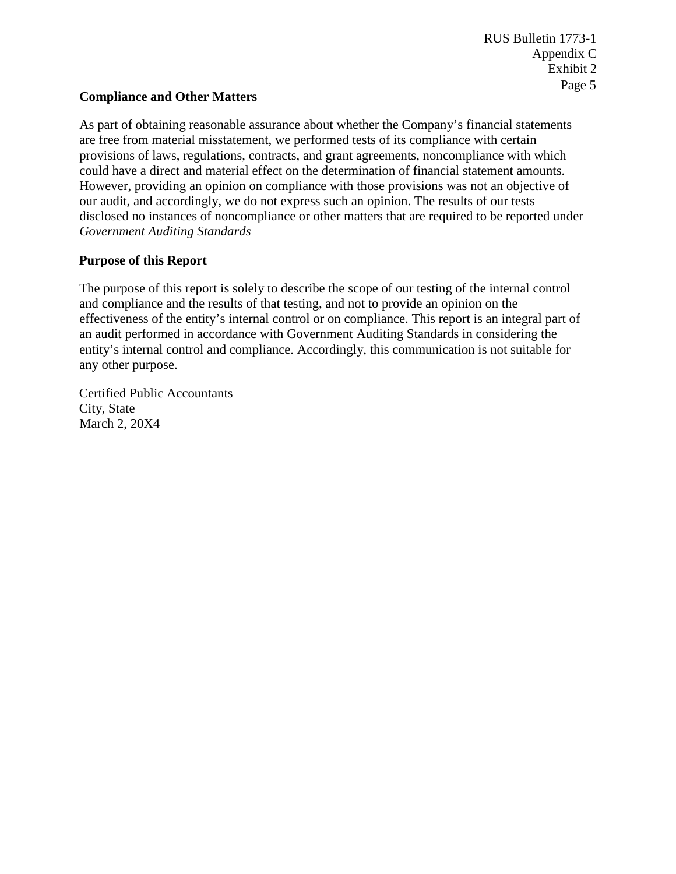### **Compliance and Other Matters**

As part of obtaining reasonable assurance about whether the Company's financial statements are free from material misstatement, we performed tests of its compliance with certain provisions of laws, regulations, contracts, and grant agreements, noncompliance with which could have a direct and material effect on the determination of financial statement amounts. However, providing an opinion on compliance with those provisions was not an objective of our audit, and accordingly, we do not express such an opinion. The results of our tests disclosed no instances of noncompliance or other matters that are required to be reported under *Government Auditing Standards*

### **Purpose of this Report**

The purpose of this report is solely to describe the scope of our testing of the internal control and compliance and the results of that testing, and not to provide an opinion on the effectiveness of the entity's internal control or on compliance. This report is an integral part of an audit performed in accordance with Government Auditing Standards in considering the entity's internal control and compliance. Accordingly, this communication is not suitable for any other purpose.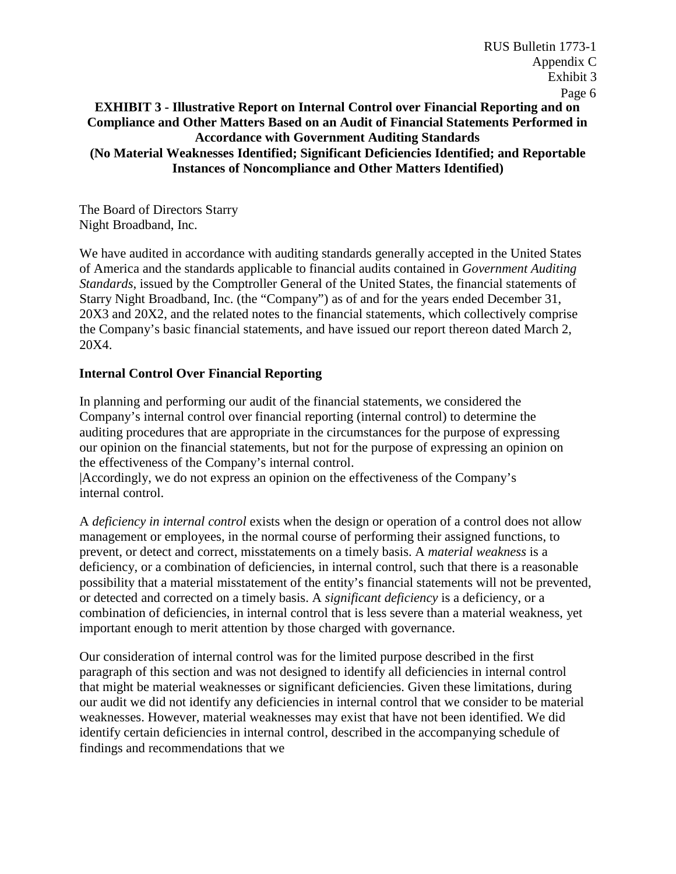### **EXHIBIT 3 - Illustrative Report on Internal Control over Financial Reporting and on Compliance and Other Matters Based on an Audit of Financial Statements Performed in Accordance with Government Auditing Standards (No Material Weaknesses Identified; Significant Deficiencies Identified; and Reportable Instances of Noncompliance and Other Matters Identified)**

The Board of Directors Starry Night Broadband, Inc.

We have audited in accordance with auditing standards generally accepted in the United States of America and the standards applicable to financial audits contained in *Government Auditing Standards*, issued by the Comptroller General of the United States, the financial statements of Starry Night Broadband, Inc. (the "Company") as of and for the years ended December 31, 20X3 and 20X2, and the related notes to the financial statements, which collectively comprise the Company's basic financial statements, and have issued our report thereon dated March 2, 20X4.

## **Internal Control Over Financial Reporting**

In planning and performing our audit of the financial statements, we considered the Company's internal control over financial reporting (internal control) to determine the auditing procedures that are appropriate in the circumstances for the purpose of expressing our opinion on the financial statements, but not for the purpose of expressing an opinion on the effectiveness of the Company's internal control.

|Accordingly, we do not express an opinion on the effectiveness of the Company's internal control.

A *deficiency in internal control* exists when the design or operation of a control does not allow management or employees, in the normal course of performing their assigned functions, to prevent, or detect and correct, misstatements on a timely basis. A *material weakness* is a deficiency, or a combination of deficiencies, in internal control, such that there is a reasonable possibility that a material misstatement of the entity's financial statements will not be prevented, or detected and corrected on a timely basis. A *significant deficiency* is a deficiency, or a combination of deficiencies, in internal control that is less severe than a material weakness, yet important enough to merit attention by those charged with governance.

Our consideration of internal control was for the limited purpose described in the first paragraph of this section and was not designed to identify all deficiencies in internal control that might be material weaknesses or significant deficiencies. Given these limitations, during our audit we did not identify any deficiencies in internal control that we consider to be material weaknesses. However, material weaknesses may exist that have not been identified. We did identify certain deficiencies in internal control, described in the accompanying schedule of findings and recommendations that we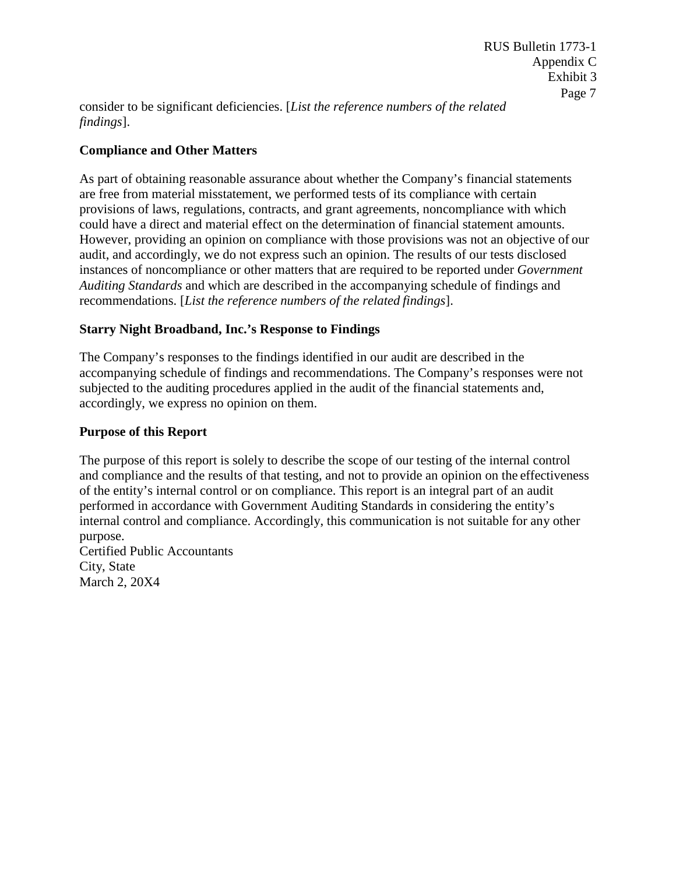consider to be significant deficiencies. [*List the reference numbers of the related findings*].

## **Compliance and Other Matters**

As part of obtaining reasonable assurance about whether the Company's financial statements are free from material misstatement, we performed tests of its compliance with certain provisions of laws, regulations, contracts, and grant agreements, noncompliance with which could have a direct and material effect on the determination of financial statement amounts. However, providing an opinion on compliance with those provisions was not an objective of our audit, and accordingly, we do not express such an opinion. The results of our tests disclosed instances of noncompliance or other matters that are required to be reported under *Government Auditing Standards* and which are described in the accompanying schedule of findings and recommendations. [*List the reference numbers of the related findings*].

### **Starry Night Broadband, Inc.'s Response to Findings**

The Company's responses to the findings identified in our audit are described in the accompanying schedule of findings and recommendations. The Company's responses were not subjected to the auditing procedures applied in the audit of the financial statements and, accordingly, we express no opinion on them.

### **Purpose of this Report**

The purpose of this report is solely to describe the scope of our testing of the internal control and compliance and the results of that testing, and not to provide an opinion on the effectiveness of the entity's internal control or on compliance. This report is an integral part of an audit performed in accordance with Government Auditing Standards in considering the entity's internal control and compliance. Accordingly, this communication is not suitable for any other purpose. Certified Public Accountants

City, State March 2, 20X4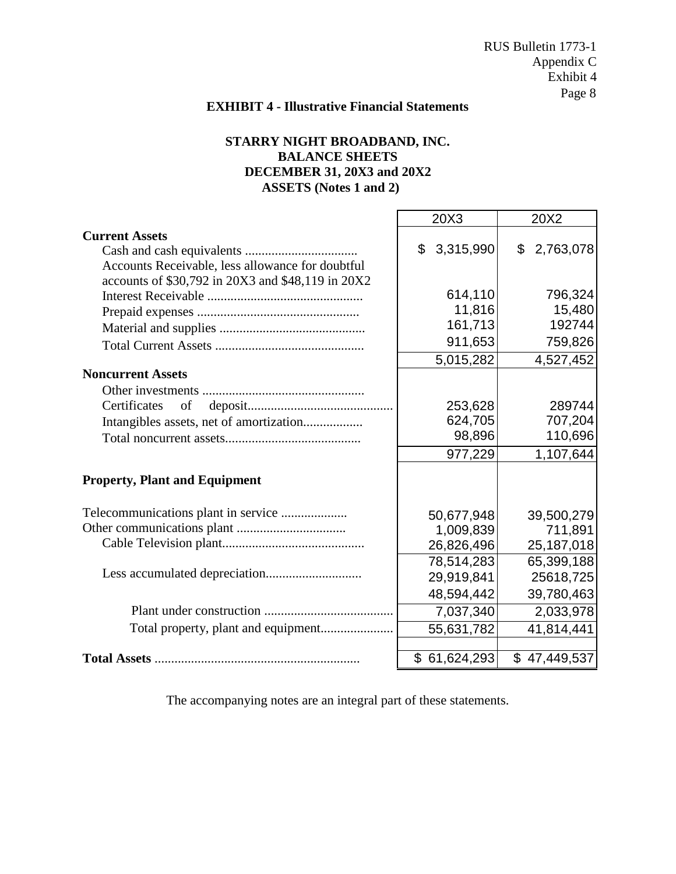RUS Bulletin 1773-1 Appendix C Exhibit 4 Page 8

# **EXHIBIT 4 - Illustrative Financial Statements**

## **STARRY NIGHT BROADBAND, INC. BALANCE SHEETS DECEMBER 31, 20X3 and 20X2 ASSETS (Notes 1 and 2)**

|                                                   | 20X3            | 20X2            |  |
|---------------------------------------------------|-----------------|-----------------|--|
| <b>Current Assets</b>                             |                 |                 |  |
|                                                   | 3,315,990<br>\$ | \$<br>2,763,078 |  |
| Accounts Receivable, less allowance for doubtful  |                 |                 |  |
| accounts of \$30,792 in 20X3 and \$48,119 in 20X2 |                 |                 |  |
|                                                   | 614,110         | 796,324         |  |
|                                                   | 11,816          | 15,480          |  |
|                                                   | 161,713         | 192744          |  |
|                                                   | 911,653         | 759,826         |  |
|                                                   | 5,015,282       | 4,527,452       |  |
| <b>Noncurrent Assets</b>                          |                 |                 |  |
|                                                   |                 |                 |  |
| Certificates<br>of                                | 253,628         | 289744          |  |
| Intangibles assets, net of amortization           | 624,705         | 707,204         |  |
|                                                   | 98,896          | 110,696         |  |
|                                                   | 977,229         | 1,107,644       |  |
| <b>Property, Plant and Equipment</b>              |                 |                 |  |
| Telecommunications plant in service               | 50,677,948      | 39,500,279      |  |
|                                                   | 1,009,839       | 711,891         |  |
|                                                   | 26,826,496      | 25,187,018      |  |
|                                                   | 78,514,283      | 65,399,188      |  |
|                                                   | 29,919,841      | 25618,725       |  |
|                                                   | 48,594,442      | 39,780,463      |  |
|                                                   | 7,037,340       | 2,033,978       |  |
|                                                   | 55,631,782      | 41,814,441      |  |
|                                                   |                 |                 |  |
|                                                   | \$61,624,293    | \$47,449,537    |  |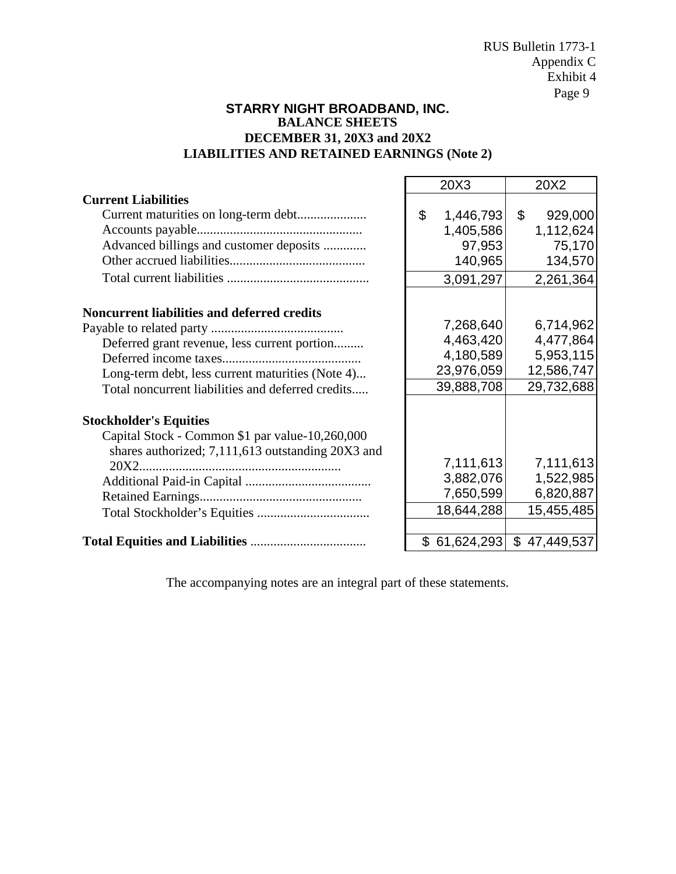RUS Bulletin 1773-1 Appendix C Exhibit 4 Page 9

## **STARRY NIGHT BROADBAND, INC. BALANCE SHEETS DECEMBER 31, 20X3 and 20X2 LIABILITIES AND RETAINED EARNINGS (Note 2)**

|                                                    | 20X3            | 20X2                      |  |
|----------------------------------------------------|-----------------|---------------------------|--|
| <b>Current Liabilities</b>                         |                 |                           |  |
|                                                    | \$<br>1,446,793 | $\mathfrak{L}$<br>929,000 |  |
|                                                    | 1,405,586       | 1,112,624                 |  |
| Advanced billings and customer deposits            | 97,953          | 75,170                    |  |
|                                                    | 140,965         | 134,570                   |  |
|                                                    | 3,091,297       | 2,261,364                 |  |
| <b>Noncurrent liabilities and deferred credits</b> |                 |                           |  |
|                                                    | 7,268,640       | 6,714,962                 |  |
| Deferred grant revenue, less current portion       | 4,463,420       | 4,477,864                 |  |
|                                                    | 4,180,589       | 5,953,115                 |  |
| Long-term debt, less current maturities (Note 4)   | 23,976,059      | 12,586,747                |  |
| Total noncurrent liabilities and deferred credits  | 39,888,708      | 29,732,688                |  |
| <b>Stockholder's Equities</b>                      |                 |                           |  |
| Capital Stock - Common \$1 par value-10,260,000    |                 |                           |  |
| shares authorized; 7,111,613 outstanding 20X3 and  |                 |                           |  |
| 20X2.                                              | 7,111,613       | 7,111,613                 |  |
|                                                    | 3,882,076       | 1,522,985                 |  |
|                                                    | 7,650,599       | 6,820,887                 |  |
|                                                    | 18,644,288      | 15,455,485                |  |
|                                                    |                 |                           |  |
|                                                    | \$61,624,293    | \$47,449,537              |  |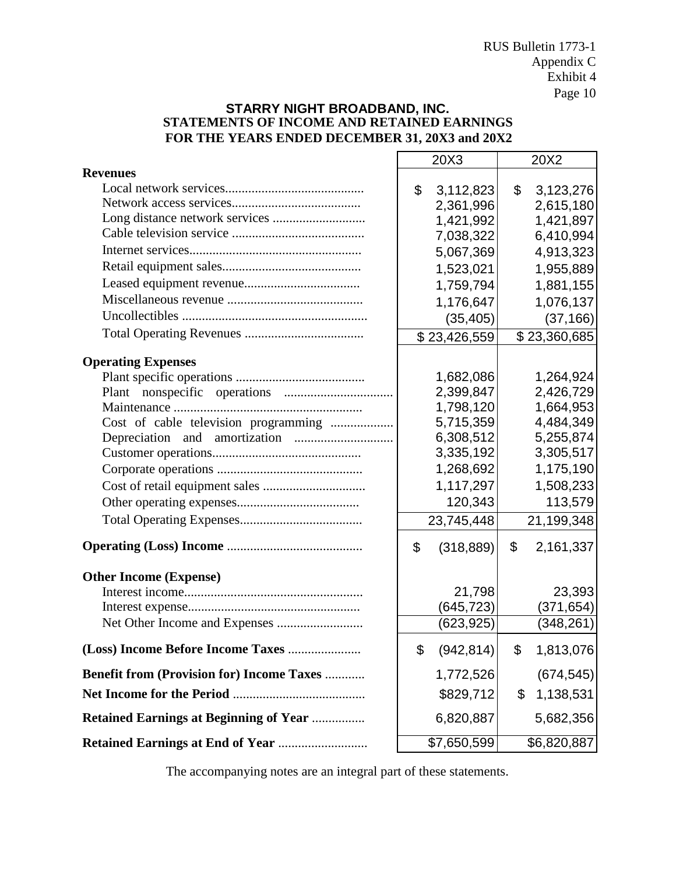### **STARRY NIGHT BROADBAND, INC. STATEMENTS OF INCOME AND RETAINED EARNINGS FOR THE YEARS ENDED DECEMBER 31, 20X3 and 20X2**

|                                                   | 20X3             | 20X2            |
|---------------------------------------------------|------------------|-----------------|
| <b>Revenues</b>                                   |                  |                 |
|                                                   | \$<br>3,112,823  | \$<br>3,123,276 |
|                                                   | 2,361,996        | 2,615,180       |
|                                                   | 1,421,992        | 1,421,897       |
|                                                   | 7,038,322        | 6,410,994       |
|                                                   | 5,067,369        | 4,913,323       |
|                                                   | 1,523,021        | 1,955,889       |
|                                                   | 1,759,794        | 1,881,155       |
|                                                   | 1,176,647        | 1,076,137       |
|                                                   | (35, 405)        | (37, 166)       |
|                                                   | \$23,426,559     | \$23,360,685    |
| <b>Operating Expenses</b>                         |                  |                 |
|                                                   | 1,682,086        | 1,264,924       |
|                                                   | 2,399,847        | 2,426,729       |
|                                                   | 1,798,120        | 1,664,953       |
| Cost of cable television programming              | 5,715,359        | 4,484,349       |
|                                                   | 6,308,512        | 5,255,874       |
|                                                   | 3,335,192        | 3,305,517       |
|                                                   | 1,268,692        | 1,175,190       |
|                                                   | 1,117,297        | 1,508,233       |
|                                                   | 120,343          | 113,579         |
|                                                   | 23,745,448       | 21,199,348      |
|                                                   | \$<br>(318, 889) | \$<br>2,161,337 |
| <b>Other Income (Expense)</b>                     |                  |                 |
|                                                   | 21,798           | 23,393          |
|                                                   | (645,723)        | (371,654)       |
|                                                   | (623,925)        | (348,261)       |
| (Loss) Income Before Income Taxes                 | (942, 814)<br>\$ | 1,813,076<br>\$ |
| <b>Benefit from (Provision for) Income Taxes </b> | 1,772,526        | (674, 545)      |
|                                                   | \$829,712        | 1,138,531<br>\$ |
| <b>Retained Earnings at Beginning of Year </b>    | 6,820,887        | 5,682,356       |
|                                                   | \$7,650,599      | \$6,820,887     |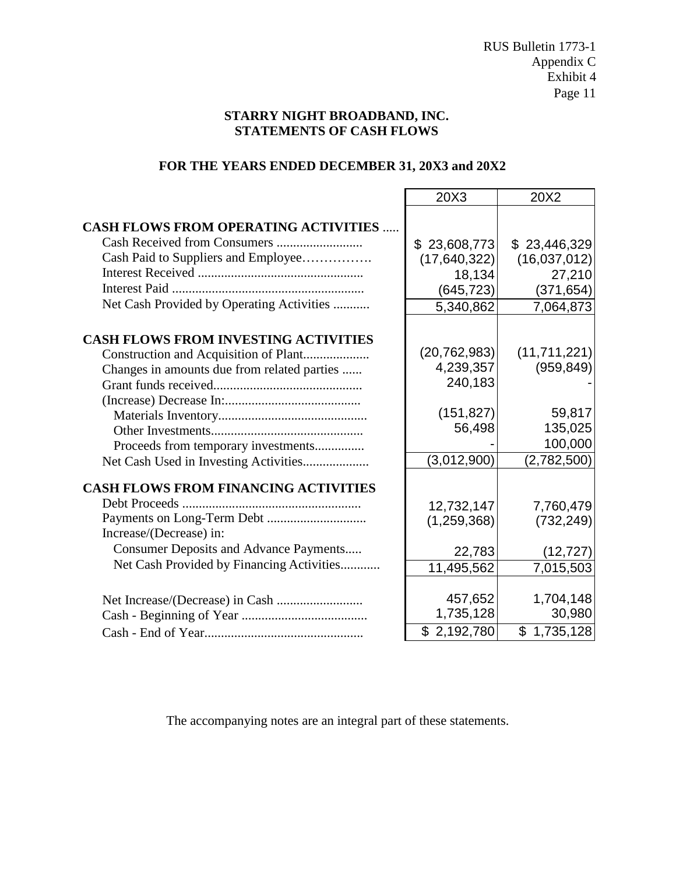RUS Bulletin 1773-1 Appendix C Exhibit 4 Page 11

### **STARRY NIGHT BROADBAND, INC. STATEMENTS OF CASH FLOWS**

# **FOR THE YEARS ENDED DECEMBER 31, 20X3 and 20X2**

|                                               | 20X3            | 20X2           |
|-----------------------------------------------|-----------------|----------------|
|                                               |                 |                |
| <b>CASH FLOWS FROM OPERATING ACTIVITIES </b>  |                 |                |
|                                               | \$23,608,773    | \$23,446,329   |
| Cash Paid to Suppliers and Employee           | (17,640,322)    | (16,037,012)   |
|                                               | 18,134          | 27,210         |
|                                               | (645, 723)      | (371, 654)     |
| Net Cash Provided by Operating Activities     | 5,340,862       | 7,064,873      |
| <b>CASH FLOWS FROM INVESTING ACTIVITIES</b>   |                 |                |
| Construction and Acquisition of Plant         | (20, 762, 983)  | (11, 711, 221) |
| Changes in amounts due from related parties   | 4,239,357       | (959, 849)     |
|                                               | 240,183         |                |
|                                               |                 |                |
|                                               | (151, 827)      | 59,817         |
|                                               | 56,498          | 135,025        |
| Proceeds from temporary investments           |                 | 100,000        |
|                                               | (3,012,900)     | (2,782,500)    |
| <b>CASH FLOWS FROM FINANCING ACTIVITIES</b>   |                 |                |
|                                               | 12,732,147      | 7,760,479      |
|                                               | (1, 259, 368)   | (732, 249)     |
| Increase/(Decrease) in:                       |                 |                |
| <b>Consumer Deposits and Advance Payments</b> | 22,783          | (12, 727)      |
| Net Cash Provided by Financing Activities     | 11,495,562      | 7,015,503      |
|                                               |                 |                |
|                                               | 457,652         | 1,704,148      |
|                                               | 1,735,128       | 30,980         |
|                                               | \$<br>2,192,780 | \$1,735,128    |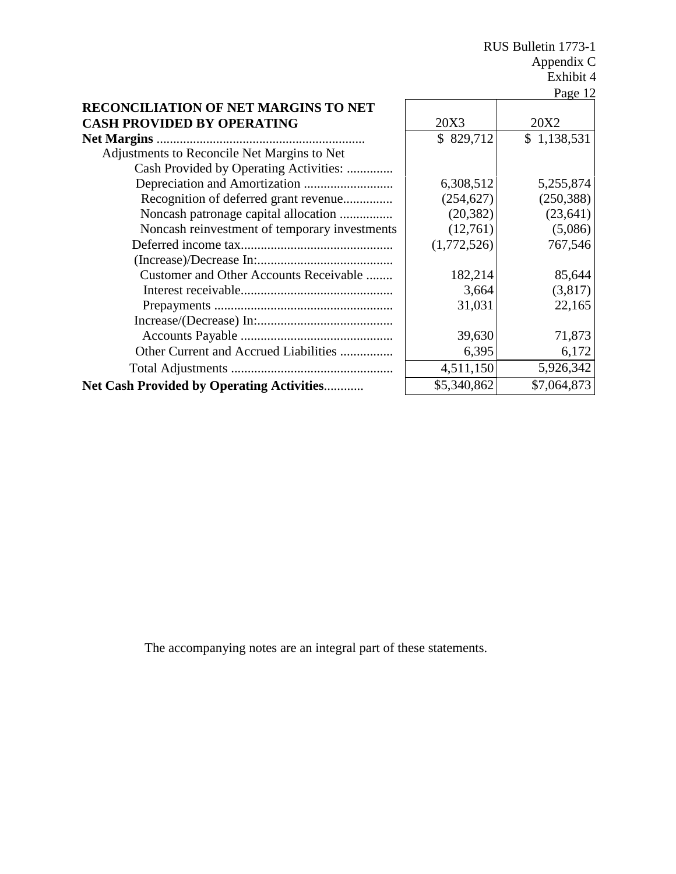|                                               |             | Page 12     |
|-----------------------------------------------|-------------|-------------|
| <b>RECONCILIATION OF NET MARGINS TO NET</b>   |             |             |
| <b>CASH PROVIDED BY OPERATING</b>             | 20X3        | 20X2        |
|                                               | \$829,712   | \$1,138,531 |
| Adjustments to Reconcile Net Margins to Net   |             |             |
| Cash Provided by Operating Activities:        |             |             |
|                                               | 6,308,512   | 5,255,874   |
| Recognition of deferred grant revenue         | (254, 627)  | (250, 388)  |
| Noncash patronage capital allocation          | (20, 382)   | (23, 641)   |
| Noncash reinvestment of temporary investments | (12,761)    | (5,086)     |
|                                               | (1,772,526) | 767,546     |
|                                               |             |             |
| Customer and Other Accounts Receivable        | 182,214     | 85,644      |
|                                               | 3,664       | (3,817)     |
|                                               | 31,031      | 22,165      |
|                                               |             |             |
|                                               | 39,630      | 71,873      |
| Other Current and Accrued Liabilities         | 6,395       | 6,172       |
|                                               | 4,511,150   | 5,926,342   |
| Net Cash Provided by Operating Activities     | \$5,340,862 | \$7,064,873 |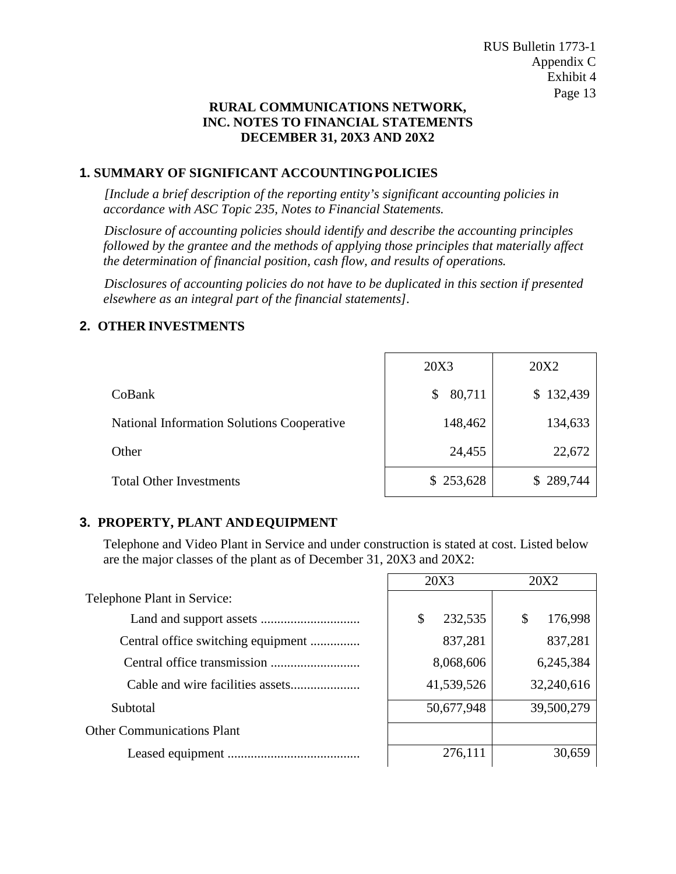### **RURAL COMMUNICATIONS NETWORK, INC. NOTES TO FINANCIAL STATEMENTS DECEMBER 31, 20X3 AND 20X2**

## **1. SUMMARY OF SIGNIFICANT ACCOUNTINGPOLICIES**

*[Include a brief description of the reporting entity's significant accounting policies in accordance with ASC Topic 235, Notes to Financial Statements.*

*Disclosure of accounting policies should identify and describe the accounting principles followed by the grantee and the methods of applying those principles that materially affect the determination of financial position, cash flow, and results of operations.*

*Disclosures of accounting policies do not have to be duplicated in this section if presented elsewhere as an integral part of the financial statements].*

### **2. OTHER INVESTMENTS**

|                                                   | 20X3         | 20X2      |  |
|---------------------------------------------------|--------------|-----------|--|
| CoBank                                            | 80,711<br>\$ | \$132,439 |  |
| <b>National Information Solutions Cooperative</b> | 148,462      | 134,633   |  |
| Other                                             | 24,455       | 22,672    |  |
| <b>Total Other Investments</b>                    | \$253,628    | \$289,744 |  |

# **3. PROPERTY, PLANT ANDEQUIPMENT**

Telephone and Video Plant in Service and under construction is stated at cost. Listed below are the major classes of the plant as of December 31, 20X3 and 20X2:

|                                    | 20X3          | 20X2          |  |
|------------------------------------|---------------|---------------|--|
| Telephone Plant in Service:        |               |               |  |
|                                    | \$<br>232,535 | \$<br>176,998 |  |
| Central office switching equipment | 837,281       | 837,281       |  |
|                                    | 8,068,606     | 6,245,384     |  |
|                                    | 41,539,526    | 32,240,616    |  |
| Subtotal                           | 50,677,948    | 39,500,279    |  |
| <b>Other Communications Plant</b>  |               |               |  |
|                                    | 276,111       | 30,659        |  |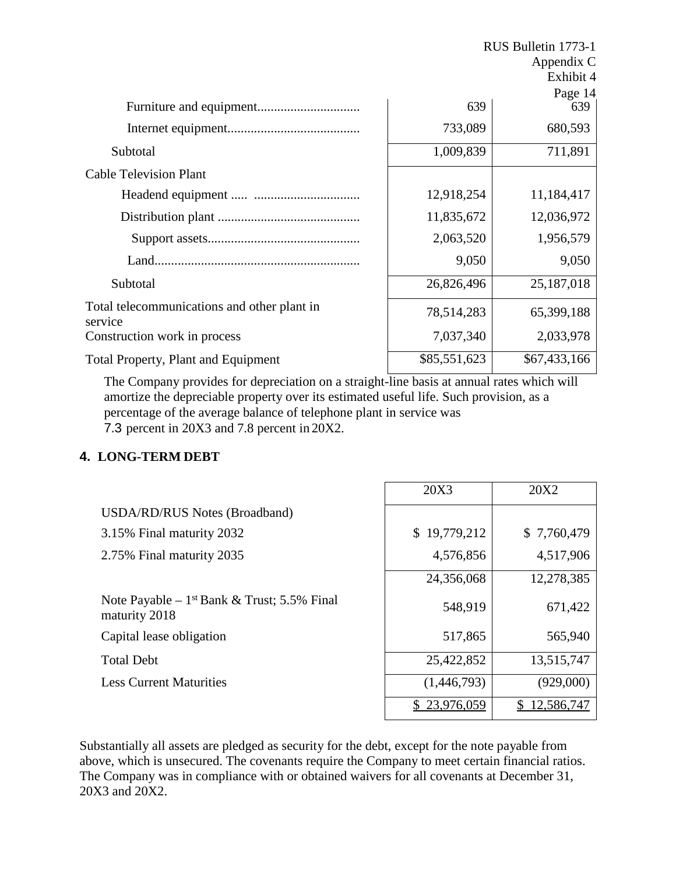|                                                        |              | RUS Bulletin 1773-1<br>Appendix C<br>Exhibit 4<br>Page 14 |
|--------------------------------------------------------|--------------|-----------------------------------------------------------|
|                                                        | 639          | 639                                                       |
|                                                        | 733,089      | 680,593                                                   |
| Subtotal                                               | 1,009,839    | 711,891                                                   |
| <b>Cable Television Plant</b>                          |              |                                                           |
|                                                        | 12,918,254   | 11,184,417                                                |
|                                                        | 11,835,672   | 12,036,972                                                |
|                                                        | 2,063,520    | 1,956,579                                                 |
|                                                        | 9,050        | 9,050                                                     |
| Subtotal                                               | 26,826,496   | 25,187,018                                                |
| Total telecommunications and other plant in<br>service | 78,514,283   | 65,399,188                                                |
| Construction work in process                           | 7,037,340    | 2,033,978                                                 |
| <b>Total Property, Plant and Equipment</b>             | \$85,551,623 | \$67,433,166                                              |

The Company provides for depreciation on a straight-line basis at annual rates which will amortize the depreciable property over its estimated useful life. Such provision, as a percentage of the average balance of telephone plant in service was 7.3 percent in 20X3 and 7.8 percent in 20X2.

### **4. LONG-TERM DEBT**

|                                                                          | 20X3         | 20X2        |
|--------------------------------------------------------------------------|--------------|-------------|
| <b>USDA/RD/RUS Notes (Broadband)</b>                                     |              |             |
| 3.15% Final maturity 2032                                                | \$19,779,212 | \$7,760,479 |
| 2.75% Final maturity 2035                                                | 4,576,856    | 4,517,906   |
|                                                                          | 24,356,068   | 12,278,385  |
| Note Payable – 1 <sup>st</sup> Bank & Trust; 5.5% Final<br>maturity 2018 | 548,919      | 671,422     |
| Capital lease obligation                                                 | 517,865      | 565,940     |
| <b>Total Debt</b>                                                        | 25,422,852   | 13,515,747  |
| <b>Less Current Maturities</b>                                           | (1,446,793)  | (929,000)   |
|                                                                          | \$23,976,059 | 12,586,747  |

Substantially all assets are pledged as security for the debt, except for the note payable from above, which is unsecured. The covenants require the Company to meet certain financial ratios. The Company was in compliance with or obtained waivers for all covenants at December 31, 20X3 and 20X2.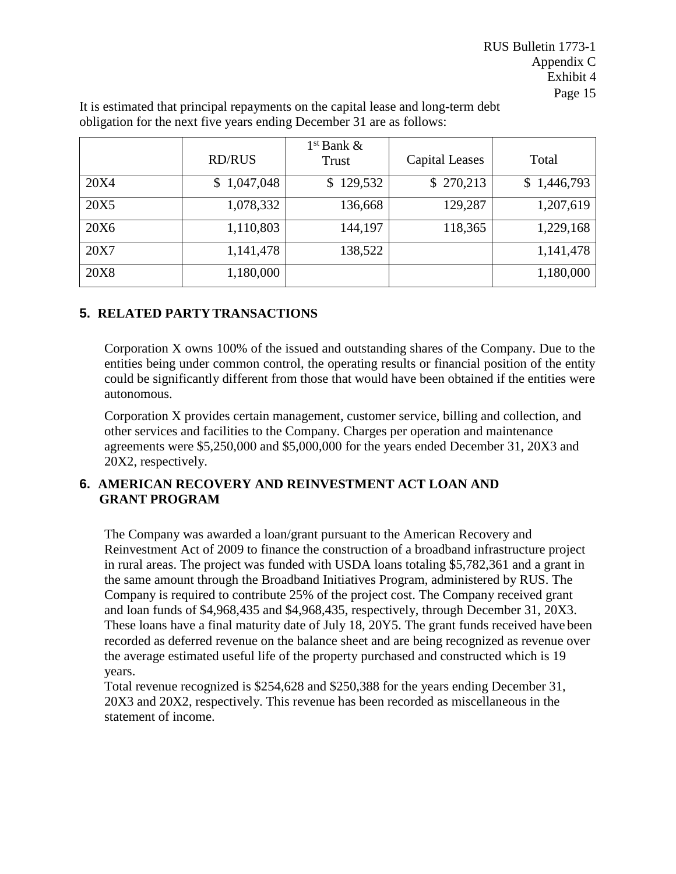|      | <b>RD/RUS</b> | $1st$ Bank $\&$<br>Trust | Capital Leases | Total           |
|------|---------------|--------------------------|----------------|-----------------|
| 20X4 | \$1,047,048   | \$129,532                | \$270,213      | 1,446,793<br>\$ |
| 20X5 | 1,078,332     | 136,668                  | 129,287        | 1,207,619       |
| 20X6 | 1,110,803     | 144,197                  | 118,365        | 1,229,168       |
| 20X7 | 1,141,478     | 138,522                  |                | 1,141,478       |
| 20X8 | 1,180,000     |                          |                | 1,180,000       |

It is estimated that principal repayments on the capital lease and long-term debt obligation for the next five years ending December 31 are as follows:

### **5. RELATED PARTYTRANSACTIONS**

Corporation X owns 100% of the issued and outstanding shares of the Company. Due to the entities being under common control, the operating results or financial position of the entity could be significantly different from those that would have been obtained if the entities were autonomous.

Corporation X provides certain management, customer service, billing and collection, and other services and facilities to the Company. Charges per operation and maintenance agreements were \$5,250,000 and \$5,000,000 for the years ended December 31, 20X3 and 20X2, respectively.

## **6. AMERICAN RECOVERY AND REINVESTMENT ACT LOAN AND GRANT PROGRAM**

The Company was awarded a loan/grant pursuant to the American Recovery and Reinvestment Act of 2009 to finance the construction of a broadband infrastructure project in rural areas. The project was funded with USDA loans totaling \$5,782,361 and a grant in the same amount through the Broadband Initiatives Program, administered by RUS. The Company is required to contribute 25% of the project cost. The Company received grant and loan funds of \$4,968,435 and \$4,968,435, respectively, through December 31, 20X3. These loans have a final maturity date of July 18, 20Y5. The grant funds received have been recorded as deferred revenue on the balance sheet and are being recognized as revenue over the average estimated useful life of the property purchased and constructed which is 19 years.

Total revenue recognized is \$254,628 and \$250,388 for the years ending December 31, 20X3 and 20X2, respectively. This revenue has been recorded as miscellaneous in the statement of income.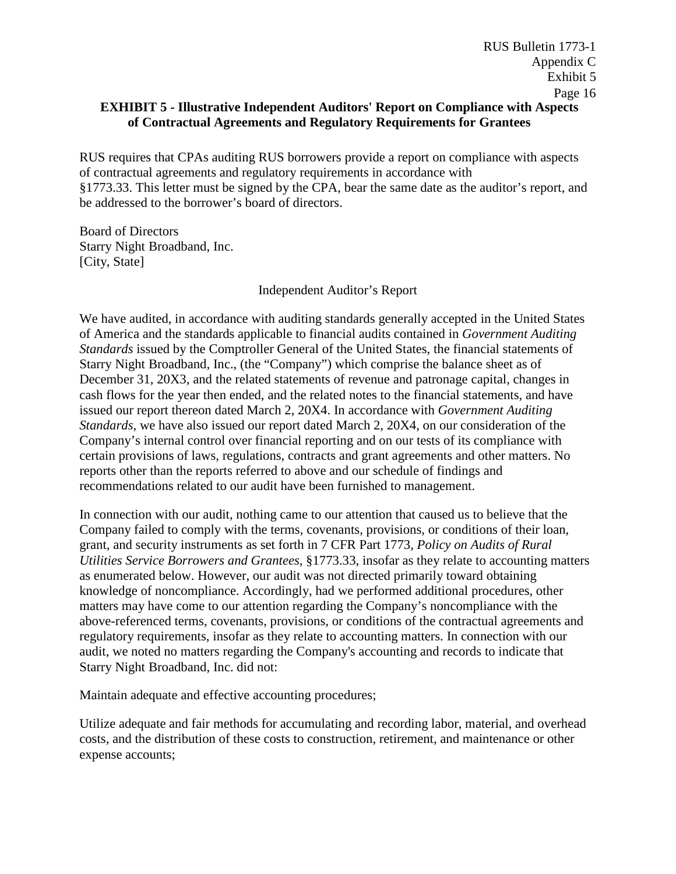## **EXHIBIT 5 - Illustrative Independent Auditors' Report on Compliance with Aspects of Contractual Agreements and Regulatory Requirements for Grantees**

RUS requires that CPAs auditing RUS borrowers provide a report on compliance with aspects of contractual agreements and regulatory requirements in accordance with §1773.33. This letter must be signed by the CPA, bear the same date as the auditor's report, and be addressed to the borrower's board of directors.

Board of Directors Starry Night Broadband, Inc. [City, State]

Independent Auditor's Report

We have audited, in accordance with auditing standards generally accepted in the United States of America and the standards applicable to financial audits contained in *Government Auditing Standards* issued by the Comptroller General of the United States, the financial statements of Starry Night Broadband, Inc., (the "Company") which comprise the balance sheet as of December 31, 20X3, and the related statements of revenue and patronage capital, changes in cash flows for the year then ended, and the related notes to the financial statements, and have issued our report thereon dated March 2, 20X4. In accordance with *Government Auditing Standards*, we have also issued our report dated March 2, 20X4, on our consideration of the Company's internal control over financial reporting and on our tests of its compliance with certain provisions of laws, regulations, contracts and grant agreements and other matters. No reports other than the reports referred to above and our schedule of findings and recommendations related to our audit have been furnished to management.

In connection with our audit, nothing came to our attention that caused us to believe that the Company failed to comply with the terms, covenants, provisions, or conditions of their loan, grant, and security instruments as set forth in 7 CFR Part 1773, *Policy on Audits of Rural Utilities Service Borrowers and Grantees,* §1773.33, insofar as they relate to accounting matters as enumerated below. However, our audit was not directed primarily toward obtaining knowledge of noncompliance. Accordingly, had we performed additional procedures, other matters may have come to our attention regarding the Company's noncompliance with the above-referenced terms, covenants, provisions, or conditions of the contractual agreements and regulatory requirements, insofar as they relate to accounting matters. In connection with our audit, we noted no matters regarding the Company's accounting and records to indicate that Starry Night Broadband, Inc. did not:

Maintain adequate and effective accounting procedures;

Utilize adequate and fair methods for accumulating and recording labor, material, and overhead costs, and the distribution of these costs to construction, retirement, and maintenance or other expense accounts;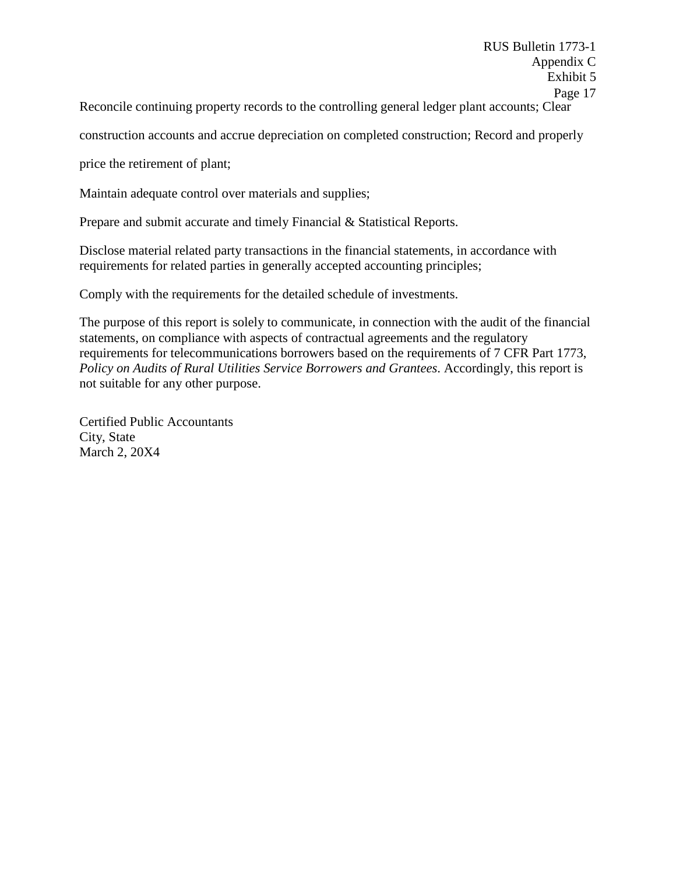Reconcile continuing property records to the controlling general ledger plant accounts; Clear

construction accounts and accrue depreciation on completed construction; Record and properly

price the retirement of plant;

Maintain adequate control over materials and supplies;

Prepare and submit accurate and timely Financial & Statistical Reports.

Disclose material related party transactions in the financial statements, in accordance with requirements for related parties in generally accepted accounting principles;

Comply with the requirements for the detailed schedule of investments.

The purpose of this report is solely to communicate, in connection with the audit of the financial statements, on compliance with aspects of contractual agreements and the regulatory requirements for telecommunications borrowers based on the requirements of 7 CFR Part 1773, *Policy on Audits of Rural Utilities Service Borrowers and Grantees*. Accordingly, this report is not suitable for any other purpose.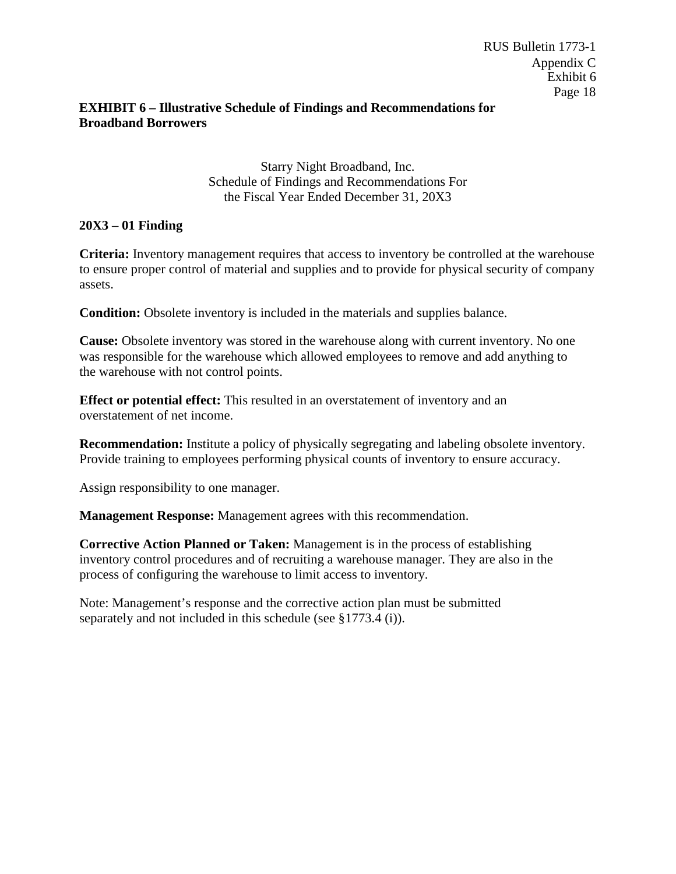### **EXHIBIT 6 – Illustrative Schedule of Findings and Recommendations for Broadband Borrowers**

Starry Night Broadband, Inc. Schedule of Findings and Recommendations For the Fiscal Year Ended December 31, 20X3

### **20X3 – 01 Finding**

**Criteria:** Inventory management requires that access to inventory be controlled at the warehouse to ensure proper control of material and supplies and to provide for physical security of company assets.

**Condition:** Obsolete inventory is included in the materials and supplies balance.

**Cause:** Obsolete inventory was stored in the warehouse along with current inventory. No one was responsible for the warehouse which allowed employees to remove and add anything to the warehouse with not control points.

**Effect or potential effect:** This resulted in an overstatement of inventory and an overstatement of net income.

**Recommendation:** Institute a policy of physically segregating and labeling obsolete inventory. Provide training to employees performing physical counts of inventory to ensure accuracy.

Assign responsibility to one manager.

**Management Response:** Management agrees with this recommendation.

**Corrective Action Planned or Taken:** Management is in the process of establishing inventory control procedures and of recruiting a warehouse manager. They are also in the process of configuring the warehouse to limit access to inventory.

Note: Management's response and the corrective action plan must be submitted separately and not included in this schedule (see §1773.4 (i)).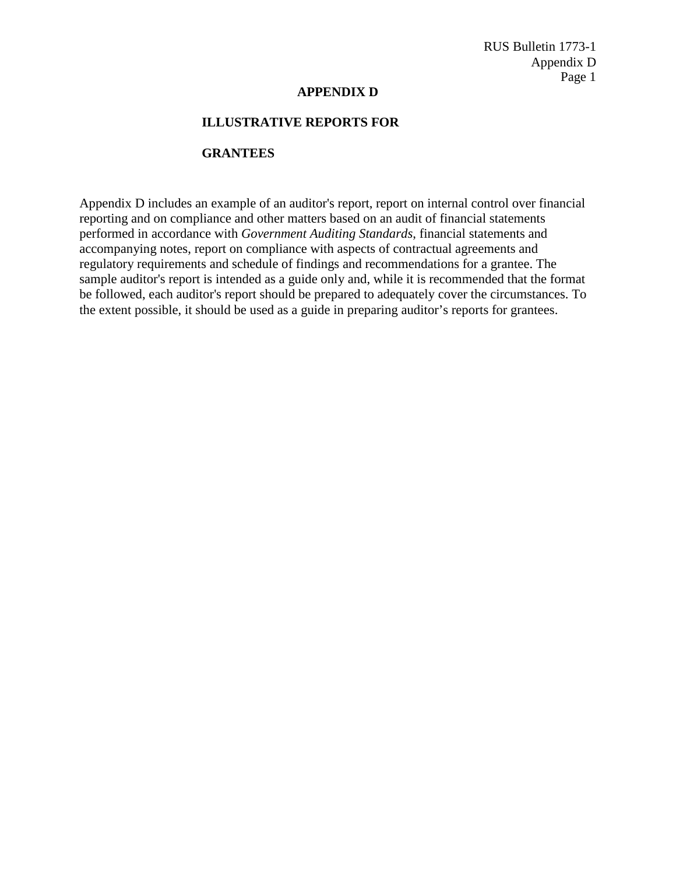### **APPENDIX D**

### **ILLUSTRATIVE REPORTS FOR**

#### **GRANTEES**

Appendix D includes an example of an auditor's report, report on internal control over financial reporting and on compliance and other matters based on an audit of financial statements performed in accordance with *Government Auditing Standards*, financial statements and accompanying notes, report on compliance with aspects of contractual agreements and regulatory requirements and schedule of findings and recommendations for a grantee. The sample auditor's report is intended as a guide only and, while it is recommended that the format be followed, each auditor's report should be prepared to adequately cover the circumstances. To the extent possible, it should be used as a guide in preparing auditor's reports for grantees.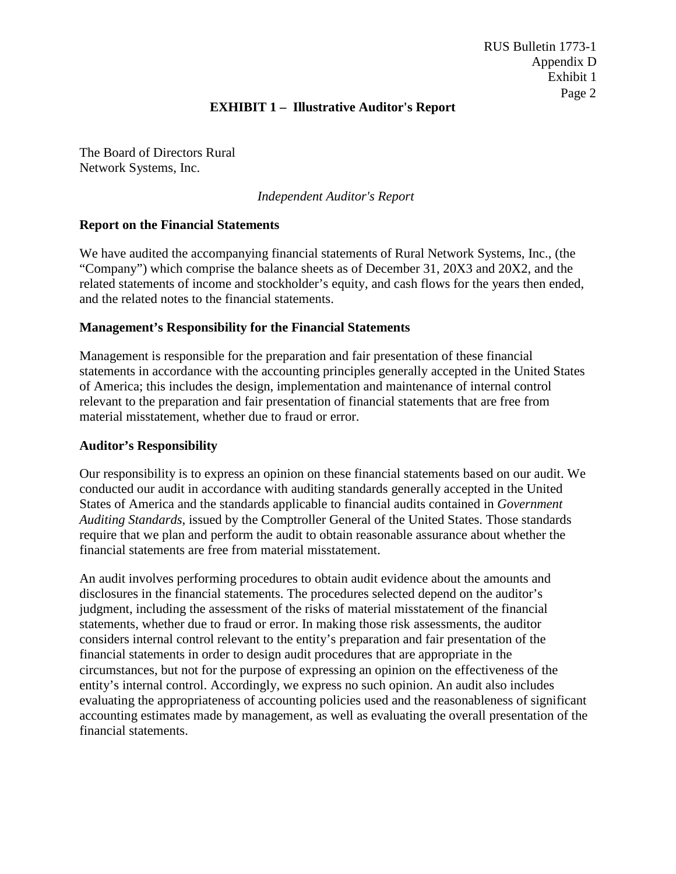#### **EXHIBIT 1 – Illustrative Auditor's Report**

The Board of Directors Rural Network Systems, Inc.

#### *Independent Auditor's Report*

### **Report on the Financial Statements**

We have audited the accompanying financial statements of Rural Network Systems, Inc., (the "Company") which comprise the balance sheets as of December 31, 20X3 and 20X2, and the related statements of income and stockholder's equity, and cash flows for the years then ended, and the related notes to the financial statements.

### **Management's Responsibility for the Financial Statements**

Management is responsible for the preparation and fair presentation of these financial statements in accordance with the accounting principles generally accepted in the United States of America; this includes the design, implementation and maintenance of internal control relevant to the preparation and fair presentation of financial statements that are free from material misstatement, whether due to fraud or error.

### **Auditor's Responsibility**

Our responsibility is to express an opinion on these financial statements based on our audit. We conducted our audit in accordance with auditing standards generally accepted in the United States of America and the standards applicable to financial audits contained in *Government Auditing Standards*, issued by the Comptroller General of the United States. Those standards require that we plan and perform the audit to obtain reasonable assurance about whether the financial statements are free from material misstatement.

An audit involves performing procedures to obtain audit evidence about the amounts and disclosures in the financial statements. The procedures selected depend on the auditor's judgment, including the assessment of the risks of material misstatement of the financial statements, whether due to fraud or error. In making those risk assessments, the auditor considers internal control relevant to the entity's preparation and fair presentation of the financial statements in order to design audit procedures that are appropriate in the circumstances, but not for the purpose of expressing an opinion on the effectiveness of the entity's internal control. Accordingly, we express no such opinion. An audit also includes evaluating the appropriateness of accounting policies used and the reasonableness of significant accounting estimates made by management, as well as evaluating the overall presentation of the financial statements.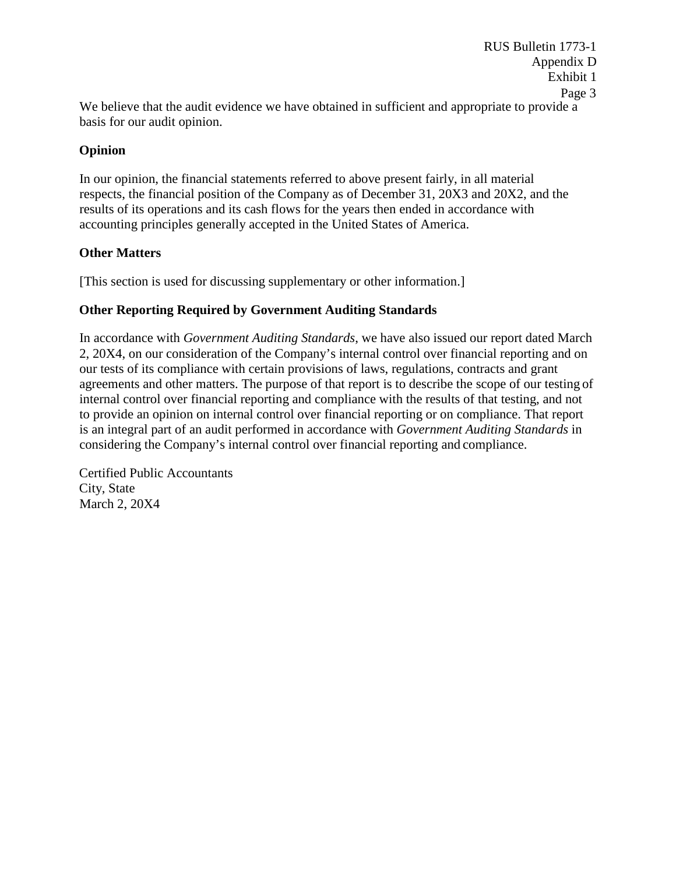We believe that the audit evidence we have obtained in sufficient and appropriate to provide a basis for our audit opinion.

## **Opinion**

In our opinion, the financial statements referred to above present fairly, in all material respects, the financial position of the Company as of December 31, 20X3 and 20X2, and the results of its operations and its cash flows for the years then ended in accordance with accounting principles generally accepted in the United States of America.

### **Other Matters**

[This section is used for discussing supplementary or other information.]

## **Other Reporting Required by Government Auditing Standards**

In accordance with *Government Auditing Standards*, we have also issued our report dated March 2, 20X4, on our consideration of the Company's internal control over financial reporting and on our tests of its compliance with certain provisions of laws, regulations, contracts and grant agreements and other matters. The purpose of that report is to describe the scope of our testing of internal control over financial reporting and compliance with the results of that testing, and not to provide an opinion on internal control over financial reporting or on compliance. That report is an integral part of an audit performed in accordance with *Government Auditing Standards* in considering the Company's internal control over financial reporting and compliance.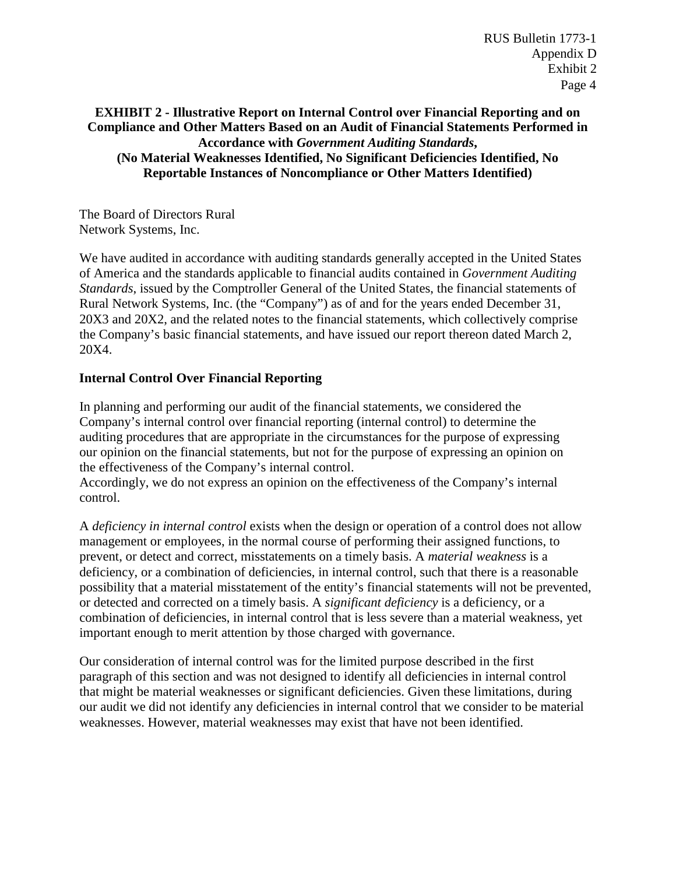RUS Bulletin 1773-1 Appendix D Exhibit 2 Page 4

## **EXHIBIT 2 - Illustrative Report on Internal Control over Financial Reporting and on Compliance and Other Matters Based on an Audit of Financial Statements Performed in Accordance with** *Government Auditing Standards***, (No Material Weaknesses Identified, No Significant Deficiencies Identified, No Reportable Instances of Noncompliance or Other Matters Identified)**

The Board of Directors Rural Network Systems, Inc.

We have audited in accordance with auditing standards generally accepted in the United States of America and the standards applicable to financial audits contained in *Government Auditing Standards*, issued by the Comptroller General of the United States, the financial statements of Rural Network Systems, Inc. (the "Company") as of and for the years ended December 31, 20X3 and 20X2, and the related notes to the financial statements, which collectively comprise the Company's basic financial statements, and have issued our report thereon dated March 2, 20X4.

### **Internal Control Over Financial Reporting**

In planning and performing our audit of the financial statements, we considered the Company's internal control over financial reporting (internal control) to determine the auditing procedures that are appropriate in the circumstances for the purpose of expressing our opinion on the financial statements, but not for the purpose of expressing an opinion on the effectiveness of the Company's internal control.

Accordingly, we do not express an opinion on the effectiveness of the Company's internal control.

A *deficiency in internal control* exists when the design or operation of a control does not allow management or employees, in the normal course of performing their assigned functions, to prevent, or detect and correct, misstatements on a timely basis. A *material weakness* is a deficiency, or a combination of deficiencies, in internal control, such that there is a reasonable possibility that a material misstatement of the entity's financial statements will not be prevented, or detected and corrected on a timely basis. A *significant deficiency* is a deficiency, or a combination of deficiencies, in internal control that is less severe than a material weakness, yet important enough to merit attention by those charged with governance.

Our consideration of internal control was for the limited purpose described in the first paragraph of this section and was not designed to identify all deficiencies in internal control that might be material weaknesses or significant deficiencies. Given these limitations, during our audit we did not identify any deficiencies in internal control that we consider to be material weaknesses. However, material weaknesses may exist that have not been identified.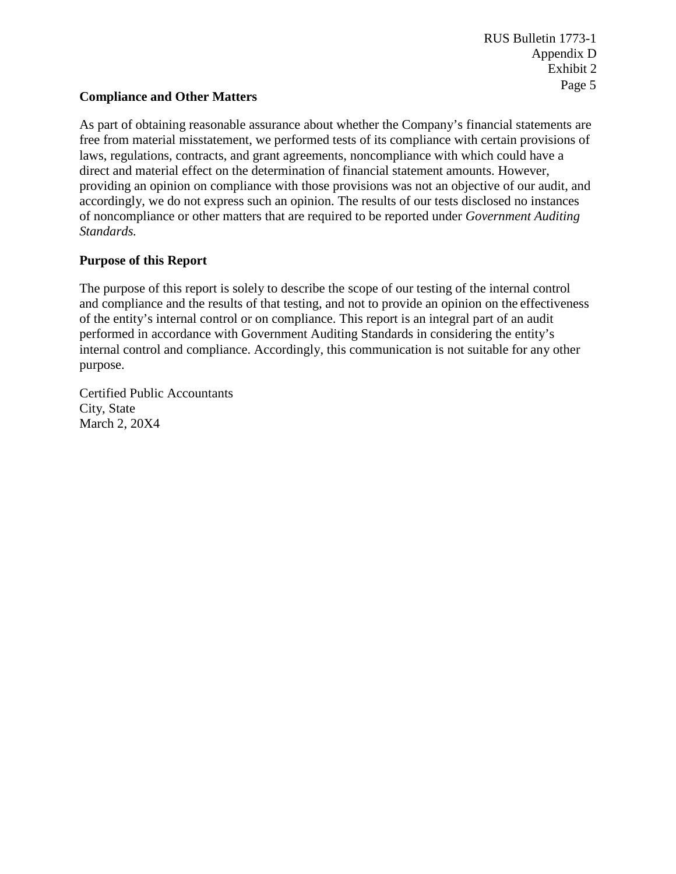RUS Bulletin 1773-1 Appendix D Exhibit 2 Page 5

### **Compliance and Other Matters**

As part of obtaining reasonable assurance about whether the Company's financial statements are free from material misstatement, we performed tests of its compliance with certain provisions of laws, regulations, contracts, and grant agreements, noncompliance with which could have a direct and material effect on the determination of financial statement amounts. However, providing an opinion on compliance with those provisions was not an objective of our audit, and accordingly, we do not express such an opinion. The results of our tests disclosed no instances of noncompliance or other matters that are required to be reported under *Government Auditing Standards.*

### **Purpose of this Report**

The purpose of this report is solely to describe the scope of our testing of the internal control and compliance and the results of that testing, and not to provide an opinion on the effectiveness of the entity's internal control or on compliance. This report is an integral part of an audit performed in accordance with Government Auditing Standards in considering the entity's internal control and compliance. Accordingly, this communication is not suitable for any other purpose.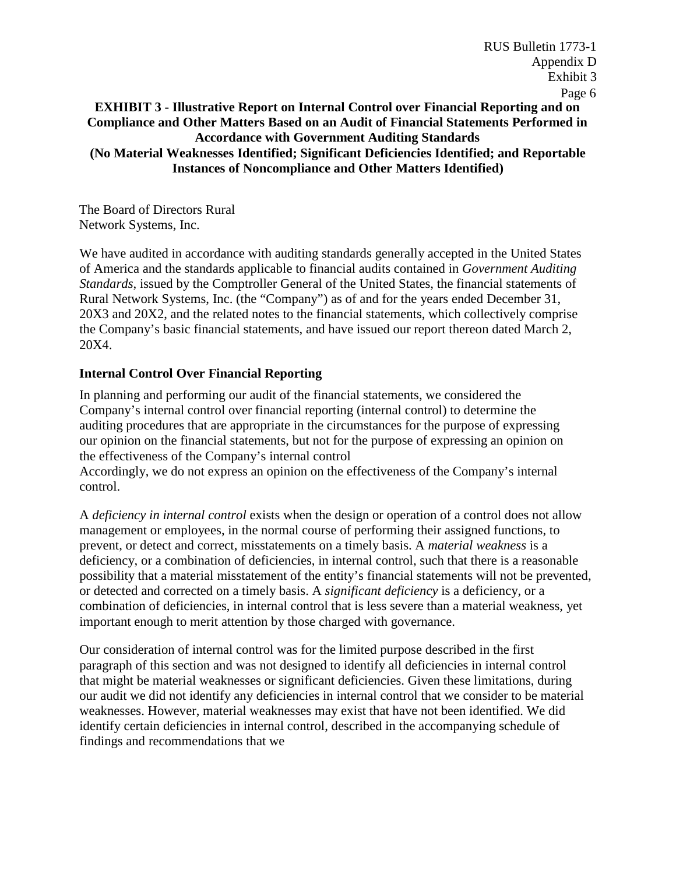### **EXHIBIT 3 - Illustrative Report on Internal Control over Financial Reporting and on Compliance and Other Matters Based on an Audit of Financial Statements Performed in Accordance with Government Auditing Standards (No Material Weaknesses Identified; Significant Deficiencies Identified; and Reportable Instances of Noncompliance and Other Matters Identified)**

The Board of Directors Rural Network Systems, Inc.

We have audited in accordance with auditing standards generally accepted in the United States of America and the standards applicable to financial audits contained in *Government Auditing Standards*, issued by the Comptroller General of the United States, the financial statements of Rural Network Systems, Inc. (the "Company") as of and for the years ended December 31, 20X3 and 20X2, and the related notes to the financial statements, which collectively comprise the Company's basic financial statements, and have issued our report thereon dated March 2, 20X4.

## **Internal Control Over Financial Reporting**

In planning and performing our audit of the financial statements, we considered the Company's internal control over financial reporting (internal control) to determine the auditing procedures that are appropriate in the circumstances for the purpose of expressing our opinion on the financial statements, but not for the purpose of expressing an opinion on the effectiveness of the Company's internal control

Accordingly, we do not express an opinion on the effectiveness of the Company's internal control.

A *deficiency in internal control* exists when the design or operation of a control does not allow management or employees, in the normal course of performing their assigned functions, to prevent, or detect and correct, misstatements on a timely basis. A *material weakness* is a deficiency, or a combination of deficiencies, in internal control, such that there is a reasonable possibility that a material misstatement of the entity's financial statements will not be prevented, or detected and corrected on a timely basis. A *significant deficiency* is a deficiency, or a combination of deficiencies, in internal control that is less severe than a material weakness, yet important enough to merit attention by those charged with governance.

Our consideration of internal control was for the limited purpose described in the first paragraph of this section and was not designed to identify all deficiencies in internal control that might be material weaknesses or significant deficiencies. Given these limitations, during our audit we did not identify any deficiencies in internal control that we consider to be material weaknesses. However, material weaknesses may exist that have not been identified. We did identify certain deficiencies in internal control, described in the accompanying schedule of findings and recommendations that we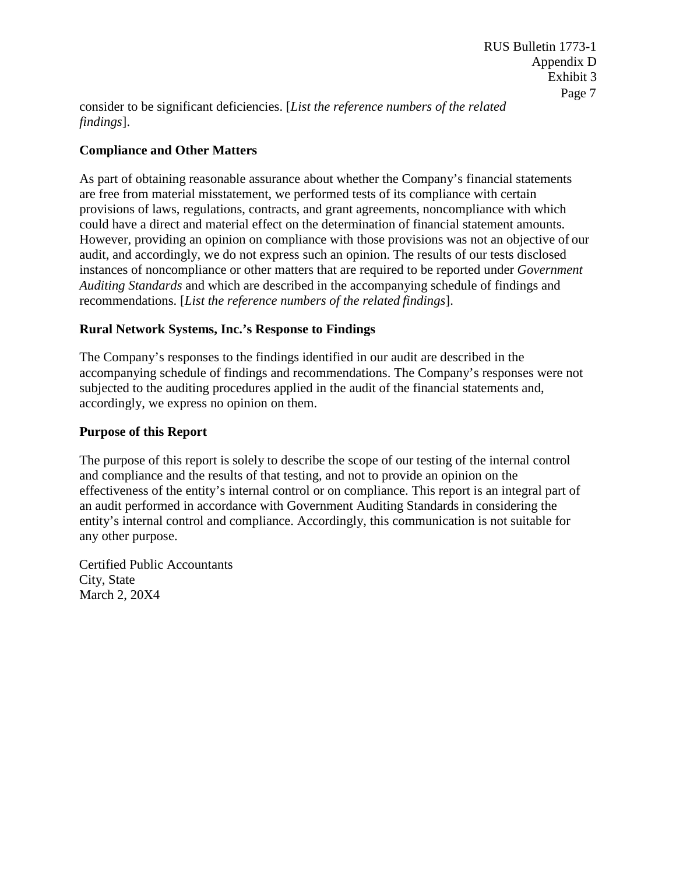consider to be significant deficiencies. [*List the reference numbers of the related findings*].

## **Compliance and Other Matters**

As part of obtaining reasonable assurance about whether the Company's financial statements are free from material misstatement, we performed tests of its compliance with certain provisions of laws, regulations, contracts, and grant agreements, noncompliance with which could have a direct and material effect on the determination of financial statement amounts. However, providing an opinion on compliance with those provisions was not an objective of our audit, and accordingly, we do not express such an opinion. The results of our tests disclosed instances of noncompliance or other matters that are required to be reported under *Government Auditing Standards* and which are described in the accompanying schedule of findings and recommendations. [*List the reference numbers of the related findings*].

### **Rural Network Systems, Inc.'s Response to Findings**

The Company's responses to the findings identified in our audit are described in the accompanying schedule of findings and recommendations. The Company's responses were not subjected to the auditing procedures applied in the audit of the financial statements and, accordingly, we express no opinion on them.

### **Purpose of this Report**

The purpose of this report is solely to describe the scope of our testing of the internal control and compliance and the results of that testing, and not to provide an opinion on the effectiveness of the entity's internal control or on compliance. This report is an integral part of an audit performed in accordance with Government Auditing Standards in considering the entity's internal control and compliance. Accordingly, this communication is not suitable for any other purpose.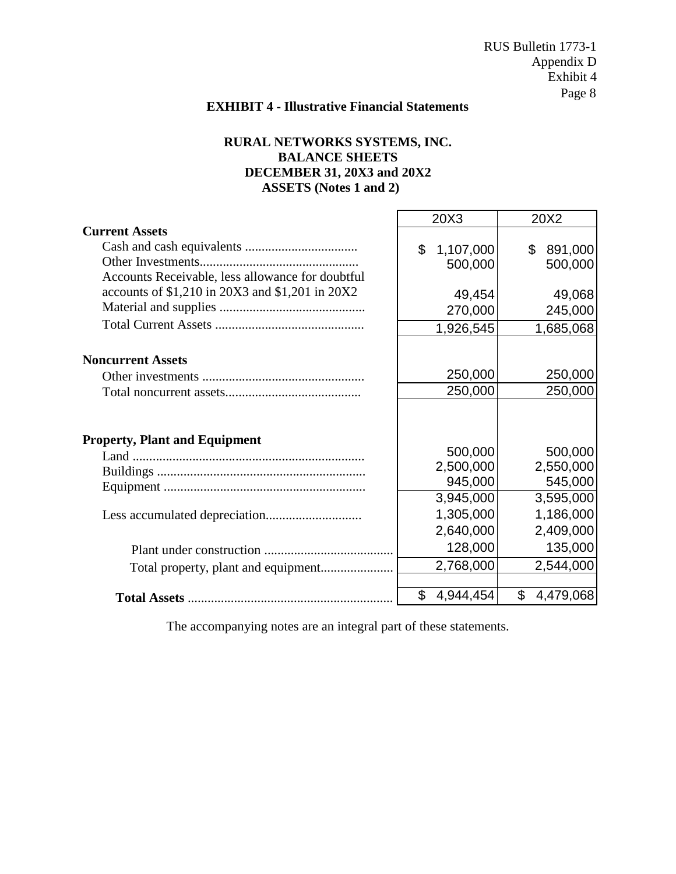RUS Bulletin 1773-1 Appendix D Exhibit 4 Page 8

# **EXHIBIT 4 - Illustrative Financial Statements**

## **RURAL NETWORKS SYSTEMS, INC. BALANCE SHEETS DECEMBER 31, 20X3 and 20X2 ASSETS (Notes 1 and 2)**

|                                                   | 20X3                        | 20X2                    |  |
|---------------------------------------------------|-----------------------------|-------------------------|--|
| <b>Current Assets</b>                             |                             |                         |  |
|                                                   | $\mathfrak{L}$<br>1,107,000 | $\mathbb{S}$<br>891,000 |  |
|                                                   | 500,000                     | 500,000                 |  |
| Accounts Receivable, less allowance for doubtful  |                             |                         |  |
| accounts of $$1,210$ in 20X3 and $$1,201$ in 20X2 | 49,454                      | 49,068                  |  |
|                                                   | 270,000                     | 245,000                 |  |
|                                                   | 1,926,545                   | 1,685,068               |  |
|                                                   |                             |                         |  |
| <b>Noncurrent Assets</b>                          |                             |                         |  |
|                                                   | 250,000                     | 250,000                 |  |
|                                                   | 250,000                     | 250,000                 |  |
|                                                   |                             |                         |  |
| <b>Property, Plant and Equipment</b>              |                             |                         |  |
|                                                   | 500,000                     | 500,000                 |  |
|                                                   | 2,500,000                   | 2,550,000               |  |
|                                                   | 945,000                     | 545,000                 |  |
|                                                   | 3,945,000                   | 3,595,000               |  |
|                                                   | 1,305,000                   | 1,186,000               |  |
|                                                   | 2,640,000                   | 2,409,000               |  |
|                                                   | 128,000                     | 135,000                 |  |
|                                                   | 2,768,000                   | 2,544,000               |  |
|                                                   |                             |                         |  |
|                                                   | \$<br>4,944,454             | \$4,479,068             |  |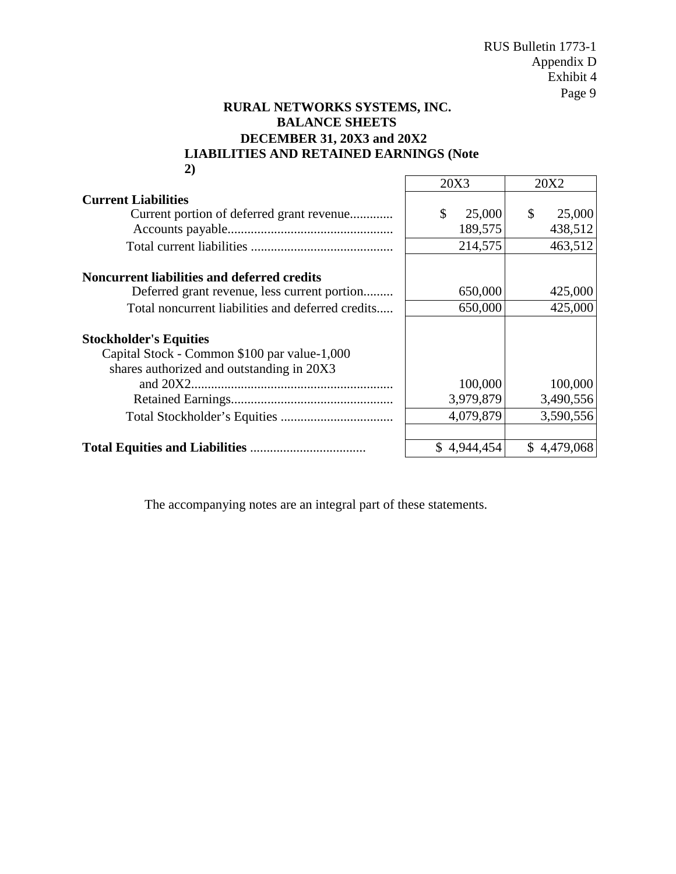RUS Bulletin 1773-1 Appendix D Exhibit 4 Page 9

### **RURAL NETWORKS SYSTEMS, INC. BALANCE SHEETS DECEMBER 31, 20X3 and 20X2 LIABILITIES AND RETAINED EARNINGS (Note 2)**

|                                                    | 20X3 |             | 20X2 |             |
|----------------------------------------------------|------|-------------|------|-------------|
| <b>Current Liabilities</b>                         |      |             |      |             |
| Current portion of deferred grant revenue          | \$   | 25,000      | \$   | 25,000      |
|                                                    |      | 189,575     |      | 438,512     |
|                                                    |      | 214,575     |      | 463,512     |
|                                                    |      |             |      |             |
| <b>Noncurrent liabilities and deferred credits</b> |      |             |      |             |
| Deferred grant revenue, less current portion       |      | 650,000     |      | 425,000     |
| Total noncurrent liabilities and deferred credits  |      | 650,000     |      | 425,000     |
| <b>Stockholder's Equities</b>                      |      |             |      |             |
| Capital Stock - Common \$100 par value-1,000       |      |             |      |             |
| shares authorized and outstanding in 20X3          |      |             |      |             |
| and $20X2$ .                                       |      | 100,000     |      | 100,000     |
|                                                    |      | 3,979,879   |      | 3,490,556   |
|                                                    |      | 4,079,879   |      | 3,590,556   |
|                                                    |      |             |      |             |
|                                                    |      | \$4,944,454 |      | \$4,479,068 |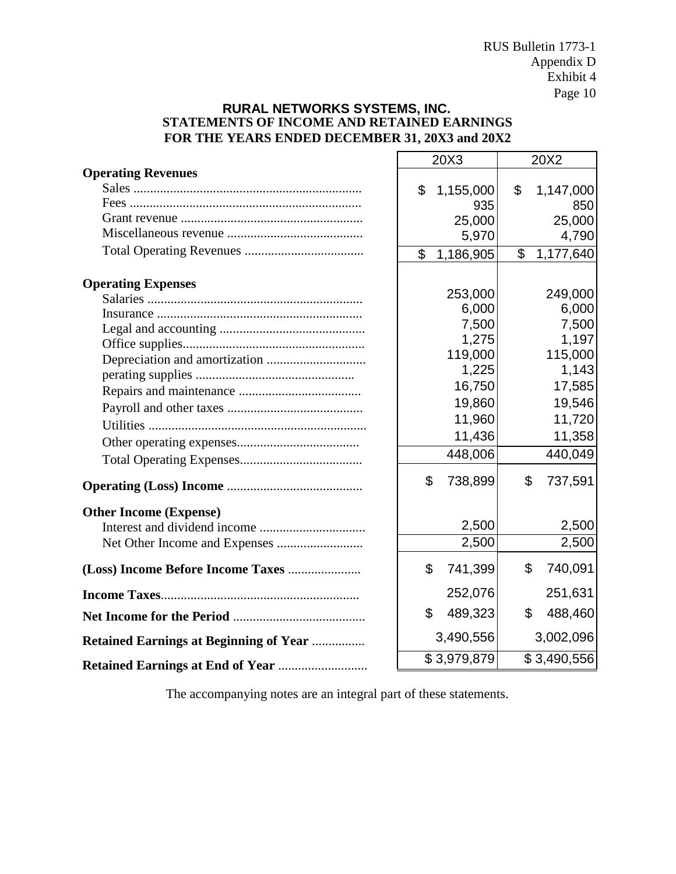RUS Bulletin 1773-1 Appendix D Exhibit 4 Page 10

### **RURAL NETWORKS SYSTEMS, INC. STATEMENTS OF INCOME AND RETAINED EARNINGS FOR THE YEARS ENDED DECEMBER 31, 20X3 and 20X2**

|                                                | 20X3             | 20X2             |
|------------------------------------------------|------------------|------------------|
| <b>Operating Revenues</b>                      |                  |                  |
|                                                | \$<br>1,155,000  | \$<br>1,147,000  |
|                                                | 935              | 850              |
|                                                | 25,000           | 25,000           |
|                                                | 5,970            | 4,790            |
|                                                | \$<br>1,186,905  | \$<br>1,177,640  |
| <b>Operating Expenses</b>                      |                  |                  |
|                                                | 253,000          | 249,000          |
|                                                | 6,000            | 6,000            |
|                                                | 7,500            | 7,500            |
|                                                | 1,275            | 1,197            |
|                                                | 119,000<br>1,225 | 115,000<br>1,143 |
|                                                | 16,750           | 17,585           |
|                                                |                  |                  |
|                                                | 19,860           | 19,546           |
|                                                | 11,960           | 11,720           |
|                                                | 11,436           | 11,358           |
|                                                | 448,006          | 440,049          |
|                                                | \$<br>738,899    | \$<br>737,591    |
| <b>Other Income (Expense)</b>                  |                  |                  |
|                                                | 2,500            | 2,500            |
|                                                | 2,500            | 2,500            |
| (Loss) Income Before Income Taxes              | \$<br>741,399    | \$<br>740,091    |
|                                                | 252,076          | 251,631          |
|                                                | 489,323<br>\$    | 488,460<br>\$    |
| <b>Retained Earnings at Beginning of Year </b> | 3,490,556        | 3,002,096        |
|                                                | \$3,979,879      | \$3,490,556      |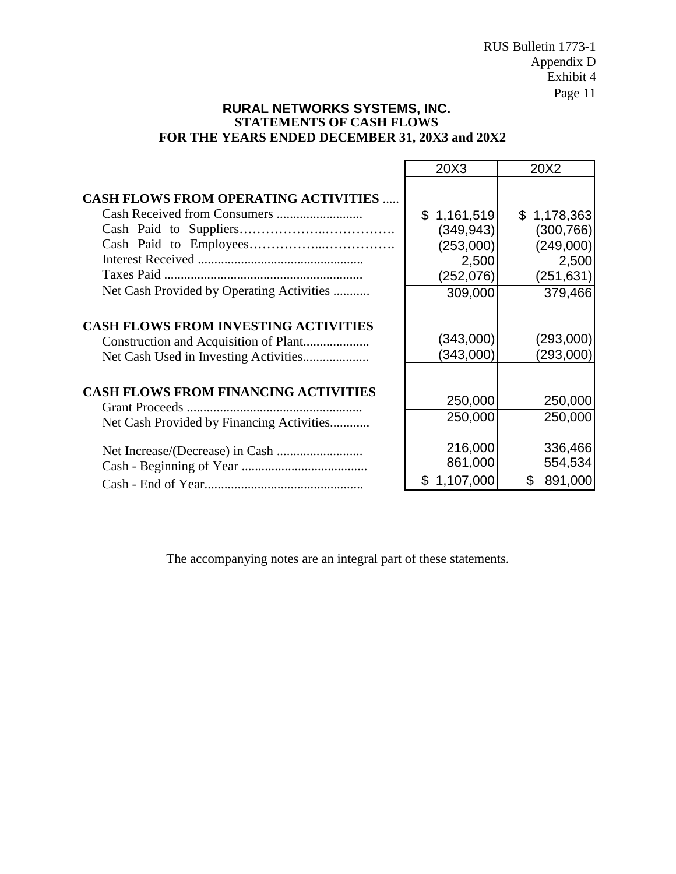RUS Bulletin 1773-1 Appendix D Exhibit 4 Page 11

### **RURAL NETWORKS SYSTEMS, INC. STATEMENTS OF CASH FLOWS FOR THE YEARS ENDED DECEMBER 31, 20X3 and 20X2**

|                                              | 20X3                   | 20X2                   |
|----------------------------------------------|------------------------|------------------------|
| <b>CASH FLOWS FROM OPERATING ACTIVITIES </b> |                        |                        |
|                                              | 1,161,519<br>\$        | \$1,178,363            |
|                                              | (349, 943)             | (300, 766)             |
|                                              | (253,000)              | (249,000)              |
|                                              | 2,500                  | 2,500                  |
|                                              | (252, 076)             | (251, 631)             |
| Net Cash Provided by Operating Activities    | 309,000                | 379,466                |
| <b>CASH FLOWS FROM INVESTING ACTIVITIES</b>  | (343,000)<br>(343,000) | (293,000)<br>(293,000) |
| <b>CASH FLOWS FROM FINANCING ACTIVITIES</b>  | 250,000                | 250,000                |
|                                              | 250,000                | 250,000                |
| Net Cash Provided by Financing Activities    |                        |                        |
|                                              | 216,000<br>861,000     | 336,466<br>554,534     |
|                                              | S<br>1,107,000         | \$<br>891,000          |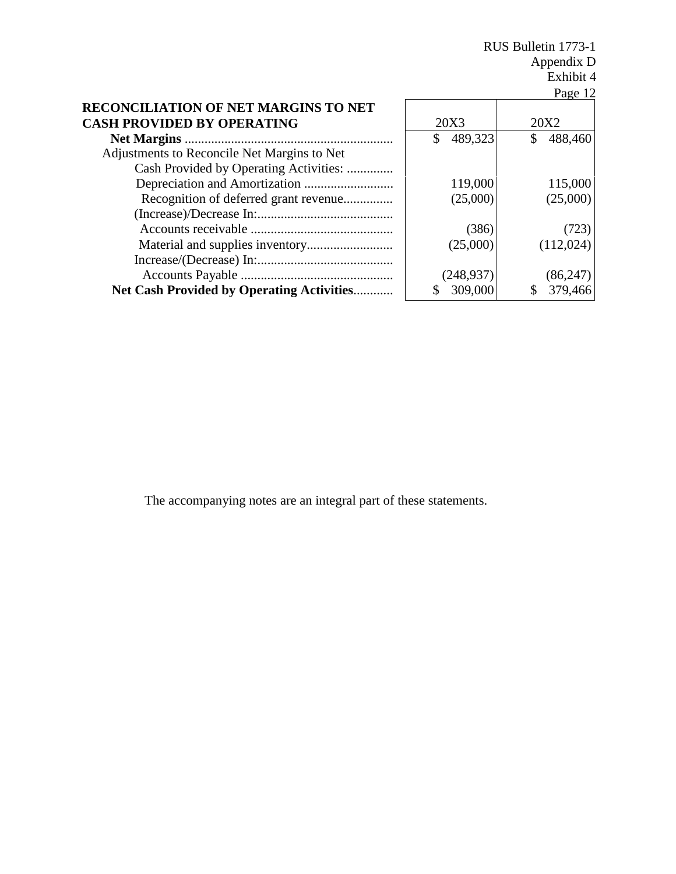RUS Bulletin 1773-1 Appendix D Exhibit 4

|                                             |            | Page 12       |
|---------------------------------------------|------------|---------------|
| <b>RECONCILIATION OF NET MARGINS TO NET</b> |            |               |
| <b>CASH PROVIDED BY OPERATING</b>           | 20X3       | 20X2          |
|                                             | 489,323    | \$<br>488,460 |
| Adjustments to Reconcile Net Margins to Net |            |               |
| Cash Provided by Operating Activities:      |            |               |
|                                             | 119,000    | 115,000       |
| Recognition of deferred grant revenue       | (25,000)   | (25,000)      |
|                                             |            |               |
|                                             | (386)      | (723)         |
|                                             | (25,000)   | (112,024)     |
|                                             |            |               |
|                                             | (248, 937) | (86, 247)     |
| Net Cash Provided by Operating Activities   | 309,000    | 379,466       |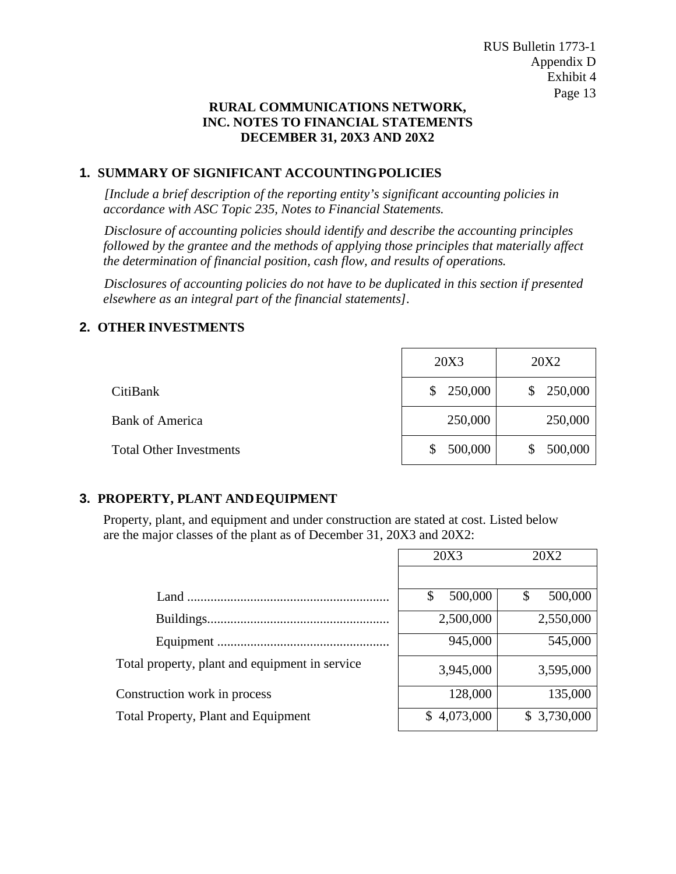### **RURAL COMMUNICATIONS NETWORK, INC. NOTES TO FINANCIAL STATEMENTS DECEMBER 31, 20X3 AND 20X2**

## **1. SUMMARY OF SIGNIFICANT ACCOUNTINGPOLICIES**

*[Include a brief description of the reporting entity's significant accounting policies in accordance with ASC Topic 235, Notes to Financial Statements.*

*Disclosure of accounting policies should identify and describe the accounting principles followed by the grantee and the methods of applying those principles that materially affect the determination of financial position, cash flow, and results of operations.*

*Disclosures of accounting policies do not have to be duplicated in this section if presented elsewhere as an integral part of the financial statements].*

## **2. OTHER INVESTMENTS**

|                                | 20X3          | 20X2          |
|--------------------------------|---------------|---------------|
| CitiBank                       | \$250,000     | 250,000<br>\$ |
| <b>Bank of America</b>         | 250,000       | 250,000       |
| <b>Total Other Investments</b> | 500,000<br>\$ | 500,000<br>\$ |

# **3. PROPERTY, PLANT ANDEQUIPMENT**

Property, plant, and equipment and under construction are stated at cost. Listed below are the major classes of the plant as of December 31, 20X3 and 20X2:

|                                                | 20X3        | 20X2          |
|------------------------------------------------|-------------|---------------|
|                                                |             |               |
|                                                | 500,000     | \$<br>500,000 |
|                                                | 2,500,000   | 2,550,000     |
|                                                | 945,000     | 545,000       |
| Total property, plant and equipment in service | 3,945,000   | 3,595,000     |
| Construction work in process                   | 128,000     | 135,000       |
| Total Property, Plant and Equipment            | \$4,073,000 | \$3,730,000   |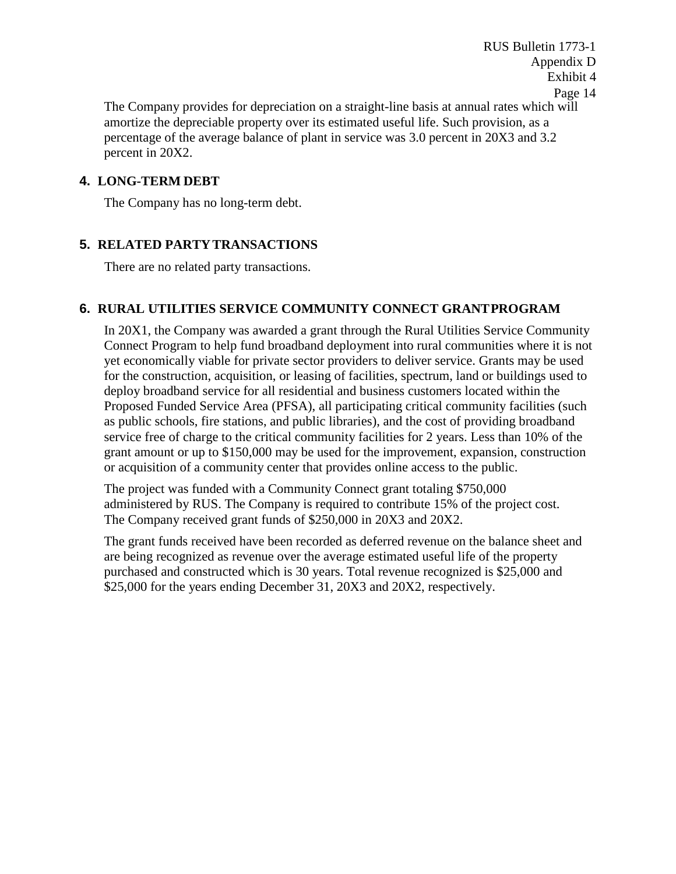RUS Bulletin 1773-1 Appendix D Exhibit 4 Page 14

The Company provides for depreciation on a straight-line basis at annual rates which will amortize the depreciable property over its estimated useful life. Such provision, as a percentage of the average balance of plant in service was 3.0 percent in 20X3 and 3.2 percent in 20X2.

### **4. LONG-TERM DEBT**

The Company has no long-term debt.

### **5. RELATED PARTYTRANSACTIONS**

There are no related party transactions.

### **6. RURAL UTILITIES SERVICE COMMUNITY CONNECT GRANTPROGRAM**

In 20X1, the Company was awarded a grant through the Rural Utilities Service Community Connect Program to help fund broadband deployment into rural communities where it is not yet economically viable for private sector providers to deliver service. Grants may be used for the construction, acquisition, or leasing of facilities, spectrum, land or buildings used to deploy broadband service for all residential and business customers located within the Proposed Funded Service Area (PFSA), all participating critical community facilities (such as public schools, fire stations, and public libraries), and the cost of providing broadband service free of charge to the critical community facilities for 2 years. Less than 10% of the grant amount or up to \$150,000 may be used for the improvement, expansion, construction or acquisition of a community center that provides online access to the public.

The project was funded with a Community Connect grant totaling \$750,000 administered by RUS. The Company is required to contribute 15% of the project cost. The Company received grant funds of \$250,000 in 20X3 and 20X2.

The grant funds received have been recorded as deferred revenue on the balance sheet and are being recognized as revenue over the average estimated useful life of the property purchased and constructed which is 30 years. Total revenue recognized is \$25,000 and \$25,000 for the years ending December 31, 20X3 and 20X2, respectively.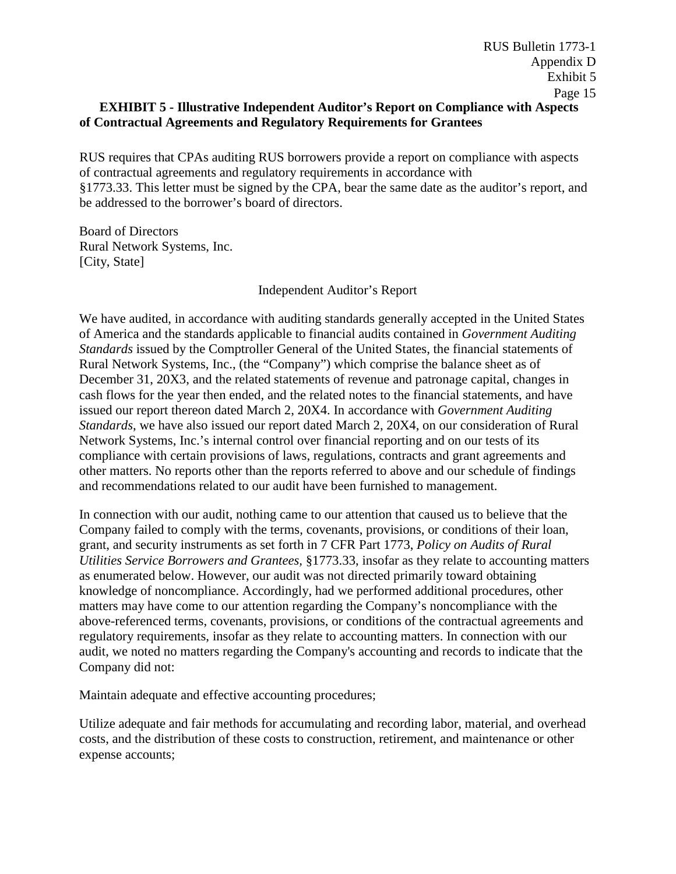### **EXHIBIT 5 - Illustrative Independent Auditor's Report on Compliance with Aspects of Contractual Agreements and Regulatory Requirements for Grantees**

RUS requires that CPAs auditing RUS borrowers provide a report on compliance with aspects of contractual agreements and regulatory requirements in accordance with §1773.33. This letter must be signed by the CPA, bear the same date as the auditor's report, and be addressed to the borrower's board of directors.

Board of Directors Rural Network Systems, Inc. [City, State]

Independent Auditor's Report

We have audited, in accordance with auditing standards generally accepted in the United States of America and the standards applicable to financial audits contained in *Government Auditing Standards* issued by the Comptroller General of the United States, the financial statements of Rural Network Systems, Inc., (the "Company") which comprise the balance sheet as of December 31, 20X3, and the related statements of revenue and patronage capital, changes in cash flows for the year then ended, and the related notes to the financial statements, and have issued our report thereon dated March 2, 20X4. In accordance with *Government Auditing Standards*, we have also issued our report dated March 2, 20X4, on our consideration of Rural Network Systems, Inc.'s internal control over financial reporting and on our tests of its compliance with certain provisions of laws, regulations, contracts and grant agreements and other matters. No reports other than the reports referred to above and our schedule of findings and recommendations related to our audit have been furnished to management.

In connection with our audit, nothing came to our attention that caused us to believe that the Company failed to comply with the terms, covenants, provisions, or conditions of their loan, grant, and security instruments as set forth in 7 CFR Part 1773, *Policy on Audits of Rural Utilities Service Borrowers and Grantees,* §1773.33, insofar as they relate to accounting matters as enumerated below. However, our audit was not directed primarily toward obtaining knowledge of noncompliance. Accordingly, had we performed additional procedures, other matters may have come to our attention regarding the Company's noncompliance with the above-referenced terms, covenants, provisions, or conditions of the contractual agreements and regulatory requirements, insofar as they relate to accounting matters. In connection with our audit, we noted no matters regarding the Company's accounting and records to indicate that the Company did not:

Maintain adequate and effective accounting procedures;

Utilize adequate and fair methods for accumulating and recording labor, material, and overhead costs, and the distribution of these costs to construction, retirement, and maintenance or other expense accounts;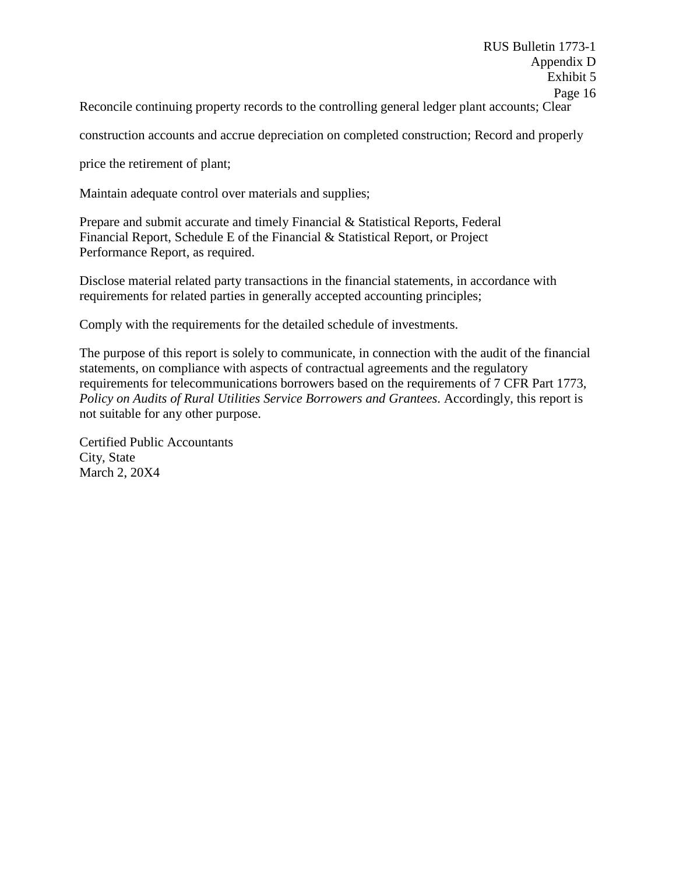Reconcile continuing property records to the controlling general ledger plant accounts; Clear

construction accounts and accrue depreciation on completed construction; Record and properly

price the retirement of plant;

Maintain adequate control over materials and supplies;

Prepare and submit accurate and timely Financial & Statistical Reports, Federal Financial Report, Schedule E of the Financial & Statistical Report, or Project Performance Report, as required.

Disclose material related party transactions in the financial statements, in accordance with requirements for related parties in generally accepted accounting principles;

Comply with the requirements for the detailed schedule of investments.

The purpose of this report is solely to communicate, in connection with the audit of the financial statements, on compliance with aspects of contractual agreements and the regulatory requirements for telecommunications borrowers based on the requirements of 7 CFR Part 1773, *Policy on Audits of Rural Utilities Service Borrowers and Grantees*. Accordingly, this report is not suitable for any other purpose.